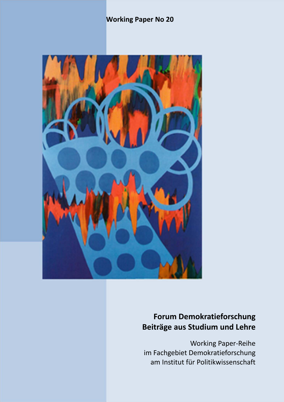## **Working Paper No 20**



# **Forum Demokratieforschung Beiträge aus Studium und Lehre**

Working Paper‐Reihe im Fachgebiet Demokratieforschung am Institut für Politikwissenschaft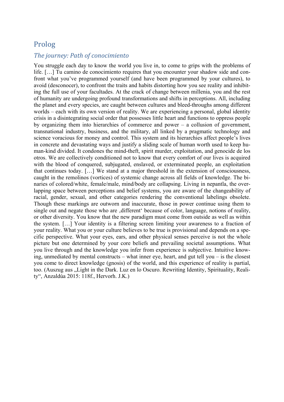### Prolog

### *The journey: Path of conocimiento*

You struggle each day to know the world you live in, to come to grips with the problems of life. […] Tu camino de conocimiento requires that you encounter your shadow side and confront what you've programmed yourself (and have been programmed by your cultures), to avoid (desconocer), to confront the traits and habits distorting how you see reality and inhibiting the full use of your facultades. At the crack of change between millenia, you and the rest of humanity are undergoing profound transformations and shifts in perceptions. All, including the planet and every species, are caught between cultures and bleed-throughs among different worlds – each with its own version of reality. We are experiencing a personal, global identity crisis in a disintegrating social order that possesses little heart and functions to oppress people by organizing them into hierarchies of commerce and power – a collusion of government, transnational industry, business, and the military, all linked by a pragmatic technology and science voracious for money and control. This system and its hierarchies affect people's lives in concrete and devastating ways and justify a sliding scale of human worth used to keep human-kind divided. It condones the mind-theft, spirit murder, exploitation, and genocide de los otros. We are collectively conditioned not to know that every comfort of our lives is acquired with the blood of conquered, subjugated, enslaved, or exterminated people, an exploitation that continues today. […] We stand at a major threshold in the extension of consciousness, caught in the remolinos (vortices) of systemic change across all fields of knowledge. The binaries of colored/white, female/male, mind/body are collapsing. Living in nepantla, the overlapping space between perceptions and belief systems, you are aware of the changeability of racial, gender, sexual, and other categories rendering the conventional labelings obsolete. Though these markings are outworn and inaccurate, those in power continue using them to single out and negate those who are 'different' because of color, language, notions of reality, or other diversity. You know that the new paradigm must come from outside as well as within the system. […] Your identity is a filtering screen limiting your awareness to a fraction of your reality. What you or your culture believes to be true is provisional and depends on a specific perspective. What your eyes, ears, and other physical senses perceive is not the whole picture but one determined by your core beliefs and prevailing societal assumptions. What you live through and the knowledge you infer from experience is subjective. Intuitive knowing, unmediated by mental constructs – what inner eye, heart, and gut tell you – is the closest you come to direct knowledge (gnosis) of the world, and this experience of reality is partial, too. (Auszug aus "Light in the Dark. Luz en lo Oscuro. Rewriting Identity, Spirituality, Reality", Anzaldúa 2015: 118f., Hervorh. J.K.)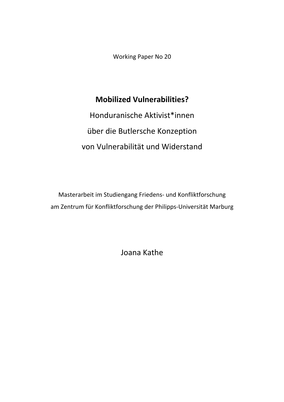Working Paper No 20

# **Mobilized Vulnerabilities?**

Honduranische Aktivist\*innen über die Butlersche Konzeption von Vulnerabilität und Widerstand

Masterarbeit im Studiengang Friedens‐ und Konfliktforschung am Zentrum für Konfliktforschung der Philipps‐Universität Marburg

Joana Kathe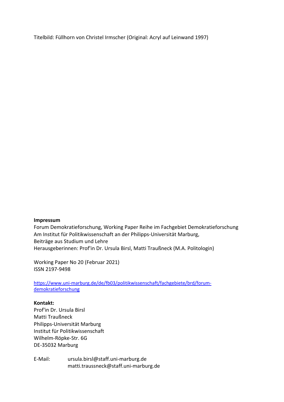Titelbild: Füllhorn von Christel Irmscher (Original: Acryl auf Leinwand 1997)

#### **Impressum**

Forum Demokratieforschung, Working Paper Reihe im Fachgebiet Demokratieforschung Am Institut für Politikwissenschaft an der Philipps‐Universität Marburg, Beiträge aus Studium und Lehre Herausgeberinnen: Prof'in Dr. Ursula Birsl, Matti Traußneck (M.A. Politologin)

Working Paper No 20 (Februar 2021) ISSN 2197‐9498

https://www.uni-marburg.de/de/fb03/politikwissenschaft/fachgebiete/brd/forumdemokratieforschung

#### **Kontakt:**

Prof'in Dr. Ursula Birsl Matti Traußneck Philipps‐Universität Marburg Institut für Politikwissenschaft Wilhelm‐Röpke‐Str. 6G DE‐35032 Marburg

E‐Mail: ursula.birsl@staff.uni‐marburg.de matti.traussneck@staff.uni‐marburg.de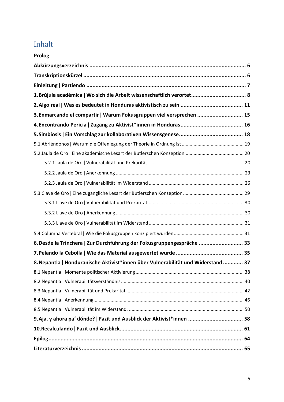# Inhalt

| Prolog                                                                            |  |
|-----------------------------------------------------------------------------------|--|
|                                                                                   |  |
|                                                                                   |  |
|                                                                                   |  |
|                                                                                   |  |
|                                                                                   |  |
| 3. Enmarcando el compartir   Warum Fokusgruppen viel versprechen  15              |  |
|                                                                                   |  |
|                                                                                   |  |
|                                                                                   |  |
|                                                                                   |  |
|                                                                                   |  |
|                                                                                   |  |
|                                                                                   |  |
|                                                                                   |  |
|                                                                                   |  |
|                                                                                   |  |
|                                                                                   |  |
|                                                                                   |  |
| 6. Desde la Trinchera   Zur Durchführung der Fokusgruppengespräche  33            |  |
|                                                                                   |  |
| 8. Nepantla   Honduranische Aktivist*innen über Vulnerabilität und Widerstand  37 |  |
|                                                                                   |  |
|                                                                                   |  |
|                                                                                   |  |
|                                                                                   |  |
|                                                                                   |  |
|                                                                                   |  |
|                                                                                   |  |
|                                                                                   |  |
|                                                                                   |  |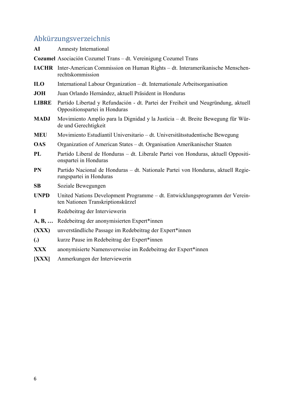# Abkürzungsverzeichnis

|                 | 110110120115011201211110                                                                                           |
|-----------------|--------------------------------------------------------------------------------------------------------------------|
| AI              | <b>Amnesty International</b>                                                                                       |
|                 | Cozumel Asociación Cozumel Trans - dt. Vereinigung Cozumel Trans                                                   |
|                 | <b>IACHR</b> Inter-American Commission on Human Rights – dt. Interamerikanische Menschen-<br>rechtskommission      |
| IL <sub>0</sub> | International Labour Organization – dt. Internationale Arbeitsorganisation                                         |
| <b>JOH</b>      | Juan Orlando Hernández, aktuell Präsident in Honduras                                                              |
| <b>LIBRE</b>    | Partido Libertad y Refundación - dt. Partei der Freiheit und Neugründung, aktuell<br>Oppositionspartei in Honduras |
| <b>MADJ</b>     | Movimiento Amplío para la Dignidad y la Justícia – dt. Breite Bewegung für Wür-<br>de und Gerechtigkeit            |
| <b>MEU</b>      | Movimiento Estudíantil Universitario – dt. Universitätsstudentische Bewegung                                       |
| <b>OAS</b>      | Organization of American States – dt. Organisation Amerikanischer Staaten                                          |
| PL              | Partido Liberal de Honduras – dt. Liberale Partei von Honduras, aktuell Oppositi-<br>onspartei in Honduras         |
| <b>PN</b>       | Partido Nacional de Honduras - dt. Nationale Partei von Honduras, aktuell Regie-<br>rungspartei in Honduras        |
| SB              | Soziale Bewegungen                                                                                                 |
| <b>UNPD</b>     | United Nations Development Programme – dt. Entwicklungsprogramm der Verein-<br>ten Nationen Transkriptionskürzel   |
| $\mathbf I$     | Redebeitrag der Interviewerin                                                                                      |
|                 | A, B,  Redebeitrag der anonymisierten Expert*innen                                                                 |
| (XXX)           | unverständliche Passage im Redebeitrag der Expert*innen                                                            |
| (.)             | kurze Pause im Redebeitrag der Expert*innen                                                                        |
| <b>XXX</b>      | anonymisierte Namensverweise im Redebeitrag der Expert*innen                                                       |
| [XXX]           | Anmerkungen der Interviewerin                                                                                      |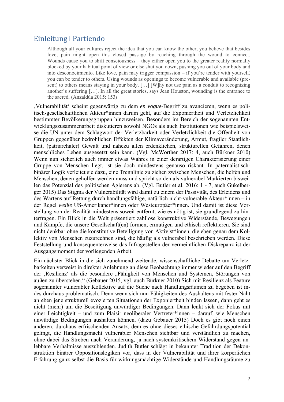## Einleitung ǀ Partiendo

Although all your cultures reject the idea that you can know the other, you believe that besides love, pain might open this closed passage by reaching through the wound to connect. Wounds cause you to shift consciousness – they either open you to the greater reality normally blocked by your habitual point of view or else shut you down, pushing you out of your body and into desconocimiento. Like love, pain may trigger compassion – if you're tender with yourself, you can be tender to others. Using wounds as openings to become vulnerable and available (present) to others means staying in your body. […] [W]hy not use pain as a conduit to recognizing another's suffering […]. In all the great stories, says Jean Houston, wounding is the entrance to the sacred. (Anzaldúa 2015: 153)

'Vulnerabilität' scheint gegenwärtig zu dem *en vogue*-Begriff zu avancieren, wenn es politisch-gesellschaftlichen Akteur\*innen darum geht, auf die Exponiertheit und Verletzlichkeit bestimmter Bevölkerungsgruppen hinzuweisen. Besonders im Bereich der sogenannten Entwicklungszusammenarbeit diskutieren sowohl NGOs als auch Institutionen wie beispielsweise die UN unter dem Schlagwort der Verletzbarkeit oder Verletzlichkeit die Offenheit von Gruppen gegenüber bedrohlichen Effekten der Klimaveränderung, Armut, fragiler Staatlichkeit, (patriarchaler) Gewalt und nahezu allen erdenklichen, strukturellen Gefahren, denen menschliches Leben ausgesetzt sein kann. (Vgl. McWorther 2017: 4, auch Bürkner 2010) Wenn nun sicherlich auch immer etwas Wahres in einer derartigen Charakterisierung einer Gruppe von Menschen liegt, ist sie doch mindestens genauso riskant. In paternalistischbinärer Logik verleitet sie dazu, eine Trennlinie zu ziehen zwischen Menschen, die helfen und Menschen, denen geholfen werden muss und spricht so den als vulnerabel Markierten bisweilen das Potenzial des politischen Agierens ab. (Vgl. Butler et al. 2016: 1 - 7, auch Gukelberger 2015) Das Stigma der Vulnerabilität wird damit zu einem der Passivität, des Erleidens und des Wartens auf Rettung durch handlungsfähige, natürlich nicht-vulnerable Akteur\*innen – in der Regel *weiße* US-Amerikaner\*innen oder Westeuropäer\*innen. Und damit ist diese Vorstellung von der Realität mindestens soweit entfernt, wie es nötig ist, sie grundlegend zu hinterfragen. Ein Blick in die Welt präsentiert zahllose konstruktive Widerstände, Bewegungen und Kämpfe, die unsere Gesellschaft(en) formen, ermutigen und ethisch reflektieren. Sie sind nicht denkbar ohne die konstitutive Beteiligung von Aktivist\*innen, die eben genau dem Kollektiv von Menschen zuzurechnen sind, die häufig als vulnerabel beschrieben werden. Diese Feststellung und konsequenterweise das Infragestellen der vermeintlichen Diskrepanz ist der Ausgangsmoment der vorliegenden Arbeit.

Ein nächster Blick in die sich zunehmend weitende, wissenschaftliche Debatte um Verletzbarkeiten verweist in direkter Anlehnung an diese Beobachtung immer wieder auf den Begriff der ,Resilienz' als die besondere "Fähigkeit von Menschen und Systemen, Störungen von außen zu überstehen." (Gebauer 2015, vgl. auch Bürkner 2010) Sich mit Resilienz als Feature sogenannter vulnerabler Kollektive auf die Suche nach Handlungsräumen zu begeben ist indes durchaus problematisch. Denn wenn sich nun Fähigkeiten des Aushaltens mit fester Naht an eben jene strukturell evozierten Situationen der Exponiertheit binden lassen, dann geht es nicht (mehr) um die Beseitigung unwürdiger Bedingungen. Dann lenkt sich der Fokus mit einer Leichtigkeit – und zum Plaisir neoliberaler Vertreter\*innen – darauf, wie Menschen unwürdige Bedingungen aushalten können. (dazu Gebauer 2015) Doch es gibt noch einen anderen, durchaus erfrischenden Ansatz, dem es ohne dieses ethische Gefährdungspotential gelingt, die Handlungsmacht vulnerabler Menschen sichtbar und verständlich zu machen, ohne dabei das Streben nach Veränderung, ja nach systemkritischem Widerstand gegen unlebbare Verhältnisse auszublenden. Judith Butler schlägt in bekannter Tradition der Dekonstruktion binärer Oppositionslogiken vor, dass in der Vulnerabilität und ihrer körperlichen Erfahrung ganz selbst die Basis für wirkungsmächtige Widerstände und Handlungsräume zu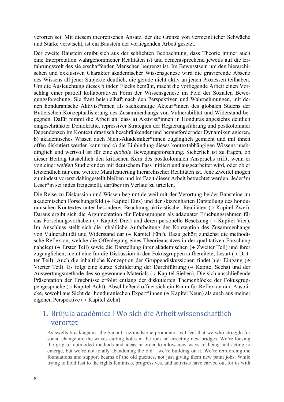verorten sei. Mit diesem theoretischen Ansatz, der die Grenze von vermeintlicher Schwäche und Stärke verwischt, ist ein Baustein der vorliegenden Arbeit gesetzt.

Der zweite Baustein ergibt sich aus der schlichten Beobachtung, dass Theorie immer auch eine Interpretation wahrgenommener Realitäten ist und dementsprechend jeweils auf die Erfahrungswelt des sie erschaffenden Menschen begrenzt ist. Im Bewusstsein um den hierarchischen und exklusiven Charakter akademischer Wissensgenese wird die gravierende Absenz des Wissens all jener Subjekte deutlich, die gerade nicht aktiv an jenen Prozessen teilhaben. Um die Ausleuchtung dieses blinden Flecks bemüht, macht die vorliegende Arbeit einen Vorschlag einer partiell kollaborativen Form der Wissensgenese im Feld der Sozialen Bewegungsforschung. Sie fragt beispielhaft nach den Perspektiven und Wahrnehmungen, mit denen honduranische Aktivist\*innen als sachkundige Akteur\*innen des globalen Südens der Butlerschen Konzeptualisierung des Zusammenhangs von Vulnerabilität und Widerstand begegnen. Dafür nimmt die Arbeit an, dass a) Aktivist\*innen in Honduras angesichts deutlich eingeschränkter Demokratie, repressiver Strategien der Regierungsführung und postkolonialer Dependenzen im Kontext drastisch beschränkender und herausfordernder Dynamiken agieren, b) akademisches Wissen auch Nicht-Akademiker\*innen zugänglich gemacht und mit ihnen offen diskutiert werden kann und c) die Einbindung dieses kontextabhängigen Wissens unabdinglich und wertvoll ist für eine *globale* Bewegungsforschung. Sicherlich ist zu fragen, ob dieser Beitrag tatsächlich den kritischen Kern des postkolonialen Anspruchs trifft, wenn er von einer *weißen* Studierenden mit deutschem Pass initiiert und ausgearbeitet wird, oder ob er letztendlich nur eine weitere Manifestierung hierarchischer Realitäten ist. Jene Zweifel mögen zumindest vorerst dahingestellt bleiben und im Fazit dieser Arbeit betrachtet werden. Jeder\*m Leser\*in sei indes freigestellt, darüber im Verlauf zu urteilen.

Die Reise zu Diskussion und Wissen beginnt derweil mit der Verortung beider Bausteine im akademischen Forschungsfeld ( $\rightarrow$  Kapitel Eins) und der skizzenhaften Darstellung des honduranischen Kontextes unter besonderer Beachtung aktivistischer Realitäten (> Kapitel Zwei). Daraus ergibt sich die Argumentation für Fokusgruppen als adäquater Erhebungsrahmen für das Forschungsvorhaben ( $\rightarrow$  Kapitel Drei) und deren personelle Besetzung ( $\rightarrow$  Kapitel Vier). Im Anschluss stellt sich die inhaltliche Aufarbeitung der Konzeption des Zusammenhangs von Vulnerabilität und Widerstand dar ( $\rightarrow$  Kapitel Fünf). Dazu gehört zunächst die methodische Reflexion, welche die Offenlegung eines Theorieansatzes in der qualitativen Forschung nahelegt ( $\rightarrow$  Erster Teil) sowie die Darstellung ihrer akademischen ( $\rightarrow$  Zweiter Teil) und ihrer zugänglichen, meint eine für die Diskussion in den Fokusgruppen aufbereitete, Lesart  $\leftrightarrow$  Dritter Teil). Auch die inhaltliche Konzeption der Gruppendiskussionen findet hier Eingang ( Vierter Teil). Es folgt eine kurze Schilderung der Durchführung  $( \rightarrow$  Kapitel Sechs) und der Auswertungsmethode des so gewonnen Materials (> Kapitel Sieben). Die sich anschließende Präsentation der Ergebnisse erfolgt entlang der diskutierten Themenblöcke der Fokusgruppengespräche ( $\rightarrow$  Kapitel Acht). Abschließend öffnet sich ein Raum für Reflexion und Ausblicke, sowohl aus Sicht der honduranischen Expert\*innen (> Kapitel Neun) als auch aus meiner eigenen Perspektive  $\rightarrow$  Kapitel Zehn).

## 1. Brújula académica ǀ Wo sich die Arbeit wissenschaftlich verortet

As swells break against the Santa Cruz mudstone promontories I feel that we who struggle for social change are the waves cutting holes in the rock an errecting new bridges. We're loosing the grip of outmoded methods and ideas in order to allow new ways of being and acting to emerge, but we're not totally abandoning the old – we're building on it. We're reinforcing the foundations and support beams of the old puentes, not just giving them new paint jobs. While trying to hold fast to the rights feminists, progressives, and activists have carved out for us with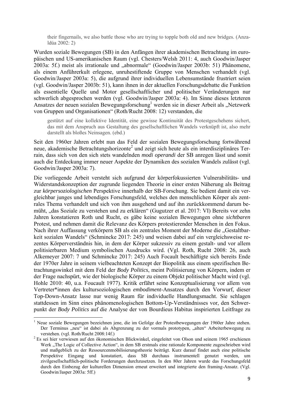their fingernails, we also battle those who are trying to topple both old and new bridges. (Anzaldúa 2002: 2)

Wurden soziale Bewegungen (SB) in den Anfängen ihrer akademischen Betrachtung im europäischen und US-amerikanischen Raum (vgl. Chesters/Welsh 2011: 4, auch Goodwin/Jasper 2003a: 5f.) meist als irrationale und "abnormale" (Goodwin/Jasper 2003b: 51) Phänomene, als einem Anführerkult erlegene, unruhestiftende Gruppe von Menschen verhandelt (vgl. Goodwin/Jasper 2003a: 5), die aufgrund ihrer individuellen Lebensumstände frustriert seien (vgl. Goodwin/Jasper 2003b: 51), kann ihnen in der aktuellen Forschungsdebatte die Funktion als essentielle Quelle und Motor gesellschaftlicher und politischer Veränderungen nur schwerlich abgesprochen werden (vgl. Goodwin/Jasper 2003a: 4). Im Sinne dieses letzteren Ansatzes der neuen sozialen Bewegungsforschung<sup>1</sup> werden sie in dieser Arbeit als "Netzwerk von Gruppen und Organisationen" (Roth/Rucht 2008: 12) verstanden, die

gestützt auf eine kollektive Identität, eine gewisse Kontinuität des Protestgeschehens sichert, das mit dem Anspruch aus Gestaltung des gesellschaftlichen Wandels verknüpft ist, also mehr darstellt als bloßes Neinsagen. (ebd.)

Seit den 1960er Jahren erlebt nun das Feld der sozialen Bewegungsforschung fortwährend neue, akademische Betrachtungshorizonte<sup>2</sup> und zeigt sich heute als ein interdisziplinäres Terrain, dass sich von den sich stets wandelnden *modi operandi* der SB anregen lässt und somit auch die Entdeckung immer neuer Aspekte der Dynamiken des sozialen Wandels zulässt (vgl. Goodwin/Jasper 2003a: 7).

Die vorliegende Arbeit versteht sich aufgrund der körperfokussierten Vulnerabilitäts- und Widerstandskonzeption der zugrunde liegenden Theorie in einer ersten Näherung als Beitrag zur *körpersoziologischen* Perspektive innerhalb der SB-Forschung. Sie bedient damit ein vergleichbar junges und lebendiges Forschungsfeld, welches den menschlichen Körper als zentrales Thema verhandelt und sich von ihm ausgehend und auf ihn zurückkommend darum bemüht, "das Soziale zu verstehen und zu erklären" (Gugutzer et al. 2017: VI) Bereits vor zehn Jahren konstatieren Roth und Rucht, es gäbe keine sozialen Bewegungen ohne *sichtbaren* Protest, und nehmen damit die Relevanz des Körpers protestierender Menschen in den Fokus. Nach ihrer Auffassung verkörpern SB als ein zentrales Moment der Moderne die "Gestaltbarkeit sozialen Wandels" (Schmincke 2017: 245) und weisen dabei auf ein vergleichsweise rezentes Körperverständnis hin, in dem der Körper sukzessiv zu einem gestalt- und vor allem politisierbaren Medium symbolischen Ausdrucks wird. (Vgl. Roth, Rucht 2008: 26, auch Alkemeyer 2007: 7 und Schmincke 2017: 245) Auch Focault beschäftigte sich bereits Ende der 1970er Jahre in seinem vielbeachteten Konzept der Biopolitik aus einem spezifischen Betrachtungswinkel mit dem Feld der *Body Politics*, meint Politisierung von Körpern, indem er der Frage nachspürt, wie der biologische Körper zu einem Objekt politischer Macht wird (vgl. Hohle 2010: 40, u.a. Foucault 1977). Kritik erfährt seine Konzeptualisierung vor allem von Vertreter\*innen des kultursoziologischen *embodiment*-Ansatzes durch den Vorwurf, dieser Top-Down-Ansatz lasse nur wenig Raum für individuelle Handlungsmacht. Sie schlagen stattdessen im Sinn eines phänomenologischen Bottom-Up-Verständnisses vor, den Schwerpunkt der *Body Politics* auf die Analyse der von Bourdieus Habitus inspirierten Leitfrage zu

<sup>&</sup>lt;sup>1</sup> Neue soziale Bewegungen bezeichnen jene, die im Gefolge der Protestbewegungen der 1960er Jahre stehen. Der Terminus "neu" ist dabei als Abgrenzung zu der vormals prototypen, "alten" Arbeiterbewegung zu verstehen. (vgl. Roth/Rucht 2008:14f.) 2 Es sei hier verwiesen auf den ökonomischen Blickwinkel, eingeleitet von Olson und seinem 1965 erschienen

Werk "The Logic of Collective Action", in dem SB erstmals eine rationale Komponente zugeschrieben wird und maßgeblich zu der Ressourcenmobilisierungstheorie beiträgt. Kurz darauf findet auch eine politische Perspektive Eingang und konstatiert, dass SB durchaus instrumentell genutzt werden, um zivilgesellschaftlich-politische Forderungen durchzusetzen. In den 80er Jahren wurde das Forschungsfeld durch den Einbezug der kulturellen Dimension erneut erweitert und integrierte den framing-Ansatz. (Vgl. Goodwin/Jasper 2003a: 5ff.)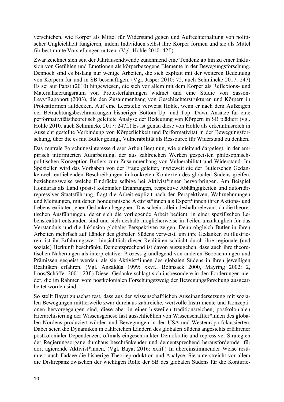verschieben, wie Körper als Mittel für Widerstand gegen und Aufrechterhaltung von politischer Ungleichheit fungieren, indem Individuen selbst ihre Körper formen und sie als Mittel für bestimmte Vorstellungen nutzen. (Vgl. Hohle 2010: 42f.)

Zwar zeichnet sich seit der Jahrtausendwende zunehmend eine Tendenz ab hin zu einer Inklusion von Gefühlen und Emotionen als körperbezogene Elemente in der Bewegungsforschung. Dennoch sind es bislang nur wenige Arbeiten, die sich explizit mit der weiteren Bedeutung von Körpern für und in SB beschäftigen. (Vgl. Jasper 2010: 72, auch Schmincke 2017: 247) Es sei auf Pabst (2010) hingewiesen, die sich vor allem mit dem Körper als Reflexions- und Materialisierungsraum von Protesterfahrungen widmet und eine Studie von Sasson-Levy/Rapoport (2003), die den Zusammenhang von Geschlechterstrukturen und Körpern in Protestformen aufdecken. Auf eine Leerstelle verweist Hohle, wenn er nach dem Aufzeigen der Betrachtungsbeschränkungen bisheriger Bottom-Up- und Top- Down-Ansätze für eine performativitätstheoretisch geleitete Analyse der Bedeutung von Körpern in SB plädiert (vgl. Hohle 2010, auch Schmincke 2017: 247f.) Es ist genau diese von Hohle als erkenntnisreich in Aussicht gestellte Verbindung von Körperlichkeit und Performativität in der Bewegungsforschung, über die es mit Butler gelingt, Vulnerabilität als Ressource für Widerstand zu denken.

Das zentrale Forschungsinteresse dieser Arbeit liegt nun, wie einleitend dargelegt, in der empirisch informierten Aufarbeitung, der aus zahlreichen Werken gespeisten philosophischpolitischen Konzeption Butlers zum Zusammenhang von Vulnerabilität und Widerstand. Im Speziellen wird das Vorhaben von der Frage geleitet, inwieweit die der Butlerschen Gedankenwelt entliehenden Beschreibungen in konkreten Kontexten des globalen Südens greifen, beziehungsweise welche Eindrücke selbige bei Aktivist\*innen hervorbringen. Am Beispiel Honduras als Land (post-) kolonialer Erfahrungen, respektive Abhängigkeiten und autoritärrepressiver Staatsführung, fragt die Arbeit explizit nach den Perspektiven, Wahrnehmungen und Meinungen, mit denen honduranische Aktivist\*innen als Expert\*innen ihrer Aktions- und Lebensrealitäten jenen Gedanken begegnen. Das scheint allein deshalb relevant, da die theoretischen Ausführungen, derer sich die vorliegende Arbeit bedient, in einer spezifischen Lebensrealität entstanden sind und sich deshalb möglicherweise in Teilen unzulänglich für das Verständnis und die Inklusion globaler Perspektiven zeigen. Denn obgleich Butler in ihren Arbeiten mehrfach auf Länder des globalen Südens verweist, um ihre Gedanken zu illustrieren, ist ihr Erfahrungswert hinsichtlich dieser Realitäten schlicht durch ihre regionale (und soziale) Herkunft beschränkt. Dementsprechend ist davon auszugehen, dass auch ihre theoretischen Näherungen als interpretativer Prozess grundlegend von anderen Beobachtungen und Prämissen gespeist werden, als sie Aktivist\*innen des globalen Südens in ihren jeweiligen Realitäten erfahren. (Vgl. Anzaldúa 1999: xxvf., Bohnsack 2000, Mayring 2002: 2, Loos/Schäffer 2001: 23f.) Dieser Gedanke schlägt sich insbesondere in den Forderungen nieder, die im Rahmen vom postkolonialen Forschungszweig der Bewegungsforschung ausgearbeitet worden sind.

So stellt Bayat zunächst fest, dass aus der wissenschaftlichen Auseinandersetzung mit sozialen Bewegungen mittlerweile zwar durchaus zahlreiche, wertvolle Instrumente und Konzeptionen hervorgegangen sind, diese aber in einer bisweilen traditionsreichen, postkolonialen Hierarchisierung der Wissensgenese fast ausschließlich von Wissenschaftler\*innen des globalen Nordens produziert würden und Bewegungen in den USA und Westeuropa fokussierten. Dabei seien die Dynamiken in zahlreichen Ländern des globalen Südens angesichts erfahrener postkolonialer Dependenzen, oftmals eingeschränkter Demokratie und repressiver Strategien der Regierungsorgane durchaus beschränkender und dementsprechend herausfordernder für dort agierende Aktivist\*innen. (Vgl. Bayat 2016: xxiif.) In übereinstimmender Weise resümiert auch Fadaee die bisherige Theorieproduktion und Analyse. Sie unterstreicht vor allem die Diskrepanz zwischen der wichtigen Rolle der SB des globalen Südens für die Konturie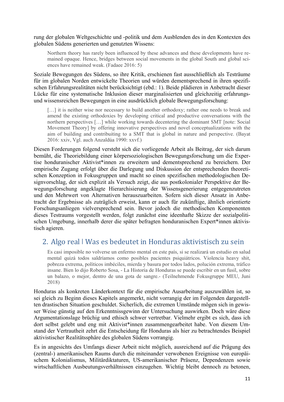rung der globalen Weltgeschichte und -politik und dem Ausblenden des in den Kontexten des globalen Südens generierten und genutzten Wissens:

Northern theory has rarely been influenced by these advances and these developments have remained opaque. Hence, bridges between social movements in the global South and global sciences have remained weak. (Fadaee 2016: 5)

Soziale Bewegungen des Südens, so ihre Kritik, erschienen fast ausschließlich als Testräume für im globalen Norden entwickelte Theorien und würden dementsprechend in ihren spezifischen Erfahrungsrealitäten nicht berücksichtigt (ebd.: 1). Beide plädieren in Anbetracht dieser Lücke für eine systematische Inklusion dieser marginalisierten und gleichzeitig erfahrungsund wissensreichen Bewegungen in eine ausdrücklich globale Bewegungsforschung:

[...] it is neither wise nor necessary to build another orthodoxy; rather one needs to break and amend the existing orthodoxies by developing critical and productive conversations with the northern perspectives […] while working towards decentering the dominant SMT [note: Social Movement Theory] by offering innovative perspectives and novel conceptualizations with the aim of building and contribuiting to a SMT that is global in nature and perspective. (Bayat 2016: xxiv, Vgl. auch Anzaldúa 1990: xxvf.)

Diesen Forderungen folgend versteht sich die vorliegende Arbeit als Beitrag, der sich darum bemüht, die Theoriebildung einer körpersoziologischen Bewegungsforschung um die Expertise honduranischer Aktivist\*innen zu erweitern und dementsprechend zu bereichern. Der empirische Zugang erfolgt über die Darlegung und Diskussion der entsprechenden theoretischen Konzeption in Fokusgruppen und macht so einen spezifischen methodologischen Designvorschlag, der sich explizit als Versuch zeigt, die aus postkolonialer Perspektive der Bewegungsforschung angeklagte Hierarchisierung der Wissensgenerierung entgegenzutreten und den Mehrwert von Alternativen herauszuarbeiten. Sofern sich dieser Ansatz in Anbetracht der Ergebnisse als zuträglich erweist, kann er auch für zukünftige, ähnlich orientierte Forschungsanliegen vielversprechend sein. Bevor jedoch die methodischen Komponenten dieses Testraums vorgestellt werden, folgt zunächst eine ideenhafte Skizze der sozialpolitischen Umgebung, innerhalb derer die später befragten honduranischen Expert\*innen aktivistisch agieren.

### 2. Algo real I Was es bedeutet in Honduras aktivistisch zu sein

Es casi imposible no volverse un enfermo mental en este país, si se realizará un estudio en salud mental quizá todos saldríamos como posibles pacientes psiquiátricos. Violencia heavy shit, pobreza extrema, políticos imbéciles, mierda y basura por todos lados, polución extrema, tráfico insane. Bien lo dijo Roberto Sosa, - La Historia de Honduras se puede escribir en un fusil, sobre un balazo, o mejor, dentro de una gota de sangre.- (Teilnehmende Fokusgruppe MEU, Juni 2018)

Honduras als konkreten Länderkontext für die empirische Ausarbeitung auszuwählen ist, so sei gleich zu Beginn dieses Kapitels angemerkt, nicht vorrangig der im Folgenden dargestellten drastischen Situation geschuldet. Sicherlich, die extremen Umstände mögen sich in gewisser Weise günstig auf den Erkenntnissgewinn der Untersuchung auswirken. Doch wäre diese Argumentationslage brüchig und ethisch schwer vertretbar. Vielmehr ergibt es sich, dass ich dort selbst gelebt und eng mit Aktivist\*innen zusammengearbeitet habe. Von diesem Umstand der Vertrautheit zehrt die Entscheidung für Honduras als hier zu betrachtendes Beispiel aktivistischer Realitätssphäre des globalen Südens vorrangig.

Es in angesichts des Umfangs dieser Arbeit nicht möglich, ausreichend auf die Prägung des (zentral-) amerikanischen Raums durch die miteinander verwobenen Ereignisse von europäischem Kolonialismus, Militärdiktaturen, US-amerikanischer Präsenz, Dependenzen sowie wirtschaftlichen Ausbeutungsverhältnissen einzugehen. Wichtig bleibt dennoch zu betonen,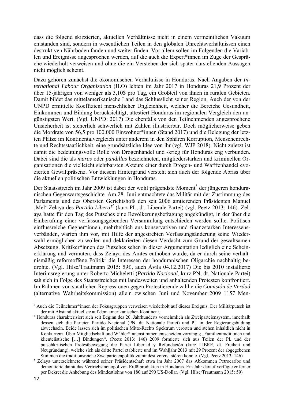dass die folgend skizzierten, aktuellen Verhältnisse nicht in einem vermeintlichen Vakuum entstanden sind, sondern in wesentlichen Teilen in den globalen Unrechtsverhältnissen einen destruktiven Nährboden fanden und weiter finden. Vor allem sollen im Folgenden die Variablen und Ereignisse angesprochen werden, auf die auch die Expert\*innen im Zuge der Gespräche wiederholt verweisen und ohne die ein Verstehen der sich später darstellenden Aussagen nicht möglich scheint.

Dazu gehören zunächst die ökonomischen Verhältnisse in Honduras. Nach Angaben der *International Labour Organization* (ILO) lebten im Jahr 2017 in Honduras 21,9 Prozent der über 15-jährigen von weniger als 3,10\$ pro Tag, ein Großteil von ihnen in ruralen Gebieten. Damit bildet das mittelamerikanische Land das Schlusslicht seiner Region. Auch der von der UNPD ermittelte Koeffizient menschlicher Ungleichheit, welcher die Bereiche Gesundheit, Einkommen und Bildung berücksichtigt, attestiert Honduras im regionalen Vergleich den ungünstigsten Wert. (Vgl. UNPD: 2017) Die ebenfalls von den Teilnehmenden angesprochene Unsicherheit ist sicherlich schwerlich mit Zahlen illustrierbar. Doch möglicherweise geben die Mordrate von 56,5 pro 100.000 Einwohner\*innen (Stand 2017) und die Belegung der letzten Plätze im Kontinentalvergleich unter anderem in den Sphären Korruption, Menschenrechte und Rechtsstaatlichkeit, eine grundsätzliche Idee von ihr (vgl. WJP 2018). Nicht zuletzt ist damit die bedeutungsvolle Rolle von Drogenhandel und -krieg für Honduras eng verbunden. Dabei sind die als *maras* oder *pandillas* bezeichneten, mitgliederstarken und kriminellen Organisationen die vielleicht sichtbarsten Akteure einer durch Drogen- und Wafffenhandel evozierten Gewaltpräsenz. Vor diesem Hintergrund versteht sich auch der folgende Abriss über die aktuellen politischen Entwicklungen in Honduras.

Der Staatsstreich im Jahr 2009 ist dabei der wohl prägendste Moment<sup>3</sup> der jüngeren honduranischen Gegenwartsgeschichte. Am 28. Juni entmachtete das Militär mit der Zustimmung des Parlaments und des Obersten Gerichtshofs den seit 2006 amtierenden Präsidenten Manuel , Mel<sup>4</sup> Zelaya des *Partido Liberal<sup>4</sup>* (kurz PL, dt. Liberale Partei) (vgl. Peetz 2013: 146). Zelaya hatte für den Tag des Putsches eine Bevölkerungsbefragung angekündigt, in der über die Einberufung einer verfassungsgebenden Versammlung entschieden werden sollte. Politisch einflussreiche Gegner\*innen, mehrheitlich aus konservativen und finanzstarken Interessensverbänden, warfen ihm vor, mit Hilfe der angestrebten Verfassungsänderung seine Wiederwahl ermöglichen zu wollen und deklarierten diesen Verdacht zum Grund der gewaltsamen Absetzung. Kritiker\*innen des Putsches sehen in dieser Argumentation lediglich eine Scheinerklärung und vermuten, dass Zelaya des Amtes enthoben wurde, da er durch seine verhältnismäßig reformoffene Politik<sup>5</sup> die Interessen der honduranischen Oligarchie nachhaltig bedrohte. (Vgl. Hilse/Trautmann 2015: 59f., auch Ávila 04.12.2017) Die bis 2010 installierte Interimsregierung unter Roberto Micheletti (*Partido Nacional*, kurz PN, dt. Nationale Partei) sah sich in Folge des Staatsstreiches mit landesweiten und anhaltenden Protesten konfrontiert. Im Rahmen von staatlichen Repressionen gegen Protestierende zählte die *Comisión de Verdad* (alternative Wahrheitskommission) allein zwischen Juni und November 2009 1157 Men-

<sup>&</sup>lt;sup>3</sup> Auch die Teilnehmer\*innen der Fokusgruppen verweisen wiederholt auf dieses Ereignis. Der Militärputsch ist der mit Abstand aktuellste auf dem amerikanischen Kontinent.

<sup>4</sup> Honduras charakterisiert sich seit Beginn des 20. Jahrhunderts vornehmlich als Zweiparteiensystem, innerhalb dessen sich die Parteien Partido Nacional (PN, dt. Nationale Partei) und PL in der Regierungsbildung abwechseln. Beide lassen sich im politischen Mitte-Rechts Spektrum verorten und stehen inhaltlich nicht in Konkurrenz. Über Mitgliedschaft und Wähler\*innenstimmen entscheiden vorrangig "Familientraditionen und klientelistische […] Bindungen". (Peetz 2013: 146) 2009 formierte sich aus Teilen der PL und der putschkritischen Protestbewegung die Partei Libertad y Refundación (kurz LIBRE, dt. Freiheit und Neugründung), welche sich als dritte Partei etablierte und im Wahljahr 2013 mit 29 Prozent der abgegebenen

Stimmen die traditionsreiche Zweiparteienpolitik zumindest vorerst stören konnte. (Vgl. Peetz 2013: 146) 5 Zelaya unterzeichnete während seiner Präsidentschaft etwa im Jahr 2007 das Abkommen Petrocaribe und demontierte damit das Vertriebsmonopol von Erdölprodukten in Honduras. Ein Jahr darauf verfügte er ferner per Dekret die Anhebung des Mindestlohns von 180 auf 290 US-Dollar. (Vgl. Hilse/Trautmann 2015: 59)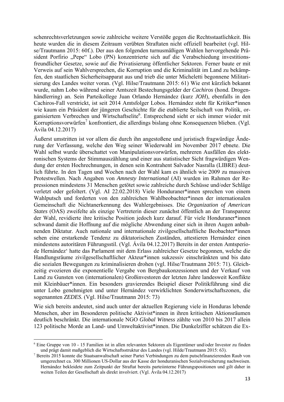schenrechtsverletzungen sowie zahlreiche weitere Verstöße gegen die Rechtsstaatlichkeit. Bis heute wurden die in diesem Zeitraum verübten Straftaten nicht offiziell bearbeitet (vgl. Hilse/Trautmann 2015: 60f.). Der aus den folgenden turnusmäßigen Wahlen hervorgehende Präsident Porfirio "Pepe" Lobo (PN) konzentrierte sich auf die Verabschiedung investitionsfreundlicher Gesetze, sowie auf die Privatisierung öffentlicher Sektoren. Ferner baute er mit Verweis auf sein Wahlversprechen, die Korruption und die Kriminalität im Land zu bekämpfen, den staatlichen Sicherheitsapparat aus und trieb die unter Micheletti begonnene Militarisierung des Landes weiter voran. (Vgl. Hilse/Trautmann 2015: 61) Wie erst kürzlich bekannt wurde, nahm Lobo während seiner Amtszeit Bestechungsgelder der *Cachiros* (hond. Drogenhändlerring) an. Sein Parteikollege Juan Orlando Hernández (kurz *JOH*), ebenfalls in den Cachiros-Fall verstrickt, ist seit 2014 Amtsfolger Lobos. Hernández steht für Kritiker\*innen wie kaum ein Präsident der jüngeren Geschichte für die etablierte Seilschaft von Politik, organisiertem Verbrechen und Wirtschaftselite<sup>6</sup>. Entsprechend sieht er sich immer wieder mit Korruptionsvorwürfen<sup>7</sup> konfrontiert, die allerdings bislang ohne Konsequenzen blieben. (Vgl. Ávila 04.12.2017)

Äußerst umstritten ist vor allem die durch ihn angestoßene und juristisch fragwürdige Änderung der Verfassung, welche den Weg seiner Wiederwahl im November 2017 ebnete. Die Wahl selbst wurde überschattet von Manipulationsvorwürfen, mehreren Ausfällen des elektronischen Systems der Stimmauszählung und einer aus statistischer Sicht fragwürdigen Wendung der ersten Hochrechnungen, in denen sein Kontrahent Salvador Nasralla (LIBRE) deutlich führte. In den Tagen und Wochen nach der Wahl kam es ähnlich wie 2009 zu massiven Protestwellen. Nach Angaben von *Amnesty International* (AI) wurden im Rahmen der Repressionen mindestens 31 Menschen getötet sowie zahlreiche durch Schüsse und/oder Schläge verletzt oder gefoltert. (Vgl. AI 22.02.2018) Viele Honduraner\*innen sprechen von einem Wahlputsch und forderten von den zahlreichen Wahlbeobachter\*innen der internationalen Gemeinschaft die Nichtanerkennung des Wahlergebnisses. Die *Organization of American States* (OAS) zweifelte als einzige Vertreterin dieser zunächst öffentlich an der Transparenz der Wahl, revidierte ihre kritische Position jedoch kurz darauf. Für viele Honduraner\*innen schwand damit die Hoffnung auf die mögliche Abwendung einer sich in ihren Augen anbahnenden Diktatur. Auch nationale und internationale zivilgesellschaftliche Beobachter\*innen sehen eine erstarkende Tendenz zu diktatorischen Zuständen, attestieren Hernández einen mindestens autoritären Führungsstil. (Vgl. Ávila 04.12.2017) Bereits in der ersten Amtsperiode Hernández' hatte das Parlament mit dem Erlass zahlreicher Gesetze begonnen, welche die Handlungsräume zivilgesellschaftlicher Akteur\*innen sukzessiv einschränkten und bis dato die sozialen Bewegungen zu kriminalisieren drohen (vgl. Hilse/Trautmann 2015: 71). Gleichzeitig evozieren die exponentielle Vergabe von Bergbaukonzessionen und der Verkauf von Land zu Gunsten von (internationalen) Großinvestoren der letzten Jahre landesweit Konflikte mit Kleinbäuer\*innen. Ein besonders gravierendes Beispiel dieser Politikführung sind die unter Lobo genehmigten und unter Hernández verwirklichten Sonderwirtschaftszonen, die sogenannten *ZEDES*. (Vgl. Hilse/Trautmann 2015: 73)

Wie sich bereits andeutet, sind auch unter der aktuellen Regierung viele in Honduras lebende Menschen, aber im Besonderen politische Aktivist\*innen in ihren kritischen Aktionsräumen deutlich beschränkt. Die internationale NGO *Global Witness* zählte von 2010 bis 2017 allein 123 politische Morde an Land- und Umweltaktivist\*innen. Die Dunkelziffer schätzen die Ex-

<sup>6</sup> Eine Gruppe von 10 - 15 Familien ist in allen relevanten Sektoren als Eigentümer und/oder Investor zu finden und prägt damit maßgeblich die Wirtschaftsstruktur des Landes (vgl. Hilde/Trautmann 2015: 63). 7 Bereits 2015 konnte die Staatsanwaltschaft seiner Partei Verbindungen zu dem putschfinanzierenden Raub von

umgerechnet ca. 300 Millionen US-Dollar aus der Kasse der honduranischen Sozialversicherung nachweisen. Hernández bekleidete zum Zeitpunkt der Straftat bereits parteiinterne Führungspositionen und gilt daher in weiten Teilen der Gesellschaft als direkt involviert. (Vgl. Ávila 04.12.2017)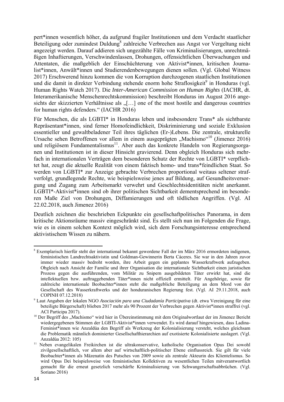pert\*innen wesentlich höher, da aufgrund fragiler Institutionen und dem Verdacht staatlicher Beteiligung oder zumindest Duldung<sup>8</sup> zahlreiche Verbrechen aus Angst vor Vergeltung nicht angezeigt werden. Darauf addieren sich ungezählte Fälle von Kriminalisierungen, unrechtmäßigen Inhaftierungen, Verschwindenlassen, Drohungen, offensichtlichen Überwachungen und Attentaten, die maßgeblich der Einschüchterung von Aktivist\*innen, kritischen Journalist\*innen, Anwält\*innen und Studierendenbewegungen dienen sollen. (Vgl. Global Witness 2017) Erschwerend hinzu kommen die von Korruption durchzogenen staatlichen Institutionen und die damit in direkter Verbindung stehende enorm hohe Straflosigkeit<sup>9</sup> in Honduras (vgl. Human Rights Watch 2017). Die *Inter-American Commission on Human Rights* (IACHR, dt. Interamerikanische Menschenrechtskommission) beschreibt Honduras im August 2016 angesichts der skizzierten Verhältnisse als " $[...]$  one of the most hostile and dangerous countries for human rights defenders." (IACHR 2016)

Für Menschen, die als LGBTI\* in Honduras leben und insbesondere Trans\* als sichtbarste Repräsentant\*innen, sind ferner Homofeindlichkeit, Diskriminierung und soziale Exklusion essentieller und gewaltbeladener Teil ihres täglichen (Er-)Lebens. Die zentrale, strukturelle Ursache sehen Betroffenen vor allem in einem ausgeprägten "Machismo"<sup>10</sup> (Jimenez 2016) und religiösem Fundamentalismus<sup>11</sup>. Aber auch das konkrete Handeln von Regierungsorganen und Institutionen ist in dieser Hinsicht gravierend. Denn obgleich Honduras sich mehrfach in internationalen Verträgen dem besonderen Schutz der Rechte von LGBTI\* verpflichtet hat, zeugt die aktuelle Realität von einem faktisch homo- und trans\*feindlichen Staat. So werden von LGBTI\* zur Anzeige gebrachte Verbrechen proportional weitaus seltener strafverfolgt, grundlegende Rechte, wie beispielsweise jenes auf Bildung, auf Gesundheitsversorgung und Zugang zum Arbeitsmarkt verwehrt und Geschlechtsidentitäten nicht anerkannt. LGBTI\*-Aktivist\*innen sind ob ihrer politischen Sichtbarkeit dementsprechend im besonderen Maße Ziel von Drohungen, Diffamierungen und oft tödlichen Angriffen. (Vgl. AI 22.02.2018, auch Jimenez 2016)

Deutlich zeichnen die beschrieben Eckpunkte ein gesellschaftpolitisches Panorama, in dem kritische Aktionsräume massiv eingeschränkt sind. Es stellt sich nun im Folgenden die Frage, wie es in einem solchen Kontext möglich wird, sich dem Forschungsinteresse entsprechend aktivistischem Wissen zu nähern.

<sup>&</sup>lt;sup>8</sup> Exemplarisch hierfür steht der international bekannt gewordene Fall der im März 2016 ermordeten indigenen, feministischen Landrechtsaktivistin und Goldman-Gewinnerin Berta Cáceres. Sie war in den Jahren zuvor immer wieder massiv bedroht worden, ihre Arbeit gegen ein geplantes Wasserkraftwerk aufzugeben. Obgleich nach Ansicht der Familie und ihrer Organisation die internationale Sichtbarkeit einen juristischen Prozess gegen die ausführenden, vom Militär zu Snipern ausgebildeten Täter erwirkt hat, sind die intellektuellen bzw. auftraggebenden Täter\*innen nicht offiziell ermittelt. Für Angehörige, sowie für zahlreiche internationale Beobachter\*innen steht die maßgebliche Beteiligung an dem Mord von der Gesellschaft des Wasserkraftwerks und der honduranischen Regierung fest. (Vgl. AI 29.11.2018, auch COPINH 07.12.2018)

<sup>9</sup> Laut Angaben der lokalen NGO *Asociación para una Ciudadanía Participativa* (dt. etwa Vereinigung für eine beteiligte Bürgerschaft) blieben 2017 mehr als 90 Prozent der Verbrechen gegen Aktivist\*innen straffrei (vgl. ACI Participa 2017).<br><sup>10</sup> Der Begriff des "Machismo" wird hier in Übereinstimmung mit dem Originalwortlaut der im Jimenez Bericht

wiedergegebenen Stimmen der LGBTI-Aktivist\*innen verwendet. Es wird darauf hingewiesen, dass Ladina-Feminist\*innen wie Anzaldúa den Begriff als Werkzeug der Kolonialisierung versteht, welches gleichsam die Problematik männlich dominierter Gesellschafthierarchien auf exotisierte Kolonialisierte auslagert. (Vgl.

Anzaldúa 2012: 105) 11 Neben evangelikalen Freikirchen ist die ultrakonservative, katholische Organisation Opus Dei sowohl zivilgesellschaftlich, vor allem aber auf wirtschaftlich-politischer Ebene einflussreich. Sie gilt für viele Beobachter\*innen als Mäzenatin des Putsches von 2009 sowie als zentrale Akteurin des Klientelismus. So wird Opus Dei beispielsweise von feministischen Kollektiven zu wesentlichen Teilen mitverantwortlich gemacht für die erneut gesetzlich verschärfte Kriminalisierung von Schwangerschaftsabbrüchen. (Vgl. Soriano 2016)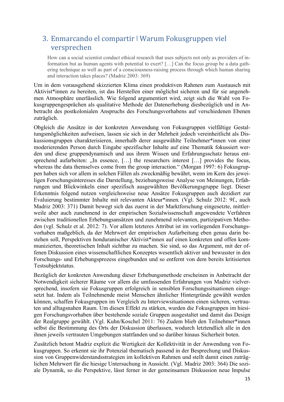## 3. Enmarcando el compartir ǀ Warum Fokusgruppen viel versprechen

How can a social scientist conduct ethical research that uses subjects not only as providers of information but as human agents with potential to exert? […] Can the focus group be a data gathering technique as well as part of a consciousness-raising process through which human sharing and interaction takes places? (Madriz 2003: 369)

Um in dem vorausgehend skizzierten Klima einen produktiven Rahmen zum Austausch mit Aktivist\*innen zu bereiten, ist das Herstellen einer möglichst sicheren und für sie angenehmen Atmosphäre unerlässlich. Wie folgend argumentiert wird, zeigt sich die Wahl von Fokusgruppengesprächen als qualitative Methode der Datenerhebung diesbezüglich und in Anbetracht des postkolonialen Anspruchs des Forschungsvorhabens auf verschiedenen Ebenen zuträglich.

Obgleich die Ansätze in der konkreten Anwendung von Fokusgruppen vielfältige Gestaltungsmöglichkeiten aufweisen, lassen sie sich in der Mehrheit jedoch vereinheitlicht als Diskussionsgruppen charakterisieren, innerhalb derer ausgewählte Teilnehmer\*innen von einer moderierenden Person durch Eingabe spezifischer Inhalte auf eine Thematik fokussiert werden und diese gruppendynamisch und aus ihrem Wissen und Erfahrungsschatz heraus entsprechend aufarbeiten:  $\ldots$  In essence, [ $\ldots$ ] the researchers interest [ $\ldots$ ] provides the focus, whereas the data themselves come from the group interaction." (Morgan 1997: 6) Fokusgruppen haben sich vor allem in solchen Fällen als zweckmäßig bewährt, wenn im Kern des jeweiligen Forschungsinteresses die Darstellung, beziehungsweise Analyse von Meinungen, Erfahrungen und Blickwinkeln einer spezifisch ausgewählten Bevölkerungsgruppe liegt. Dieser Erkenntnis folgend nutzen vergleichsweise neue Ansätze Fokusgruppen auch dezidiert zur Evaluierung bestimmter Inhalte mit relevanten Akteur\*innen. (Vgl. Schulz 2012: 9f., auch Madriz 2003: 371) Damit bewegt sich das zuerst in der Marktforschung eingesetzte, mittlerweile aber auch zunehmend in der empirischen Sozialwissenschaft angewendete Verfahren zwischen traditionellen Erhebungsansätzen und zunehmend relevanten, partizipativen Methoden (vgl. Schulz et al. 2012: 7). Vor allem letzteres Attribut ist im vorliegenden Forschungsvorhaben maßgeblich, da der Mehrwert der empirischen Aufarbeitung eben genau darin bestehen soll, Perspektiven honduranischer Aktivist\*innen auf einen konkreten und offen kommunizierten, theoretischen Inhalt sichtbar zu machen. Sie sind, so das Argument, mit der offenen Diskussion eines wissenschaftlichen Konzeptes wesentlich aktiver und bewusster in den Forschungs- und Erhebungsprozess eingebunden und so entfernt von dem bereits kritisierten Testsubjektstatus.

Bezüglich der konkreten Anwendung dieser Erhebungsmethode erscheinen in Anbetracht der Notwendigkeit sicherer Räume vor allem die umfassenden Erfahrungen von Madriz vielversprechend, insofern sie Fokusgruppen erfolgreich in sensiblen Forschungssituationen eingesetzt hat. Indem als Teilnehmende meist Menschen ähnlicher Hintergründe gewählt werden können, schaffen Fokusgruppen im Vergleich zu Interviewsituationen einen sicheren, vertrauten und alltagsnahen Raum. Um diesen Effekt zu stärken, wurden die Fokusgruppen im hiesigen Forschungsvorhaben über bestehende soziale Gruppen ausgestaltet und damit das Design der Realgruppe gewählt. (Vgl. Kuhn/Koschel 2011: 76) Zudem blieb den Teilnehmer\*innen selbst die Bestimmung des Orts der Diskussion überlassen, wodurch letztendlich alle in den ihnen jeweils vertrauten Umgebungen stattfanden und so darüber hinaus Sicherheit boten.

Zusätzlich betont Madriz explizit die Wertigkeit der Kollektivität in der Anwendung von Fokusgruppen. So erkennt sie ihr Potenzial thematisch passend in der Besprechung und Diskussion von Gruppenwiderstandsstrategien im kollektiven Rahmen und stellt damit einen zuträglichen Mehrwert für die hiesige Untersuchung in Aussicht. (Vgl. Madriz 2003: 364) Die soziale Dynamik, so die Perspektive, lässt ferner in der gemeinsamen Diskussion neue Impulse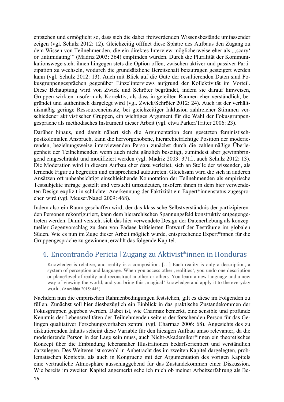entstehen und ermöglicht so, dass sich die dabei freiwerdenden Wissensbestände umfassender zeigen (vgl. Schulz 2012: 12). Gleichzeitig öfffnet diese Sphäre des Aufbaus den Zugang zu dem Wissen von Teilnehmenden, die ein direktes Interview möglicherweise eher als "scary' or ,intimidating" (Madriz 2003: 364) empfinden würden. Durch die Pluralität der Kommunikationswege steht ihnen hingegen stets die Option offen, zwischen aktiver und passiver Partizipation zu wechseln, wodurch die grundsätzliche Bereitschaft beizutragen gesteigert werden kann (vgl. Schulz 2012: 13). Auch mit Blick auf die Güte der resultierenden Daten sind Fokusgruppengesprächen gegenüber Einzelinterviews aufgrund der Kollektivität im Vorteil. Diese Behauptung wird von Zwick und Schröter begründet, indem sie darauf hinweisen, Gruppen wirkten insofern als Korrektiv, als dass in geteilten Räumen eher verständlich, begründet und authentisch dargelegt wird (vgl. Zwick/Schröter 2012: 24). Auch ist der verhältnismäßig geringe Ressourceneinsatz, bei gleichzeitiger Inklusion zahlreicher Stimmen verschiedener aktivistischer Gruppen, ein wichtiges Argument für die Wahl der Fokusgruppengespräche als methodisches Instrument dieser Arbeit (vgl. etwa Parker/Tritter 2006: 23).

Darüber hinaus, und damit nähert sich die Argumentation dem gesetzten feministischpostkolonialen Anspruch, kann die hervorgehobene, hierarchieträchtige Position der moderierenden, beziehungsweise interviewenden Person zunächst durch die zahlenmäßige Überlegenheit der Teilnehmenden wenn auch nicht gänzlich beseitigt, zumindest aber gewinnbringend eingeschränkt und modifiziert werden (vgl. Madriz 2003: 371f., auch Schulz 2012: 13). Die Moderation wird in diesem Aufbau eher dazu verleitet, sich an Stelle der wissenden, als lernende Figur zu begreifen und entsprechend aufzutreten. Gleichsam wird die sich in anderen Ansätzen oft unbeabsichtigt einschleichende Konnotation der Teilnehmenden als empirische Testsubjekte infrage gestellt und versucht umzudeuten, insofern ihnen in dem hier verwendeten Design explizit in schlichter Anerkennung der Faktizität ein Expert\*innenstatus zugesprochen wird (vgl. Meuser/Nagel 2009: 468).

Indem also ein Raum geschaffen wird, der das klassische Selbstverständnis der partizipierenden Personen rekonfiguriert, kann dem hierarchischen Spannungsfeld konstruktiv entgegengetreten werden. Damit versteht sich das hier verwendete Design der Datenerhebung als konzeptueller Gegenvorschlag zu dem von Fadaee kritisierten Entwurf der Testräume im globalen Süden. Wie es nun im Zuge dieser Arbeit möglich wurde, entsprechende Expert\*innen für die Gruppengespräche zu gewinnen, erzählt das folgende Kapitel.

### 4. Encontrando Pericia ǀ Zugang zu Aktivist\*innen in Honduras

Knowledge is relative, and reality is a composition. […] Each reality is only a description, a system of perception and language. When you access other realities', you undo one description or plane/level of reality and reconstruct another or others. You learn a new language and a new way of viewing the world, and you bring this , magical knowledge and apply it to the everyday world. (Anzaldúa 2015: 44f.)

Nachdem nun die empirischen Rahmenbedingungen feststehen, gilt es diese im Folgenden zu füllen. Zunächst soll hier diesbezüglich ein Einblick in das praktische Zustandekommen der Fokusgruppen gegeben werden. Dabei ist, wie Charmaz bemerkt, eine sensible und profunde Kenntnis der Lebensrealitäten der Teilnehmenden seitens der forschenden Person für das Gelingen qualitativer Forschungsvorhaben zentral (vgl. Charmaz 2006: 68). Angesichts des zu diskutierenden Inhalts scheint diese Variable für den hiesigen Aufbau umso relevanter, da die moderierende Person in der Lage sein muss, auch Nicht-Akademiker\*innen ein theoretisches Konzept über die Einbindung lebensnaher Illustrationen bedarfsorientiert und verständlich darzulegen. Des Weiteren ist sowohl in Anbetracht des im zweiten Kapitel dargelegten, problematischen Kontexts, als auch in Kongruenz mit der Argumentation des vorigen Kapitels eine vertrauliche Atmosphäre ausschlaggebend für das Zustandekommen einer Diskussion. Wie bereits im zweiten Kapitel angemerkt sehe ich mich ob meiner Arbeitserfahrung als Be-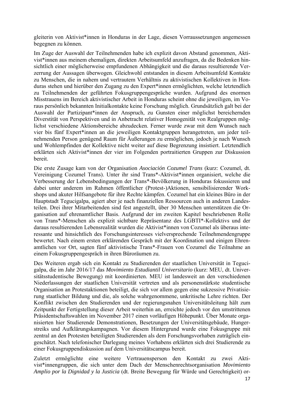gleiterin von Aktivist\*innen in Honduras in der Lage, diesen Vorraussetzungen angemessen begegnen zu können.

Im Zuge der Auswahl der Teilnehmenden habe ich explizit davon Abstand genommen, Aktivist\*innen aus meinem ehemaligen, direkten Arbeitsumfeld anzufragen, da die Bedenken hinsichtlich einer möglicherweise empfundenen Abhängigkeit und die daraus resultierende Verzerrung der Aussagen überwogen. Gleichwohl entstanden in diesem Arbeitsumfeld Kontakte zu Menschen, die in nahem und vertrautem Verhältnis zu aktivistischen Kollektiven in Honduras stehen und hierüber den Zugang zu den Expert\*innen ermöglichten, welche letztendlich zu Teilnehmenden der geführten Fokusgruppengespräche wurden. Aufgrund des enormen Misstrauens im Bereich aktivistischer Arbeit in Honduras scheint ohne die jeweiligen, im Voraus persönlich bekannten Initialkontakte keine Forschung möglich. Grundsätzlich galt bei der Auswahl der Partizipant\*innen der Anspruch, zu Gunsten einer möglichst bereichernden Diverstität von Perspektiven und in Anbetracht relativer Homogenität von Realgruppen möglichst verschiedene Aktionsbereiche abzudecken. Ferner wurde zwar mit dem Wunsch nach vier bis fünf Expert\*innen an die jeweiligen Kontaktgruppen herangetreten, um jeder teilnehmenden Person genügend Raum für Äußerungen zu ermöglichen, jedoch je nach Wunsch und Wohlempfinden der Kollektive nicht weiter auf diese Begrenzung insistiert. Letztendlich erklärten sich Aktivist\*innen der vier im Folgenden portraitierten Gruppen zur Diskussion bereit.

Die erste Zusage kam von der Organisation *Asociación Cozumel Trans* (kurz: Cozumel, dt. Vereinigung Cozumel Trans). Unter ihr sind Trans\*-Aktivist\*innen organisiert, welche die Verbesserung der Lebensbedingungen der Trans\*-Bevölkerung in Honduras fokussieren und dabei unter anderem im Rahmen öffentlicher (Protest-)Aktionen, sensibilisierender Workshops und akuter Hilfsangebote für ihre Rechte kämpfen. Cozumel hat ein kleines Büro in der Hauptstadt Tegucigalpa, agiert aber je nach finanziellen Ressourcen auch in anderen Landesteilen. Drei ihrer Mitarbeitenden sind fest angestellt, über 30 Menschen unterstützen die Organisation auf ehrenamtlicher Basis. Aufgrund der im zweiten Kapitel beschriebenen Rolle von Trans\*-Menschen als explizit sichtbare Repräsentanz des LGBTI\*-Kollektivs und der daraus resultierenden Lebensrealität wurden die Aktivist\*innen von Cozumel als überaus interessante und hinsichtlich des Forschungsinteresses vielversprechende Teilnehmendengruppe bewertet. Nach einem ersten erklärenden Gespräch mit der Koordination und einigen Ehrenamtlichen vor Ort, sagten fünf aktivistische Trans\*-Frauen von Cozumel die Teilnahme an einem Fokusgruppengespräch in ihren Büroräumen zu.

Des Weiteren ergab sich ein Kontakt zu Studierenden der staatlichen Universität in Tegucigalpa, die im Jahr 2016/17 das *Movimiento Estudiantil Universitario* (kurz: MEU, dt. Universitätsstudentische Bewegung) mit koordinierten. MEU ist landesweit an den verschiedenen Niederlassungen der staatlichen Universität vertreten und als personenstärkste studentische Organisation an Protestaktionen beteiligt, die sich vor allem gegen eine sukzessive Privatisierung staatlicher Bildung und die, als solche wahrgenommene, unkritische Lehre richten. Der Konflikt zwischen den Studierenden und der regierungsnahen Universitätsleitung hält zum Zeitpunkt der Fertigstellung dieser Arbeit weiterhin an, erreichte jedoch vor den umstrittenen Präsidentschaftswahlen im November 2017 einen vorläufigen Höhepunkt. Über Monate organisierten hier Studierende Demonstrationen, Besetzungen der Universitätsgebäude, Hungerstreiks und Aufklärungskampagnen. Vor diesem Hintergrund wurde eine Fokusgruppe mit zentral an den Protesten beteiligten Studierenden als dem Forschungsvorhaben zuträglich eingeschätzt. Nach telefonischer Darlegung meines Vorhabens erklärten sich drei Studierende zu einer Fokusgruppendiskussion auf dem Universitätscampus bereit.

Zuletzt ermöglichte eine weitere Vertrauensperson den Kontakt zu zwei Aktivist\*innengruppen, die sich unter dem Dach der Menschenrechtsorganisation *Movimiento Amplio por la Dignidad y la Justicia* (dt. Breite Bewegung für Würde und Gerechtigkeit) or-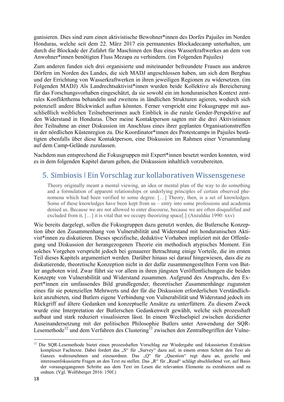ganisieren. Dies sind zum einen aktivistische Bewohner\*innen des Dorfes Pajuiles im Norden Honduras, welche seit dem 22. März 2017 ein permanentes Blockadecamp unterhalten, um durch die Blockade der Zufahrt für Maschinen den Bau eines Wasserkraftwerkes an dem von Anwohner\*innen benötigten Fluss Mezapa zu verhindern. (im Folgenden Pajuiles)

Zum anderen fanden sich drei organisierte und miteinander befreundete Frauen aus anderen Dörfern im Norden des Landes, die sich MADJ angeschlossen haben, um sich dem Bergbau und der Errichtung von Wasserkraftwerken in ihren jeweiligen Regionen zu widersetzen. (im Folgenden MADJ) Als Landrechtsaktivist\*innen wurden beide Kollektive als Bereicherung für das Forschungsvorhaben eingeschätzt, da sie sowohl ein im honduranischen Kontext zentrales Konfliktthema behandeln und zweitens in ländlichen Strukturen agieren, wodurch sich potenziell andere Blickwinkel auftun könnten. Ferner verspricht eine Fokusgruppe mit ausschließlich weiblichen Teilnehmerinnen auch Einblick in die rurale Gender-Perspektive auf den Widerstand in Honduras. Über meine Kontaktperson sagten mir die drei Aktivistinnen ihre Teilnahme an einer Diskussion im Anschluss eines ihrer geplanten Organisationstreffen in der nördlichen Küstenregion zu. Die Koordinator\*innen des Protestcamps in Pajuiles bestätigten ebenfalls über diese Kontaktperson, eine Diskussion im Rahmen einer Versammlung auf dem Camp-Gelände zuzulassen.

Nachdem nun entsprechend die Fokusgruppen mit Expert\*innen besetzt werden konnten, wird es in dem folgenden Kapitel darum gehen, die Diskussion inhaltlich vorzubereiten.

### 5. Simbiosis ǀ Ein Vorschlag zur kollaborativen Wissensgenese

Theory originally meant a mental viewing, an idea or mental plan of the way to do something and a formulation of apparent relationships or underlying principles of certain observed phenomena which had been verified to some degree. […] Theory, then, is a set of knowledges. Some of these knowledges have been kept from us – entry into some professions and academia denied us. Because we are not allowed to enter discourse, because we are often disqualified and excluded from it,  $[\ldots]$  it is vital that we occupy theorizing space[.] (Anzaldúa 1990: xxv)

Wie bereits dargelegt, sollen die Fokusgruppen dazu genutzt werden, die Butlersche Konzeption über den Zusammenhang von Vulnerabilität und Widerstand mit honduranischen Aktivist\*innen zu diskutieren. Dieses spezifische, deduktive Vorhaben impliziert mit der Offenlegung und Diskussion der herangezogenen Theorie ein methodisch atypisches Moment. Ein solches Vorgehen verspricht jedoch bei genauerer Betrachtung einige Vorteile, die im ersten Teil dieses Kapitels argumentiert werden. Darüber hinaus sei darauf hingewiesen, dass die zu diskutierende, theoretische Konzeption nicht in der dafür zusammengestellten Form von Butler angeboten wird. Zwar führt sie vor allem in ihren jüngsten Veröffentlichungen die beiden Konzepte von Vulnerabilität und Widerstand zusammen. Aufgrund des Anspruchs, den Expert\*innen ein umfassendes Bild grundlegender, theoretischer Zusammenhänge zugunsten eines für sie potenziellen Mehrwerts und der für die Diskussion erforderlichen Verständlichkeit anzubieten, sind Butlers eigene Verbindung von Vulnerabilität und Widerstand jedoch im Rückgriff auf ältere Gedanken und konzeptuelle Ansätze zu unterfüttern. Zu diesem Zweck wurde eine Interpretation der Butlerschen Gedankenwelt gewählt, welche sich prozesshaft aufbaut und stark reduziert visualisieren lässt. In einem Wechselspiel zwischen dezidierter Auseinandersetzung mit der politischen Philosophie Butlers unter Anwendung der SQR-Lesemethode<sup>12</sup> und dem Verfahren des Clustering<sup>13</sup> zwischen den Zentralbegriffen der Vulne-

 <sup>12</sup> Die SQR-Lesemethode bietet einen prozesshaften Vorschlag zur Wiedergabe und fokussierten Extraktion komplexer Fachtexte. Dabei fordert das "S" für "Survey" dazu auf, in einem ersten Schritt den Text als Ganzes wahrzunehmen und einzuordnen. Das "Q" für "Question" regt dazu an, gezielte und interessenfokussierte Fragen an den Text zu stellen. Das "R" für "Read" schlägt abschließend vor, auf Basis der vorausgegangenen Schritte aus dem Text im Lesen die relevanten Elemente zu extrahieren und zu ordnen. (Vgl. Wolfsberger 2016: 150f.)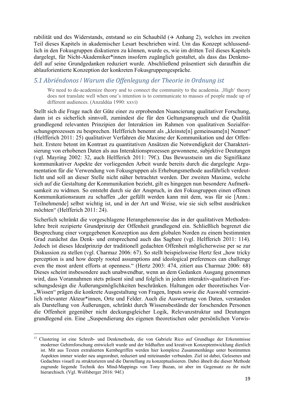rabilität und des Widerstands, entstand so ein Schaubild  $(3)$  Anhang 2), welches im zweiten Teil dieses Kapitels in akademischer Lesart beschrieben wird. Um das Konzept schlussendlich in den Fokusgruppen diskutieren zu können, wurde es, wie im dritten Teil dieses Kapitels dargelegt, für Nicht-Akademiker\*innen insofern zugänglich gestaltet, als dass das Denkmodell auf seine Grundgedanken reduziert wurde. Abschließend präsentiert sich daraufhin die ablauforientierte Konzeption der konkreten Fokusgruppengespräche.

### *5.1 Abriéndonos ǀ Warum die Offenlegung der Theorie in Ordnung ist*

We need to de-academize theory and to connect the community to the academia.  $H$ igh' theory does not translate well when one's intention is to communicate to masses of people made up of different audiences. (Anzaldúa 1990: xxvi)

Stellt sich die Frage nach der Güte einer zu erprobenden Nuancierung qualitativer Forschung, dann ist es sicherlich sinnvoll, zumindest die für den Geltungsanspruch und die Qualität grundlegend relevanten Prinzipien der Interaktion im Rahmen von qualitativen Sozialforschungsprozessen zu besprechen. Helfferich benennt als "kleinste[n] gemeinsame[n] Nenner" (Helfferich 2011: 25) qualitativer Verfahren die Maxime der Kommunikation und der Offenheit. Erstere betont im Kontrast zu quantitativen Ansätzen die Notwendigkeit der Charakterisierung von erhobenen Daten als aus Interaktionsprozessen gewonnene, subjektive Deutungen (vgl. Mayring 2002: 32, auch Helfferich 2011: 79f.). Das Bewusstsein um die Signifikanz kommunikativer Aspekte der vorliegenden Arbeit wurde bereits durch die dargelegte Argumentation für die Verwendung von Fokusgruppen als Erhebungsmethode ausführlich verdeutlicht und soll an dieser Stelle nicht näher betrachtet werden. Der zweiten Maxime, welche sich auf die Gestaltung der Kommunikation bezieht, gilt es hingegen nun besondere Aufmerksamkeit zu widmen. So entsteht durch sie der Anspruch, in den Fokusgruppen einen offenen Kommunikationsraum zu schaffen "der gefüllt werden kann mit dem, was für sie [Anm.: Teilnehmende] selbst wichtig ist, und in der Art und Weise, wie sie sich selbst ausdrücken möchten" (Helfferich 2011: 24).

Sicherlich schränkt die vorgeschlagene Herangehensweise das in der qualitativen Methodenlehre breit rezipierte Grundprinzip der Offenheit grundlegend ein. Schließlich begrenzt die Besprechung einer vorgegebenen Konzeption aus dem globalen Norden zu einem bestimmten Grad zunächst das Denk- und entsprechend auch das Sagbare (vgl. Helfferich 2011: 114). Jedoch ist dieses Idealprinzip der traditionell gedachten Offenheit möglicherweise per se zur Diskussion zu stellen (vgl. Charmaz 2006: 67). So stellt beispielsweise Hertz fest "how tricky perception is and how deeply rooted assumptions and ideological preferences can challenge even the most ardent efforts at openness." (Hertz 2003: 474, zitiert aus Charmaz 2006: 68) Dieses scheint insbesondere auch unabwendbar, wenn an dem Gedanken Ausgang genommen wird, dass Vorannahmen stets präsent sind und folglich in jedem interaktiv-qualitativen Forschungsdesign die Äußerungsmöglichkeiten beschränken. Haltungen oder theoretisches Vor- "Wissen" prägen die konkrete Ausgestaltung von Fragen, Inputs sowie die Auswahl vermeintlich relevanter Akteur\*innen, Orte und Felder. Auch die Auswertung von Daten, verstanden als Darstellung von Äußerungen, schränkt durch Wissensbestände der forschenden Personen die Offenheit gegenüber nicht deckungsgleicher Logik, Relevanzstruktur und Deutungen grundlegend ein. Eine "Suspendierung des eigenen theoretischen oder persönlichen Vorwis-

<u> Andreas Andreas Andreas Andreas Andreas Andreas Andreas Andreas Andreas Andreas Andreas Andreas Andreas Andr</u>

<sup>&</sup>lt;sup>13</sup> Clustering ist eine Schreib- und Denkmethode, die von Gabriele Rico auf Grundlage der Erkenntnisse moderner Gehirnforschung entwickelt wurde und der bildhaften und kreativen Konzeptentwicklung dienlich ist. Mit aus Texten extrahierten Kernbegriffen werden hier komplexe Zusammenhänge unter bestimmten Aspekten immer wieder neu angeordnet, reduziert und miteinander verbunden. Ziel ist dabei, Gelesenes und Gedachtes visuell zu strukturieren und die Darstellung zu konzeptualisieren. Dabei ähnelt die dieser Methode zugrunde liegende Technik des Mind-Mappings von Tony Buzan, ist aber im Gegensatz zu ihr nicht hierarchisch. (Vgl. Wolfsberger 2016: 94f.)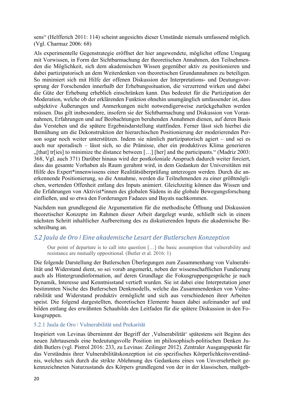sens" (Helfferich 2011: 114) scheint angesichts dieser Umstände niemals umfassend möglich. (Vgl. Charmaz 2006: 68)

Als experimentelle Gegenstrategie eröffnet der hier angewendete, möglichst offene Umgang mit Vorwissen, in Form der Sichtbarmachung der theoretischen Annahmen, den Teilnehmenden die Möglichkeit, sich dem akademischen Wissen gegenüber aktiv zu positionieren und dabei partizipatorisch an dem Weiterdenken von theoretischen Grundannahmen zu beteiligen. So minimiert sich mit Hilfe der offenen Diskussion der Interpretations- und Deutungsvorsprung der Forschenden innerhalb der Erhebungssituation, die verzerrend wirken und dabei die Güte der Erhebung erheblich einschränken kann. Das bedeutet für die Partizipation der Moderation, welche ob der erklärenden Funktion ohnehin unumgänglich umfassender ist, dass subjektive Äußerungen und Anmerkungen nicht notwendigerweise zurückgehalten werden müssen. Das gilt insbesondere, insofern sie der Sichtbarmachung und Diskussion von Vorannahmen, Erfahrungen und auf Beobachtungen beruhenden Annahmen dienen, auf deren Basis das Verstehen und die spätere Ergebnisdarstellung stattfinden. Ferner lässt sich hierbei die Bemühung um die Dekonstruktion der hierarchischen Positionierung der moderierenden Person sogar noch weiter unterstützen. Indem sie nämlich partizipatorisch agiert – und sei es auch nur sporadisch – lässt sich, so die Prämisse, eher ein produktives Klima generieren  $\eta$ [that] tr[ies] to minimize the distance between [...] [her] and the participants." (Madriz 2003: 368, Vgl. auch 371) Darüber hinaus wird der postkoloniale Anspruch dadurch weiter forciert, dass das gesamte Vorhaben als Raum gerahmt wird, in dem Gedanken der Universitäten mit Hilfe des Expert\*innenwissens einer Realitätsüberprüfung unterzogen werden. Durch die anerkennende Positionierung, so die Annahme, werden die Teilnehmenden zu einer größtmöglichen, wertenden Offenheit entlang des Inputs animiert. Gleichzeitig können das Wissen und die Erfahrungen von Aktivist\*innen des globalen Südens in die globale Bewegungsforschung einfließen, und so etwa den Forderungen Fadaees und Bayats nachkommen.

Nachdem nun grundlegend die Argumentation für die methodische Öffnung und Diskussion theoretischer Konzepte im Rahmen dieser Arbeit dargelegt wurde, schließt sich in einem nächsten Schritt inhaltlicher Aufbereitung des zu diskutierenden Inputs die akademische Beschreibung an.

### *5.2 Jaula de Oro ǀ Eine akademische Lesart der Butlerschen Konzeption*

Our point of departure is to call into question […] the basic assumption that vulnerability and resistance are mutually oppositional. (Butler et al. 2016: 1)

Die folgende Darstellung der Butlerschen Überlegungen zum Zusammenhang von Vulnerabilität und Widerstand dient, so sei vorab angemerkt, neben der wissenschaftlichen Fundierung auch als Hintergrundinformation, auf deren Grundlage die Fokusgruppengespräche je nach Dynamik, Interesse und Kenntnisstand vertieft wurden. Sie ist dabei eine Interpretation jener bestimmten Nische des Butlerschen Denkmodells, welche das Zusammendenken von Vulnerabilität und Widerstand produktiv ermöglicht und sich aus verschiedenen ihrer Arbeiten speist. Die folgend dargestellten, theoretischen Elemente bauen dabei aufeinander auf und bilden entlang des erwähnten Schaubilds den Leitfaden für die spätere Diskussion in den Fokusgruppen.

#### 5.2.1 Jaula de Oro ǀ Vulnerabilität und Prekarität

Inspiriert von Levinas übernimmt der Begriff der , Vulnerabilität' spätestens seit Beginn des neuen Jahrtausends eine bedeutungsvolle Position im philosophisch-politischen Denken Judith Butlers (vgl. Pistrol 2016: 233, zu Levinas: Zeilinger 2012). Zentraler Ausgangspunkt für das Verständnis ihrer Vulnerabilitätskonzeption ist ein spezifisches Körperlichkeitsverständnis, welches sich durch die strikte Ablehnung des Gedankens eines von Unversehrtheit gekennzeichneten Naturzustands des Körpers grundlegend von der in der klassischen, maßgeb-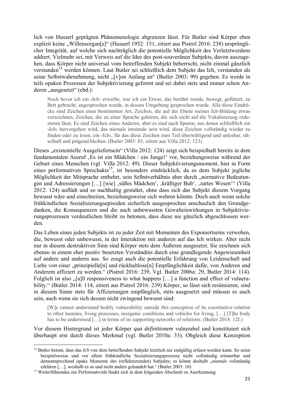lich von Husserl geprägten Phänomenologie abgrenzen lässt. Für Butler sind Körper eben explizit keine "Willensorgan[e]" (Husserl 1952: 151, zitiert aus Pistrol 2016: 238) ursprünglicher Integrität, auf welche sich nachträglich die potentielle Möglichkeit des Verletztwerdens addiert. Vielmehr sei, mit Verweis auf die Idee des post-souveränen Subjekts, davon auszugehen, dass Körper nicht universal vom betreffenden Subjekt beherrscht, nicht einmal gänzlich verstanden<sup>14</sup> werden können. Laut Butler sei schließlich dem Subjekt das Ich, verstanden als seine Selbstwahrnehmung, nicht "[v]on Anfang an" (Butler 2003: 99) gegeben. Es werde in teils opaken Prozessen der Subjektivierung geformt und sei dabei stets und immer schon Anderen "ausgesetzt" (ebd.):

Noch bevor ich ein ›Ich‹ erwerbe, war ich ein Etwas, das berührt wurde, bewegt, gefüttert, zu Bett gebracht, angesprochen wurde, in dessen Umgebung gesprochen wurde. Alle diese Eindrücke sind Zeichen einer bestimmten Art, Zeichen, die auf der Ebene meiner Ich-Bildung etwas verzeichnen, Zeichen, die zu einer Sprache gehören, die sich nicht auf die Vokalisierung reduzieren lässt. Es sind Zeichen eines Anderen, aber es sind auch Spuren, aus denen schließlich ein ›Ich‹ hervorgehen wird, das niemals imstande sein wird, diese Zeichen vollständig wieder zu finden oder zu lesen, ein ›Ich‹, für das diese Zeichen zum Teil überwältigend und unlesbar, rätselhaft und prägend bleiben. (Butler 2003: 85, zitiert aus Villa 2012: 123)

Dieses "existentielle Ausgeliefertsein" (Villa 2012: 124) zeigt sich beispielhaft bereits in dem fundamentalen Ausruf , Es ist ein Mädchen / ein Junge!' vor, beziehungsweise während der Geburt eines Menschen (vgl. Villa 2012: 49). Dieser Subjektivierungsmoment, hier in Form eines performativen Sprechakts<sup>15</sup>, ist besonders eindrücklich, da es dem Subjekt jegliche Möglichkeit der Mitsprache entbehrt, sein Selbstverhältnis aber durch "normative Bedeutungen und Adressierungen [...] [wie]  $\mathbf{I}$ , süßes Mädchen',  $\mathbf{I}$ , kräftiger Bub',  $\mathbf{I}$ zartes Wesen'" (Villa 2012: 124) auflädt und so nachhaltig gestaltet, ohne dass sich das Subjekt diesem Vorgang bewusst wäre und einschreiten, beziehungsweise sich wehren könnte. Doch auch wenn solche frühkindlichen Sozialisierungsepisoden sicherlich ausgesprochen anschaulich den Grundgedanken, die Konsequenzen und die auch unbewussten Gewalteinwirkungen in Subjektivierungsprozessen verdeutlichen bleibt zu betonen, dass diese nie gänzlich abgeschlossen werden.

Das Leben eines jeden Subjekts ist zu jeder Zeit mit Momenten des Exponiertseins verwoben, die, bewusst oder unbewusst, in der Interaktion mit anderen auf das Ich wirken. Aber nicht nur in diesem destruktiven Sinn sind Körper stets dem Äußeren ausgesetzt. Sie zeichnen sich ebenso in einem eher positiv besetzten Verständnis durch eine grundlegende Angewiesenheit auf andere und anderes aus. So zeugt auch die potentielle Erfahrung von Leidenschaft und Liebe von einer "prinzipielle[n] und rückhaltlose[n] Empfänglichkeit dafür, von Anderen und Anderem affiziert zu werden." (Pistrol 2016: 239, Vgl. Butler 2006a: 29, Butler 2014: 114). Folglich ist also  $\sqrt{a}$ [a]ll responsiveness to what happens [...] a function and effect of vulnerability." (Butler 2014: 114, zitiert aus Pistrol 2016: 239) Körper, so lässt sich resümieren, sind in diesem Sinne stets für Affizierungen empfänglich, stets ausgesetzt und müssen es auch sein, auch wenn sie sich dessen nicht zwingend bewusst sind:

[W]e cannot understand bodily vulnerability outside this conception of its constitutive relation to other humans, living processes, inorganic conditions and vehicles for living. […] [T]he body has to be understood [...] in terms of its supporting networks of relations. (Butler 2014: 12f.)

Vor diesem Hintergrund ist jeder Körper *qua definitionem* vulnerabel und konstituiert sich überhaupt erst durch dieses Merkmal (vgl. Butler 2010a: 33). Obgleich diese Konzeption

<sup>&</sup>lt;sup>14</sup> Butler betont, dass das *Ich* von dem betreffenden Subjekt letztlich nie endgültig erfasst werden kann. So seien beispielsweise und vor allem frühkindliche Sozialisierungsprozesse nicht vollständig erinnerbar und dementsprechend opake Momente des (reflektierenden) Subjekts; es könne deshalb "niemals vollständig erklären […], weshalb es so und nicht anders gehandelt hat." (Butler 2003: 10) 15 Weiterführendes zur Performativität findet sich in dem folgenden Abschnitt zu Anerkennung.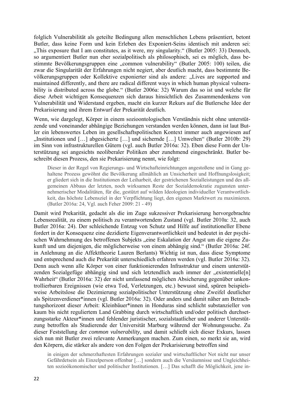folglich Vulnerabilität als geteilte Bedingung allen menschlichen Lebens präsentiert, betont Butler, dass keine Form und kein Erleben des Exponiert-Seins identisch mit anderen sei: "This exposure that I am constitutes, as it were, my singularity." (Butler 2005: 33) Dennoch, so argumentiert Butler nun eher sozialpolitisch als philosophisch, sei es möglich, dass bestimmte Bevölkerungsgruppen eine "common vulnerability" (Butler 2005: 100) teilen, die zwar die Singularität der Erfahrungen nicht negiert, aber deutlich macht, dass bestimmte Bevölkerungsgruppen oder Kollektive exponierter sind als andere: "Lives are supported and maintained differently, and there are radical different ways in which human physical vulnerability is distributed across the globe." (Butler 2006a: 32) Warum das so ist und welche für diese Arbeit wichtigen Konsequenzen sich daraus hinsichtlich des Zusammendenkens von Vulnerabilität und Widerstand ergeben, macht ein kurzer Rekurs auf die Butlersche Idee der Prekarisierung und ihrem Entwurf der Prekarität deutlich.

Wenn, wie dargelegt, Körper in einem sozioontologischen Verständnis nicht ohne unterstützende und voneinander abhängige Beziehungen verstanden werden können, dann ist laut Butler ein lebenswertes Leben im gesellschaftspolitischen Kontext immer auch angewiesen auf "Institutionen und […] abgesicherte […] und sichernde […] Umwelten" (Butler 2010b: 29) im Sinn von infrastrukturellen Gütern (vgl. auch Butler 2016a: 32). Eben diese Form der Unterstützung sei angesichts neoliberaler Politiken aber zunehmend eingeschränkt. Butler beschreibt diesen Prozess, den sie Prekarisierung nennt, wie folgt:

Dieser in der Regel von Regierungs- und Wirtschafteinrichtungen angestoßene und in Gang gehaltene Prozess gewöhnt die Bevölkerung allmählich an Unsicherheit und Hoffnungslosigkeit; er gliedert sich in die Institutionen der Leiharbeit, der gestrichenen Sozialleistungen und des allgemeinen Abbaus der letzten, noch wirksamen Reste der Sozialdemokratie zugunsten unternehmerischer Modalitäten, für die, gestützt auf wilden Ideologien individueller Verantwortlichkeit, das höchste Lebensziel in der Verpflichtung liegt, den eigenen Marktwert zu maximieren. (Butler 2016a: 24, Vgl. auch Feher 2009: 21 - 49)

Damit wird Prekarität, gedacht als die im Zuge sukzessiver Prekarisierung hervorgebrachte Lebensrealität, zu einem politisch zu verantwortendem Zustand (vgl. Butler 2010a: 32, auch Butler 2016a: 24). Der schleichende Entzug von Schutz und Hilfe auf institutioneller Ebene fordert in der Konsequenz eine dezidierte Eigenverantwortlichkeit und bedeutet in der psychischen Wahrnehmung des betroffenen Subjekts "eine Eskalation der Angst um die eigene Zukunft und um diejenigen, die möglicherweise von einem abhängig sind." (Butler 2016a: 24f. in Anlehnung an die Affekttheorie Lauren Berlants) Wichtig ist nun, dass diese Symptome und entsprechend auch die Prekarität unterschiedlich erfahren werden (vgl. Butler 2016a: 32). Denn auch wenn alle Körper von einer funktionierenden Infrastruktur und einem unterstützenden Sozialgefüge abhängig sind und sich letztendlich auch immer der "existentielle[n] Wahrheit" (Butler 2016a: 32) der nicht umfassend möglichen Absicherung gegenüber unkontrollierbaren Ereignissen (wie etwa Tod, Verletzungen, etc.) bewusst sind, spüren beispielsweise Arbeitslose die Dezimierung sozialpolitischer Unterstützung ohne Zweifel deutlicher als Spitzenverdiener\*innen (vgl. Butler 2016a: 32). Oder anders und damit näher am Betrachtungshorizont dieser Arbeit: Kleinbäuer\*innen in Honduras sind schlicht substanzieller von kaum bis nicht reguliertem Land Grabbing durch wirtschaftlich und/oder politisch durchsetzungsstarke Akteur\*innen und fehlender juristischer, sozialstaatlicher und anderer Unterstützung betroffen als Studierende der Universität Marburg während der Wohnungssuche. Zu dieser Feststellung der *common vulnerability*, und damit schließt sich dieser Exkurs, lassen sich nun mit Butler zwei relevante Anmerkungen machen. Zum einen, so merkt sie an, wird den Körpern, die stärker als andere von den Folgen der Prekarisierung betroffen sind

in einigen der schmerzhaftesten Erfahrungen sozialer und wirtschaftlicher Not nicht nur unser Gefährdetsein als Einzelperson offenbar […] sondern auch die Versäumnisse und Ungleichheiten sozioökonomischer und politischer Institutionen. […] Das schafft die Möglichkeit, jene in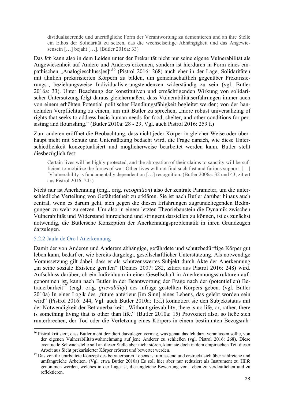dividualisierende und unerträgliche Form der Verantwortung zu demontieren und an ihre Stelle ein Ethos der Solidarität zu setzen, das die wechselseitige Abhängigkeit und das Angewiesensein […] bejaht […]. (Butler 2016a: 33)

Das *Ich* kann also in dem Leiden unter der Prekarität nicht nur seine eigene Vulnerabilität als Angewiesenheit auf Andere und Anderes erkennen, sondern ist hierdurch in Form eines empathischen "Analogieschluss[es]"<sup>16</sup> (Pistrol 2016: 268) auch eher in der Lage, Solidaritäten mit ähnlich prekarisierten Körpern zu bilden, um gemeinschaftlich gegenüber Prekarisierungs-, beziehungsweise Individualisierungstendenzen widerständig zu sein (vgl. Butler 2016a: 33). Unter Beachtung der konstitutiven und ermächtigenden Wirkung von solidarischer Untersützung folgt daraus gleichermaßen, dass Vulnerabilitätserfahrungen immer auch von einem erhöhten Potential politischer Handlungsfähigkeit begleitet werden; von der handelnden Verpflichtung zu einem, um mit Butler zu sprechen, "more robust universalizing of rights that seeks to address basic human needs for food, shelter, and other conditions for persisting and flourishing." (Butler 2010a: 28 - 29, Vgl. auch Pistrol 2016: 259 f.)

Zum anderen eröffnet die Beobachtung, dass nicht jeder Körper in gleicher Weise oder überhaupt nicht mit Schutz und Unterstützung bedacht wird, die Frage danach, wie diese Unterschiedlichkeit konzeptualisiert und möglicherweise bearbeitet werden kann. Butler stellt diesbezüglich fest:

Certain lives will be highly protected, and the abrogation of their claims to sanctity will be sufficient to mobilize the forces of war. Other lives will not find such fast and furious support. […] [V]ulnerability is fundamentally dependent on […] recognition. (Butler 2006a: 32 und 43, zitiert aus Pistrol 2016: 245)

Nicht nur ist Anerkennung (engl. orig. *recognition*) also der zentrale Parameter, um die unterschiedliche Verteilung von Gefährdetheit zu erklären. Sie ist nach Butler darüber hinaus auch zentral, wenn es darum geht, sich gegen die diesen Erfahrungen zugrundeliegenden Bedingungen zu wehr zu setzen. Um also in einem letzten Theoriebaustein die Dynamik zwischen Vulnerabilität und Widerstand hinreichend und stringent darstellen zu können, ist es zunächst notwendig, die Butlersche Konzeption der Anerkennungsproblematik in ihren Grundzügen darzulegen.

#### 5.2.2 Jaula de Oro ǀ Anerkennung

Damit der von Anderen und Anderem abhängige, gefährdete und schutzbedürftige Körper gut leben kann, bedarf er, wie bereits dargelegt, gesellschaftlicher Unterstützung. Als notwendige Voraussetzung gilt dabei, dass er als schützenswertes Subjekt durch Akte der Anerkennung "in seine soziale Existenz gerufen" (Deines 2007: 282, zitiert aus Pistrol 2016: 248) wird. Aufschluss darüber, ob ein Individuum in einer Gesellschaft in Anerkennungsstrukturen aufgenommen ist, kann nach Butler in der Beantwortung der Frage nach der (potentiellen) Betrauerbarkeit<sup>17</sup> (engl. orig. *grievability*) des infrage gestellten Körpers geben. (vgl. Butler 2010a) In einer Logik des "future antérieur [im Sinn] eines Lebens, das gelebt worden sein wird" (Pistrol 2016: 244, Vgl. auch Butler 2010a: 15f.) konnotiert sie den Subjektstatus mit der Notwendigkeit der Betrauerbarkeit: "Without grievability, there is no life, or, rather, there is something living that is other than life." (Butler 2010a: 15) Provoziert also, so ließe sich runterbrechen, der Tod oder die Verletzung eines Körpers in einem bestimmten Bezugsrah-

<sup>16</sup> Pistrol kritisiert, dass Butler nicht dezidiert darzulegen vermag, was genau das Ich dazu veranlassen sollte, von der eigenen Vulnerabilitätswahrnehmung auf jene Anderer zu schließen (vgl. Pistrol 2016: 268). Diese eventuelle Schwachstelle soll an dieser Stelle aber nicht stören, kann sie doch in dem empirischen Teil dieser Arbeit aus Sicht prekarisierter Körper erörtert und bewertet werden.<br><sup>17</sup> Das von ihr erarbeitete Konzept des betrauerbaren Lebens ist umfassend und erstreckt sich über zahlreiche und

umfangreiche Arbeiten. (Vgl. etwa Butler 2010a) Es soll hier aber nur reduziert als Instrument zu Hilfe genommen werden, welches in der Lage ist, die ungleiche Bewertung von Leben zu verdeutlichen und zu reflektieren.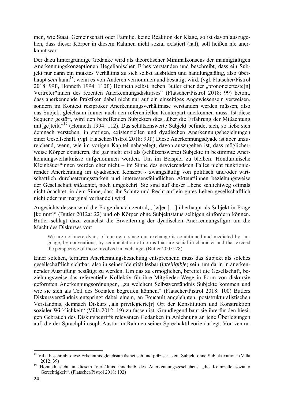men, wie Staat, Gemeinschaft oder Familie, keine Reaktion der Klage, so ist davon auszugehen, dass dieser Körper in diesem Rahmen nicht sozial existiert (hat), soll heißen nie anerkannt war.

Der dazu hintergründige Gedanke wird als theoretischer Minimalkonsens der mannigfaltigen Anerkennungskonzeptionen Hegelianischen Erbes verstanden und beschreibt, dass ein Subjekt nur dann ein intaktes Verhältnis zu sich selbst ausbilden und handlungsfähig, also überhaupt *sein* kann<sup>18</sup>, wenn es von Anderen vernommen und bestätigt wird. (vgl. Flatscher/Pistrol 2018: 99f., Honneth 1994: 110f.) Honneth selbst, neben Butler einer der "prononcierteste[n] Vertreter\*innen des rezenten Anerkennungsdiskurses" (Flatscher/Pistrol 2018: 99) betont, dass anerkennende Praktiken dabei nicht nur auf ein einseitiges Angewiesensein verweisen, sondern im Kontext reziproker Anerkennungsverhältnisse verstanden werden müssen, also das Subjekt gleichsam immer auch den referentiellen Konterpart anerkennen muss. Ist diese Sequenz gestört, wird den betreffenden Subjekten dies "über die Erfahrung der Mißachtung mit[ge]teilt."19 (Honneth 1994: 112). Das schützenswerte Subjekt befindet sich, so ließe sich demnach verstehen, in stetigen, existenziellen und dyadischen Anerkennungsbeziehungen einer Gesellschaft. (vgl. Flatscher/Pistrol 2018: 99f.) Diese Anerkennungsdyade ist aber unzureichend, wenn, wie im vorigen Kapitel nahegelegt, davon auszugehen ist, dass möglicherweise Körper existieren, die gar nicht erst als (schützenswerte) Subjekte in bestimmte Anerkennungsverhältnisse aufgenommen werden. Um im Beispiel zu bleiben: Honduranische Kleinbäuer\*innen werden eher nicht – im Sinne des gravierendsten Falles nicht funktionierender Anerkennung im dyadischen Konzept - zwangsläufig von politisch und/oder wirtschaftlich durchsetzungsstarken und interessensfeindlichen Akteur\*innen beziehungsweise der Gesellschaft *miß*achtet, noch umgekehrt. Sie sind auf dieser Ebene schlichtweg oftmals nicht *be*achtet, in dem Sinne, dass ihr Schutz und Recht auf ein gutes Leben gesellschaftlich nicht oder nur marginal verhandelt wird.

Angesichts dessen wird die Frage danach zentral, "[w]er [...] überhaupt als Subjekt in Frage [kommt]" (Butler 2012a: 22) und ob Körper ohne Subjektstatus selbigen einfordern können. Butler schlägt dazu zunächst die Erweiterung der dyadischen Anerkennungsfigur um die Macht des Diskurses vor:

We are not mere dyads of our own, since our exchange is conditioned and mediated by language, by conventions, by sedimentation of norms that are social in character and that exceed the perspective of those involved in exchange. (Butler 2005: 28)

Einer solchen, ternären Anerkennungsbeziehung entsprechend muss das Subjekt als solches gesellschaftlich sichtbar, also in seiner Identität lesbar (*intelligible*) sein, um darin in anerkennender Ausrufung bestätigt zu werden. Um das zu ermöglichen, bereitet die Gesellschaft, beziehungsweise das referentielle Kollektiv für ihre Mitglieder Wege in Form von diskursiv geformten Anerkennungsordnungen, "zu welchem Selbstverständnis Subjekte kommen und wie sie sich als Teil des Sozialen begreifen können." (Flatscher/Pistrol 2018: 100) Butlers Diskursverständnis entspringt dabei einem, an Foucault angelehnten, poststrukturalistischen Verständnis, demnach Diskurs "als privilegierte[r] Ort der Konstitution und Konstruktion sozialer Wirklichkeit" (Villa 2012: 19) zu fassen ist. Grundlegend baut sie ihre für den hiesigen Gebrauch des Diskursbegriffs relevanten Gedanken in Anlehnung an jene Überlegungen auf, die der Sprachphilosoph Austin im Rahmen seiner Sprechakttheorie darlegt. Von zentra-

 <sup>18</sup> Villa beschreibt diese Erkenntnis gleichsam ästhetisch und präzise: "kein Subjekt ohne Subjektivation" (Villa

<sup>2012: 39)&</sup>lt;br><sup>19</sup> Honneth sieht in diesem Verhältnis innerhalb des Anerkennungsgeschehens "die Keimzelle sozialer Gerechtigkeit". (Flatscher/Pistrol 2018: 102)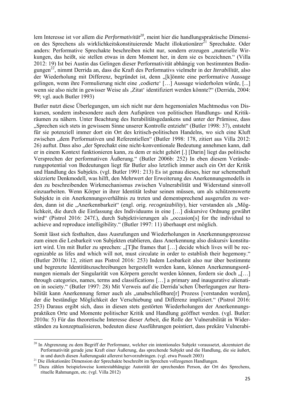lem Interesse ist vor allem die *Performativität<sup>20</sup>*, meint hier die handlungspraktische Dimension des Sprechens als wirklichkeitskonstituierende Macht illokutionärer<sup>21</sup> Sprechakte. Oder anders: Performative Sprechakte beschreiben nicht nur, sondern erzeugen "materielle Wirkungen, das heißt, sie stellen etwas in dem Moment her, in dem sie es bezeichnen." (Villa 2012: 19) Ist bei Austin das Gelingen dieser Performativität abhängig von bestimmten Bedingungen22, nimmt Derrida an, dass die Kraft des Performativs vielmehr in der *Iterabilität*, also der Wiederholung mit Differenz, begründet ist, denn "[k]önnte eine performative Aussage gelingen, wenn ihre Formulierung nicht eine ,codierte' [...] Aussage wiederholen würde, [...] wenn sie also nicht in gewisser Weise als "Zitat' identifiziert werden könnte?" (Derrida, 2004: 99; vgl. auch Butler 1993)

Butler nutzt diese Überlegungen, um sich nicht nur dem hegemonialen Machtmodus von Diskursen, sondern insbesondere auch dem Aufspüren von politischen Handlungs- und Kritikräumen zu nähern. Unter Beachtung des Iterabilitätsgedankens und unter der Prämisse, dass "Sprechen sich stets in gewissem Sinne unserer Kontrolle entzieht" (Butler 1998: 37), entsteht für sie potenziell immer dort ein Ort des kritisch-politischen Handelns, wo sich eine Kluft zwischen "dem Performativen und Referentiellen" (Butler 1998: 178, zitiert aus Villa 2012: 26) auftut. Dass also "der Sprechakt eine nicht-konventionale Bedeutung annehmen kann, daß er in einem Kontext funktionieren kann, zu dem er nicht gehört [.] [Darin] liegt das politische Versprechen der performativen Äußerung." (Butler 2006b: 252) In eben diesem Veränderungspotential von Bedeutungen liegt für Butler also letztlich immer auch ein Ort der Kritik und Handlung des Subjekts. (vgl. Butler 1991: 213) Es ist genau dieses, hier nur schemenhaft skizzierte Denkmodell, was hilft, den Mehrwert der Erweiterung des Anerkennungsmodells in den zu beschreibenden Wirkmechanismus zwischen Vulnerabilität und Widerstand sinnvoll einzuarbeiten. Wenn Körper in ihrer Identität lesbar seinen müssen, um als schützenswerte Subjekte in ein Anerkennungsverhältnis zu treten und dementsprechend ausgerufen zu werden, dann ist die "Anerkennbarkeit" (engl. orig. *recognizability*), hier verstanden als "Möglichkeit, die durch die Einfassung des Individuums in eine […] diskursive Ordnung gewährt wird" (Pistrol 2016: 247f.), durch Subjektivierungen als "occasion[s] for the individual to achieve and reproduce intelligibility." (Butler 1997: 11) überhaupt erst möglich.

Somit lässt sich festhalten, dass Ausrufungen und Wiederholungen in Anerkennungsprozesse zum einen die Lesbarkeit von Subjekten etablieren, dass Anerkennung also diskursiv konstituiert wird. Um mit Butler zu sprechen: "[T]he frames that  $[\dots]$  decide which lives will be recognizable as lifes and which will not, must circulate in order to establish their hegemony." (Butler 2010a: 12, zitiert aus Pistrol 2016: 253) Indem Lesbarkeit also nur über bestimmte und begrenzte Identitätszuschreibungen hergestellt werden kann, können Anerkennungsordnungen niemals der Singularität von Körpern gerecht werden können, fordern sie doch "[…] through categories, names, terms and classifications […] a primary and inaugurative alienation in society." (Butler 1997: 28) Mit Verweis auf die Derrida'schen Überlegungen zur Iterabilität kann Anerkennung ferner auch als "unabschließbare[r] Prozess [verstanden werden], der die beständige Möglichkeit der Verschiebung und Differenz impliziert." (Pistrol 2016: 253) Daraus ergibt sich, dass in diesen stets gestörten Wiederholungen der Anerkennungspraktiken Orte und Momente politischer Kritik und Handlung geöffnet werden. (vgl. Butler: 2010a: 5) Für das theoretische Interesse dieser Arbeit, die Rolle der Vulnerabilität in Widerständen zu konzeptualisieren, bedeuten diese Ausführungen pointiert, dass prekäre Vulnerabi-

 <sup>20</sup> In Abgrenzung zu dem Begriff der Performanz, welcher ein intentionales Subjekt voraussetzt, akzentuiert die Performativität gerade jene Kraft einer Äußerung, das sprechende Subjekt und die Handlung, die sie äußert, in und durch diesen Äußerungsakt allererst hervorzubringen. (vgl. etwa Posselt 2003)<br><sup>21</sup> Die illokutionäre Dimension der Sprechakte beschreibt im Sprechen vollzogenen Handlungen.<br><sup>22</sup> Dazu zählen beispielsweise kontextabh

rituelle Rahmungen, etc. (vgl. Villa 2012)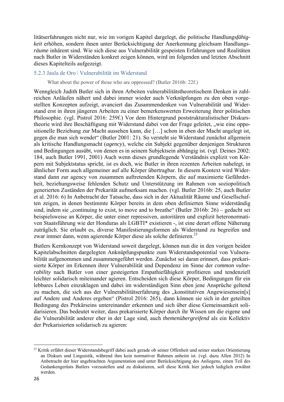litätserfahrungen nicht nur, wie im vorigen Kapitel dargelegt, die politische Handlungs*fähigkeit* erhöhen, sondern ihnen unter Berücksichtigung der Anerkennung gleichsam Handlungs*räume* inhärent sind. Wie sich diese aus Vulnerabilität gespeisten Erfahrungen und Realitäten nach Butler in Widerständen konkret zeigen können, wird im folgenden und letzten Abschnitt dieses Kapitelteils aufgezeigt.

#### 5.2.3 Jaula de Oro ǀ Vulnerabilität im Widerstand

What about the power of those who are oppressed? (Butler 2016b: 22f.)

Wenngleich Judith Butler sich in ihren Arbeiten vulnerabilitätstheoretischem Denken in zahlreichen Anläufen nähert und dabei immer wieder auch Verknüpfungen zu den oben vorgestellten Konzepten aufzeigt, avanciert das Zusammendenken von Vulnerabilität und Widerstand erst in ihren jüngeren Arbeiten zu einer bemerkenswerten Erweiterung ihrer politischen Philosophie. (vgl. Pistrol 2016: 259f.) Vor dem Hintergrund poststrukturalistischer Diskurstheorie wird ihre Beschäftigung mit Widerstand dabei von der Frage geleitet, "wie eine oppositionelle Beziehung zur Macht aussehen kann, die […] schon in eben der Macht angelegt ist, gegen die man sich wendet" (Butler 2001: 21). So versteht sie Widerstand zunächst allgemein als kritische Handlungsmacht (*agency*), welche ein Subjekt gegenüber denjenigen Strukturen und Bedingungen ausübt, von denen es in seinem Subjektsein abhängig ist. (vgl. Deines 2002: 184, auch Butler 1991, 2001) Auch wenn dieses grundlegende Verständnis explizit von Körpern mit Subjektstatus spricht, ist es doch, wie Butler in ihren rezenten Arbeiten nahelegt, in ähnlicher Form auch allgemeiner auf alle Körper übertragbar. In diesem Kontext wird Widerstand dann zur agency von zusammen auftretenden Körpern, die auf maximierte Gefährdetheit, beziehungsweise fehlenden Schutz und Unterstützung im Rahmen von soziopolitisch generierten Zuständen der Prekarität aufmerksam machen. (vgl. Butler 2016b: 25, auch Butler et al. 2016: 6) In Anbetracht der Tatsache, dass sich in der Aktualität Räume und Gesellschaften zeigen, in denen bestimmte Körper bereits in dem oben definierten Sinne widerständig sind, indem sie "continuing to exist, to move and to breathe" (Butler 2016b:  $26$ ) – gedacht sei beispielsweise an Körper, die unter einer repressiven, autoritären und explizit heteronormativen Staatsführung wie der Honduras als LGBTI\* existieren -, ist eine derart offene Näherung zuträglich. Sie erlaubt es, diverse Manifestierungsformen als Widerstand zu begreifen und zwar immer dann, wenn agierende Körper diese als solche definieren.<sup>23</sup>

Butlers Kernkonzept von Widerstand soweit dargelegt, können nun die in den vorigen beiden Kapitelabschnitten dargelegten Anknüpfungspunkte zum Widerstandspotential von Vulnerabilität aufgenommen und zusammengeführt werden. Zunächst sei daran erinnert, dass prekarisierte Körper im Erkennen ihrer Vulnerabilität und Dependenz im Sinne der *common vulnerability* nach Butler von einer gesteigerten Empathiefähigkeit profitieren und tendenziell leichter solidarisch miteinander agieren. Entscheiden sich diese Körper, Bedingungen für ein lebbares Leben einzuklagen und dabei im widerständigen Sinn eben jene Ansprüche geltend zu machen, die sich aus der Vulnerabilitätserfahrung des "konstitutiven Angewiesensein[s] auf Andere und Anderes ergeben" (Pistrol 2016: 265), dann können sie sich in der geteilten Bedingung des Prekärseins untereinander erkennen und sich über diese Gemeinsamkeit solidarisieren. Das bedeutet weiter, dass prekarisierte Körper durch ihr Wissen um die eigene und die Vulnerabilität anderer eher in der Lage sind, auch *themenübergreifend* als ein Kollektiv der Prekarisierten solidarisch zu agieren:

 <sup>23</sup> Kritik erfährt dieser Widerstandsbegriff dabei auch gerade ob seiner Offenheit und seiner starken Orientierung an Diskurs und Linguistik, während ihm kein normativer Rahmen anheim ist. (vgl. dazu Allen 2012) In Anbetracht der hier angebrachten Argumentation und unter Berücksichtigung des Anliegens, einen Teil des Gedankengerüsts Butlers vorzustellen und zu diskutieren, soll diese Kritik hier jedoch lediglich erwähnt werden.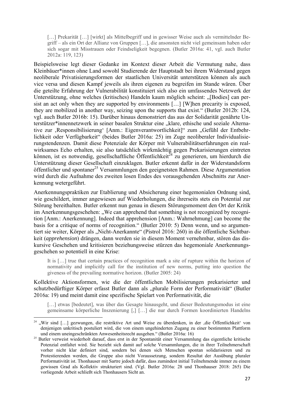[...] Prekarität [...] [wirkt] als Mittelbegriff und in gewisser Weise auch als vermittelnder Begriff – als ein Ort der Allianz von Gruppen […], die ansonsten nicht viel gemeinsam haben oder sich sogar mit Misstrauen oder Feindseligkeit begegnen. (Butler 2016a: 41, vgl. auch Butler 2012a: 119, 123)

Beispielsweise legt dieser Gedanke im Kontext dieser Arbeit die Vermutung nahe, dass Kleinbäuer\*innen ohne Land sowohl Studierende der Hauptstadt bei ihrem Widerstand gegen neoliberale Privatisierungsformen der staatlichen Universität unterstützen können als auch vice versa und diesen Kampf jeweils als ihren eigenen zu begreifen im Stande wären. Über die geteilte Erfahrung der Vulnerabilität konstituiert sich also ein umfassendes Netzwerk der Unterstützung, ohne welches (kritisches) Handeln kaum möglich scheint: "[Bodies] can persist an act only when they are supported by environments […] [W]hen precarity is exposed, they are mobilized in another way, seizing upon the supports that exist." (Butler 2012b: 124, vgl. auch Butler 2016b: 15). Darüber hinaus demonstriert das aus der Solidarität genährte Unterstützer\*innennetzwerk in seiner basalen Struktur eine "klare, ethische und soziale Alternative zur ,Responsibilisierung' [Anm.: Eigenverantwortlichkeit]" zum "Gefühl der Entbehrlichkeit oder Verfügbarkeit" (beides Butler 2016a: 25) im Zuge neoliberaler Individualisierungstendenzen. Damit diese Potenziale der Körper mit Vulnerabilitätserfahrungen ein realwirksames Echo erhalten, sie also tatsächlich wirkmächtig gegen Prekarisierungen eintreten können, ist es notwendig, gesellschaftliche Öffentlichkeit<sup> $\bar{z}^4$ </sup> zu generieren, um hierdurch die Unterstützung dieser Gesellschaft einzuklagen. Butler erkennt dafür in der Widerstandsform öffentlicher und spontaner<sup>25</sup> Versammlungen den geeignetsten Rahmen. Diese Argumentation wird durch die Aufnahme des zweiten losen Endes des vorausgehenden Abschnitts zur Anerkennung wetergeführt.

Anerkennungspraktiken zur Etablierung und Absicherung einer hegemonialen Ordnung sind, wie geschildert, immer angewiesen auf Wiederholungen, die ihrerseits stets ein Potential zur Störung bereithalten. Butler erkennt nun genau in diesem Störungsmoment den Ort der Kritik im Anerkennungsgeschehen: "We can apprehend that something is not recognized by recognition [Anm.: Anerkennung]. Indeed that apprehension [Anm.: Wahrnehmung] can become the basis for a critique of norms of recognition." (Butler 2010: 5) Denn wenn, und so argumentiert sie weiter, Körper als "Nicht-Anerkannte" (Pistrol 2016: 260) in die öffentliche Sichtbarkeit (*apprehension*) drängen, dann werden sie in diesem Moment vernehmbar, stören das diskursive Geschehen und kritisieren beziehungsweise stürzen das hegemoniale Anerkennungsgeschehen so potentiell in eine Krise:

It is […] true that certain practices of recognition mark a site of rupture within the horizon of normativity and implicitly call for the institution of new norms, putting into question the giveness of the prevailing normative horizon. (Butler 2005: 24)

Kollektive Aktionsformen, wie die der öffentlichen Mobilisierungen prekarisierter und schutzbedürftiger Körper erfasst Butler dann als "plurale Form der Performativität" (Butler 2016a: 19) und meint damit eine spezifische Spielart von Performativität, die

[...] etwas [bedeutet], was über das Gesagte hinausgeht, und dieser Bedeutungsmodus ist eine gemeinsame körperliche Inszenierung [,] […] die nur durch Formen koordinierten Handelns

<sup>&</sup>lt;sup>24</sup> "Wir sind […] gezwungen, die restriktive Art und Weise zu überdenken, in der 'die Öffentlichkeit' von denjenigen unkritisch postuliert wird, die von einem ungehinderten Zugang zu einer bestimmten Plattform und einem uneingeschränkten Anwesenheitsrecht ausgehen." (Butler 2016a: 16) 25 Butler verweist wiederholt darauf, dass erst in der Spontanität einer Versammlung das eigentliche kritische

Potenzial entfaltet wird. Sie bezieht sich damit auf solche Versammlungen, die in ihrer Teilnehmerschaft vorher nicht klar definiert sind, sondern bei denen sich Menschen spontan solidarisieren und zu Protestierenden werden, die Gruppe also nicht Voraussetzung, sondern Resultat der Ausübung pluraler Performativität ist. Thonhauser mit Sartre jedoch dafür, dass zumindest initial Teilnehmende immer zu einem gewissen Grad als Kollektiv strukturiert sind. (Vgl. Butler 2016a: 28 und Thonhauser 2018: 265) Die vorliegende Arbeit schließt sich Thonhausers Sicht an.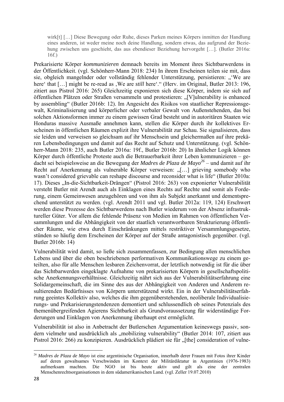wirk[t] […] Diese Bewegung oder Ruhe, dieses Parken meines Körpers inmitten der Handlung eines anderen, ist weder meine noch deine Handlung, sondern etwas, das aufgrund der Beziehung zwischen uns geschieht, das aus ebendieser Beziehung hervorgeht […]. (Butler 2016a: 16f.)

Prekarisierte Körper *kommunizieren* demnach bereits im Moment ihres Sichtbarwerdens in der Öffentlichkeit. (vgl. Schönherr-Mann 2018: 234) In ihrem Erscheinen teilen sie mit, dass sie, obgleich mangelnder oder vollständig fehlender Unterstützung, persistieren: "'We are here' that [...] might be re-read as , We are *still* here'." (Herv. im Original, Butler 2013: 196, zitiert aus Pistrol 2016: 265) Gleichzeitig exponieren sich diese Körper, indem sie sich auf öffentlichen Plätzen oder Straßen versammeln und protestieren: "[V]ulnerability is enhanced by assembling" (Butler 2016b: 12). Im Angesicht des Risikos von staatlicher Repressionsgewalt, Kriminalisierung und körperlicher oder verbaler Gewalt von Außenstehenden, das bei solchen Aktionsformen immer zu einem gewissen Grad besteht und in autoritären Staaten wie Honduras massive Ausmaße annehmen kann, stellen die Körper durch ihr kollektives Erscheinen in öffentlichen Räumen explizit ihre Vulnerabilität zur Schau. Sie signalisieren, dass sie leiden und verweisen so gleichsam auf ihr Menschsein und gleichermaßen auf ihre prekären Lebensbedingungen und damit auf das Recht auf Schutz und Unterstützung. (vgl. Schönherr-Mann 2018: 235, auch Butler 2016a: 19f., Butler 2016b: 20) In ähnlicher Logik können Körper durch öffentliche Proteste auch die Betrauerbarkeit ihrer Leben kommunizieren – gedacht sei beispielsweise an die Bewegung der *Madres de Plaza de Mayo26* – und damit auf ihr Recht auf Anerkennung als vulnerable Körper verweisen: "[...] grieving somebody who wasn't considered grievable can reshape discourse and reconsider what is life" (Butler 2010a: 17). Dieses "In-die-Sichtbarkeit-Drängen" (Pistrol 2016: 263) von exponierter Vulnerabilität versteht Butler mit Arendt auch als Einklagen eines Rechts auf Rechte und somit als Forderung, einem Gemeinwesen anzugehören und von ihm als Subjekt anerkannt und dementsprechend unterstützt zu werden. (vgl. Arendt 2011 und vgl. Butler 2012a: 119, 124) Erschwert werden diese Prozesse des Sichtbarwerdens nach Butler wiederum von der Absenz infrastruktureller Güter. Vor allem die fehlende Präsenz von Medien im Rahmen von öffentlichen Versammlungen und die Abhängigkeit von der staatlich verantwortbaren Strukturierung öffentlicher Räume, wie etwa durch Einschränkungen mittels restriktiver Versammlungsgesetze, stünden so häufig dem Erscheinen der Körper auf der Straße antagonistisch gegenüber. (vgl. Butler 2016b: 14)

Vulnerabilität wird damit, so ließe sich zusammenfassen, zur Bedingung allen menschlichen Lebens und über die oben beschriebenen performativen Kommunikationswege zu einem geteilten, also für alle Menschen lesbaren Zeichenvorrat, der letztlich notwendig ist für die über das Sichtbarwerden eingeklagte Aufnahme von prekarisierten Körpern in gesellschaftspolitische Anerkennungsverhältnisse. Gleichzeitig nährt sich aus der Vulnerabilitätserfahrung eine Solidargemeinschaft, die im Sinne des aus der Abhängigkeit von Anderen und Anderem resultierenden Bedürfnisses von Körpern unterstützend wirkt. Ein in der Vulnerabilitätserfahrung geeintes Kollektiv also, welches die ihm gegenüberstehenden, neoliberale Individualisierungs- und Prekarisierungstendenzen demontiert und schlussendlich ob seines Potenzials des themenübergreifenden Agierens Sichtbarkeit als Grundvoraussetzung für widerständige Forderungen und Einklagen von Anerkennung überhaupt erst ermöglicht.

Vulnerabilität ist also in Anbetracht der Butlerschen Argumentation keineswegs passiv, sondern vielmehr und ausdrücklich als "mobilizing vulnerability" (Butler 2014: 107, zitiert aus Pistrol 2016: 266) zu konzipieren. Ausdrücklich plädiert sie für "[the] consideration of vulne-

 <sup>26</sup> *Madres de Plaza de Mayo* ist eine argentinische Organisation, innerhalb derer Frauen mit Fotos ihrer Kinder auf deren gewaltsames Verschwinden im Kontext der Militärdiktatur in Argentinien (1976-1983) aufmerksam machten. Die NGO ist bis heute aktiv und gilt als eine der zentralen Menschenrechtsorganisationen in dem südamerikanischen Land. (vgl. Zeller 19.07.2010)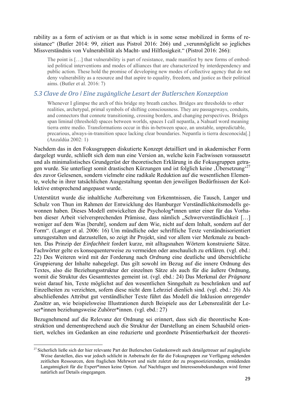rability as a form of activism or as that which is in some sense mobilized in forms of resistance" (Butler 2014: 99, zitiert aus Pistrol 2016: 266) und "verunmöglicht so jegliches Missverständnis von Vulnerabilität als Macht- und Hilflosigkeit." (Pistrol 2016: 266):

The point is […] that vulnerability is part of resistance, made manifest by new forms of embodied political interventions and modes of alliances that are characterized by interdependency and public action. These hold the promise of developing new modes of collective agency that do not deny vulnerability as a resource and that aspire to equality, freedom, and justice as their political aims. (Butler et al. 2016: 7)

### *5.3 Clave de Oro ǀ Eine zugängliche Lesart der Butlerschen Konzeption*

Whenever I glimpse the arch of this bridge my breath catches. Bridges are thresholds to other realities, archetypal, primal symbols of shifting consciousness. They are passageways, conduits, and connectors that connote transitioning, crossing borders, and changing perspectives. Bridges span liminal (threshold) spaces between worlds, spaces I call nepantla, a Nahuatl word meaning tierra entre medio. Transformations occur in this in-between space, an unstable, unpredictable, precarious, always-in-transition space lacking clear boundaries. Nepantla is tierra desconocida[.] (Anzaldúa 2002: 1)

Nachdem das in den Fokusgruppen diskutierte Konzept detailliert und in akademischer Form dargelegt wurde, schließt sich dem nun eine Version an, welche kein Fachwissen voraussetzt und als minimalistisches Grundgerüst der theoretischen Erklärung in die Fokusgruppen getragen wurde. Sie unterliegt somit drastischen Kürzungen und ist folglich keine  $\ddot{U}$ bersetzung<sup>27</sup> des zuvor Gelesenen, sondern vielmehr eine radikale Reduktion auf die wesentlichen Elemente, welche in ihrer tatsächlichen Ausgestaltung spontan den jeweiligen Bedürfnissen der Kollektive entsprechend angepasst wurde.

Unterstützt wurde die inhaltliche Aufbereitung von Erkenntnissen, die Tausch, Langer und Schulz von Thun im Rahmen der Entwicklung des Hamburger Verständlichkeitsmodells gewonnen haben. Dieses Modell entwickelten die Psycholog\*innen unter einer für das Vorhaben dieser Arbeit vielversprechenden Prämisse, dass nämlich "Schwerverständlichkeit [...] weniger auf dem Was [beruht], sondern auf dem Wie, nicht auf dem Inhalt, sondern auf der Form". (Langer et al. 2006: 16) Um mündliche oder schriftliche Texte verständnisorientiert umzugestalten und darzustellen, so zeigt ihr Projekt, sind vor allem vier Merkmale zu beachten. Das Prinzip der *Einfachheit* fordert kurze, mit alltagsnahen Wörtern konstruierte Sätze. Fachwörter gelte es konsequenterweise zu vermeiden oder anschaulich zu erklären. (vgl. ebd.: 22) Des Weiteren wird mit der Forderung nach *Ordnung* eine deutliche und übersichtliche Gruppierung der Inhalte nahegelegt. Das gilt sowohl im Bezug auf die innere Ordnung des Textes, also die Beziehungsstruktur der einzelnen Sätze als auch für die äußere Ordnung, womit die Struktur des Gesamttextes gemeint ist. (vgl. ebd.: 24) Das Merkmal der *Prägnanz* weist darauf hin, Texte möglichst auf den wesentlichen Sinngehalt zu beschränken und auf Einzelheiten zu verzichten, sofern diese nicht dem Lehrziel dienlich sind. (vgl. ebd.: 26) Als abschließendes Attribut gut verständlicher Texte führt das Modell die Inklusion *anregender Zusätze* an, wie beispielsweise Illustrationen durch Beispiele aus der Lebensrealität der Leser\*innen beziehungsweise Zuhörer\*innen. (vgl. ebd.: 27)

Bezugnehmend auf die Relevanz der Ordnung sei erinnert, dass sich die theoretische Konstruktion und dementsprechend auch die Struktur der Darstellung an einem Schaubild orientiert, welches im Gedanken an eine reduzierte und geordnete Präsentierbarkeit der theoreti-

 <sup>27</sup> Sicherlich ließe sich der hier relevante Part der Butlerschen Gedankenwelt auch detailgetreuer auf zugängliche Weise darstellen, dies war jedoch schlicht in Anbetracht der für die Fokusgruppen zur Verfügung stehenden zeitlichen Ressourcen, dem fraglichen Mehrwert und nicht zuletzt der zu prognostizierenden, ermüdenden Langatmigkeit für die Expert\*innen keine Option. Auf Nachfragen und Interessensbekundungen wird ferner natürlich auf Details eingegangen.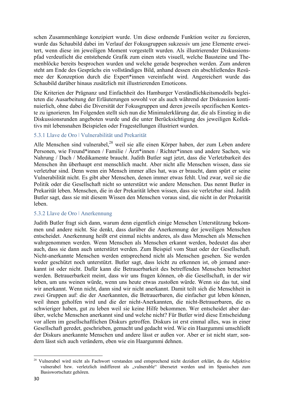schen Zusammenhänge konzipiert wurde. Um diese ordnende Funktion weiter zu forcieren, wurde das Schaubild dabei im Verlauf der Fokusgruppen sukzessiv um jene Elemente erweitert, wenn diese im jeweiligen Moment vorgestellt wurden. Als illustrierender Diskussionspfad verdeutlicht die entstehende Grafik zum einen stets visuell, welche Bausteine und Themenblöcke bereits besprochen wurden und welche gerade besprochen werden. Zum anderen steht am Ende des Gesprächs ein vollständiges Bild, anhand dessen ein abschließendes Resümee der Konzeption durch die Expert\*innen vereinfacht wird. Angereichert wurde das Schaubild darüber hinaus zusätzlich mit illustrierenden Emoticons.

Die Kriterien der Prägnanz und Einfachheit des Hamburger Verständlichkeitsmodells begleiteten die Ausarbeitung der Erläuterungen sowohl vor als auch während der Diskussion kontinuierlich, ohne dabei die Diversität der Fokusgruppen und deren jeweils spezifischen Kontexte zu ignorieren. Im Folgenden stellt sich nun die Minimalerklärung dar, die als Einstieg in die Diskussionsrunden angeboten wurde und die unter Berücksichtigung des jeweiligen Kollektivs mit lebensnahen Beispielen oder Fragestellungen illustriert wurden.

### 5.3.1 Llave de Oro ǀ Vulnerabilität und Prekarität

Alle Menschen sind vulnerabel, $28$  weil sie alle einen Körper haben, der zum Leben andere Personen, wie Freund\*innen / Familie / Ärzt\*innen / Richter\*innen und andere Sachen, wie Nahrung / Dach / Medikamente braucht. Judith Butler sagt jetzt, dass die Verletzbarkeit des Menschen ihn überhaupt erst menschlich macht. Aber nicht alle Menschen wissen, dass sie verletzbar sind. Denn wenn ein Mensch immer alles hat, was er braucht, dann spürt er seine Vulnerabilität nicht. Es gibt aber Menschen, denen immer etwas fehlt. Und zwar, weil sie die Politik oder die Gesellschaft nicht so unterstützt wie andere Menschen. Das nennt Butler in Prekarität leben. Menschen, die in der Prekarität leben wissen, dass sie verletzbar sind. Judith Butler sagt, dass sie mit diesem Wissen den Menschen voraus sind, die nicht in der Prekarität leben.

#### 5.3.2 Llave de Oro ǀ Anerkennung

Judith Butler fragt sich dann, warum denn eigentlich einige Menschen Unterstützung bekommen und andere nicht. Sie denkt, dass darüber die Anerkennung der jeweiligen Menschen entscheidet. Anerkennung heißt erst einmal nichts anderes, als dass Menschen als Menschen wahrgenommen werden. Wenn Menschen als Menschen erkannt werden, bedeutet das aber auch, dass sie dann auch unterstützt werden. Zum Beispiel vom Staat oder der Gesellschaft. Nicht-anerkannte Menschen werden entsprechend nicht als Menschen gesehen. Sie werden weder geschützt noch unterstützt. Butler sagt, dass leicht zu erkennen ist, ob jemand anerkannt ist oder nicht. Dafür kann die Betrauerbarkeit des betreffenden Menschen betrachtet werden. Betrauerbarkeit meint, dass wir uns fragen können, ob die Gesellschaft, in der wir leben, um uns weinen würde, wenn uns heute etwas zustoßen würde. Wenn sie das tut, sind wir anerkannt. Wenn nicht, dann sind wir nicht anerkannt. Damit teilt sich die Menschheit in zwei Gruppen auf: die der Anerkannten, die Betrauerbaren, die einfacher gut leben können, weil ihnen geholfen wird und die der nicht-Anerkannten, die nicht-Betrauerbaren, die es schwieriger haben, gut zu leben weil sie keine Hilfe bekommen. Wer entscheidet aber darüber, welche Menschen anerkannt sind und welche nicht? Für Butler wird diese Entscheidung vor allem im gesellschaftlichen Diskurs getroffen. Diskurs ist erst einmal alles, was in einer Gesellschaft geredet, geschrieben, gemacht und gedacht wird. Wie ein Haargummi umschließt der Diskurs anerkannte Menschen und andere lässt er außen vor. Aber er ist nicht starr, sondern lässt sich auch verändern, eben wie ein Haargummi dehnen.

 <sup>28</sup> Vulnerabel wird nicht als Fachwort verstanden und entsprechend nicht dezidiert erklärt, da die Adjektive vulnerabel bzw. verletzlich indifferent als "vulnerable" übersetzt werden und im Spanischen zum Basiswortschatz gehören.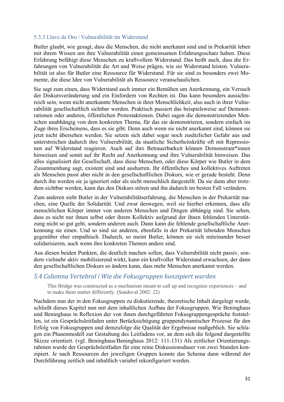#### 5.3.3 Llave de Oro ǀ Vulnerabilität im Widerstand

Butler glaubt, wie gesagt, dass die Menschen, die nicht anerkannt sind und in Prekarität leben mit ihrem Wissen um ihre Vulnerabilität einen gemeinsamen Erfahrungsschatz haben. Diese Erfahrung befähigt diese Menschen zu kraftvollem Widerstand. Das heißt auch, dass die Erfahrungen von Vulnerabilität die Art und Weise prägen, wie sie Widerstand leisten. Vulnerabilität ist also für Butler eine Ressource für Widerstand. Für sie sind es besonders zwei Momente, die diese Idee von Vulnerabilität als Ressource veranschaulichen.

Sie sagt zum einen, dass Widerstand auch immer ein Bemühen um Anerkennung, ein Versuch der Diskursveränderung und ein Einfordern von Rechten ist. Das kann besonders aussichtsreich sein, wenn nicht anerkannte Menschen in ihrer Menschlichkeit, also auch in ihrer Vulnerabilität gesellschaftlich sichtbar werden. Praktisch passiert das beispielsweise auf Demonstrationen oder anderen, öffentlichen Protestaktionen. Dabei sagen die demonstrierenden Menschen unabhängig von dem konkreten Thema, für das sie demonstrieren, sondern einfach im Zuge ihres Erscheinens, dass es sie gibt. Denn auch wenn sie nicht anerkannt sind, können sie jetzt nicht übersehen werden. Sie setzen sich dabei sogar noch zusätzlicher Gefahr aus und unterstreichen dadurch ihre Vulnerabilität, da staatliche Sicherheitskräfte oft mit Repressionen auf Widerstand reagieren. Auch auf ihre Betrauerbarkeit können Demonstrant\*innen hinweisen und somit auf ihr Recht auf Anerkennung und ihre Vulnerabilität hinweisen. Das alles signalisiert der Gesellschaft, dass diese Menschen, oder diese Körper wie Butler in dem Zusammenhang sagt, existent sind und ausharren. Ihr öffentliches und kollektives Auftreten als Menschen passt aber nicht in den gesellschaftlichen Diskurs, wie er gerade besteht. Denn durch ihn werden sie ja ignoriert oder als nicht menschlich dargestellt. Da sie dann aber trotzdem sichtbar werden, kann das den Diskurs stören und ihn dadurch im besten Fall verändern.

Zum anderen sieht Butler in der Vulnerabilitätserfahrung, die Menschen in der Prekarität machen, eine Quelle der Solidarität. Und zwar deswegen, weil sie hierbei erkennen, dass alle menschlichen Körper immer von anderen Menschen und Dingen abhängig sind. Sie sehen, dass es nicht nur ihnen selbst oder ihrem Kollektiv aufgrund der ihnen fehlenden Unterstützung nicht so gut geht, sondern anderen auch. Dann kann die fehlende gesellschaftliche Anerkennung sie einen. Und so sind sie anderen, ebenfalls in der Prekarität lebenden Menschen gegenüber eher empathisch. Dadurch, so meint Butler, können sie sich miteinander besser solidarisieren, auch wenn ihre konkreten Themen andere sind.

Aus diesen beiden Punkten, die deutlich machen sollen, dass Vulnerabilität nicht passiv, sondern vielmehr aktiv mobilisierend wirkt, kann ein kraftvoller Widerstand erwachsen, der dann den gesellschaftlichen Diskurs so ändern kann, dass mehr Menschen anerkannt werden.

#### *5.4 Columna Vertebral ǀ Wie die Fokusgruppen konzipiert wurden*

This Bridge was constructed as a mechanism meant to call up and recognize experiences – and to make them matter differently. (Sandoval 2002: 22)

Nachdem nun der in den Fokusgruppen zu diskutierende, theoretische Inhalt dargelegt wurde, schließt dieses Kapitel nun mit dem inhaltlichen Aufbau der Fokusgruppen. Wie Beninghaus und Beninghaus in Reflexion der von ihnen durchgeführten Fokusgruppengespräche feststellen, ist ein Gesprächsleitfaden unter Berücksichtigung gruppendynamischer Prozesse für den Erfolg von Fokusgruppen und demzufolge die Qualität der Ergebnisse maßgeblich. Sie schlagen ein Phasenmodell zur Gestaltung des Leitfadens vor, an dem sich die folgend dargestellte Skizze orientiert. (vgl. Beninghaus/Beninghaus 2012: 111-131) Als zeitlicher Orientierungsrahmen wurde der Gesprächsleitfaden für eine reine Diskussionsdauer von zwei Stunden konzipiert. Je nach Ressourcen der jeweiligen Gruppen konnte das Schema dann während der Durchführung zeitlich und inhaltlich variabel rekonfiguriert werden.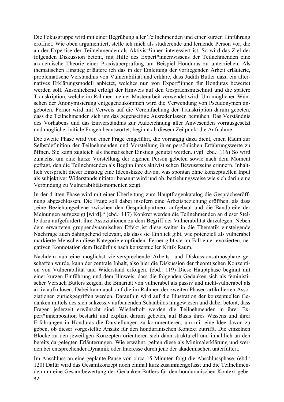Die Fokusgruppe wird mit einer Begrüßung aller Teilnehmenden und einer kurzen Einführung eröffnet. Wie oben argumentiert, stelle ich mich als studierende und lernende Person vor, die an der Expertise der Teilnehmenden als Aktivist\*innen interessiert ist. So wird das Ziel der folgenden Diskussion betont, mit Hilfe des Expert\*innenwissens der Teilnehmenden eine akademische Theorie einer Praxisüberprüfung am Beispiel Honduras zu unterziehen. Als thematischen Einstieg erläutere ich das in der Einleitung der vorliegenden Arbeit erläuterte, problematische Verständnis von Vulnerabilität und erkläre, dass Judith Butler dazu ein alternatives Erklärungsmodell anbietet, welches nun von Expert\*innen für Honduras bewertet werden soll. Anschließend erfolgt der Hinweis auf den Gesprächsmitschnitt und die spätere Transkription, welche im Rahmen meiner Masterarbeit verwendet wird. Um möglichen Wünschen der Anonymisierung entgegenzukommen wird die Verwendung von Pseudonymen angeboten. Ferner wird mit Verweis auf die Vereinfachung der Transkription darum gebeten, dass die Teilnehmenden sich um das gegenseitige Ausredenlassen bemühen. Das Verständnis des Vorhabens und das Einverständnis zur Aufzeichnung aller Anwesenden vorrausgesetzt und mögliche, initiale Fragen beantwortet, beginnt ab diesem Zeitpunkt die Aufnahme.

Die zweite Phase wird von einer Frage eingeführt, die vorrangig dazu dient, einen Raum zur Selbstdefinition der Teilnehmenden und Vorstellung ihrer persönlichen Erfahrungswerte zu öffnen. Sie kann zugleich als thematischer Einstieg genutzt werden. (vgl. ebd.: 116) So wird zunächst um eine kurze Vorstellung der eigenen Person gebeten sowie nach dem Moment gefragt, den die Teilnehmenden als Beginn ihres aktivistischen Bewusstseins erinnern. Inhaltlich verspricht dieser Einstieg eine Ideenskizze davon, was spontan ohne konzeptuellen Input als subjektiver Widerstandsinitiator benannt wird und ob, beziehungsweise wie sich darin eine Verbindung zu Vulnerabilitätsmomenten zeigt.

In der dritten Phase wird mit einer Überleitung zum Hauptfragenkatalog die Gesprächseröffnung abgeschlossen. Die Frage soll dabei insofern eine Arbeitsbeziehung eröffnen, als dass "eine Beziehungsebene zwischen den Gesprächpartnern aufgebaut und die Bandbreite der Meinungen aufgezeigt [wird]." (ebd.: 117) Konkret werden die Teilnehmenden an dieser Stelle dazu aufgefordert, ihre Assoziationen zu dem Begriff der Vulnerabilität darzulegen. Neben dem erwarteten gruppendynamischen Effekt ist diese weiter in die Thematik einsteigende Nachfrage auch dahingehend relevant, als dass sie Einblick gibt, wie potenziell als vulnerabel markierte Menschen diese Kategorie empfinden. Ferner gibt sie im Fall einer evozierten, negativen Konnotation dem Bedürfnis nach konzeptueller Kritik Raum.

Nachdem nun eine möglichst vielversprechende Arbeits- und Diskussionsatmosphäre geschaffen wurde, kann der zentrale Inhalt, also hier die Diskussion der theoretischen Konzeption von Vulnerabilität und Widerstand erfolgen. (ebd.: 119) Diese Hauptphase beginnt mit einer kurzen Einführung und dem Hinweis, dass die folgenden Gedanken sich als feministischer Versuch Butlers zeigen, die Binarität von vulnerabel als passiv und nicht-vulnerabel als aktiv aufzulösen. Dabei kann auch auf die im Rahmen der zweiten Phasen artikulierten Assoziationen zurückgegriffen werden. Daraufhin wird auf die Illustration der konzeptuellen Gedanken mittels des sich sukzessiv aufbauenden Schaubilds hingewiesen und dabei betont, dass Fragen jederzeit erwünscht sind. Wiederholt werden die Teilnehmenden in ihrer Expert\*innenposition bestärkt und explizit darum gebeten, auf Basis ihres Wissens und ihrer Erfahrungen in Honduras die Darstellungen zu kommentieren, um mir eine Idee davon zu geben, ob dieser vorgestellte Ansatz für den honduranischen Kontext zutrifft. Die einzelnen Blöcke zu den jeweiligen Konzepten orientieren sich dann strukturell und inhaltlich an den bereits dargelegten Erläuterungen. Wie erwähnt, gelten diese als Minimalerklärung und werden bei entsprechender Dynamik oder Interesse durch jene der akademischen unterfüttert.

Im Anschluss an eine geplante Pause von circa 15 Minuten folgt die Abschlussphase. (ebd.: 120) Dafür wird das Gesamtkonzept noch einmal kurz zusammengefasst und die Teilnehmenden um eine Gesamtbewertung der Gedanken Butlers für den honduranischen Kontext gebe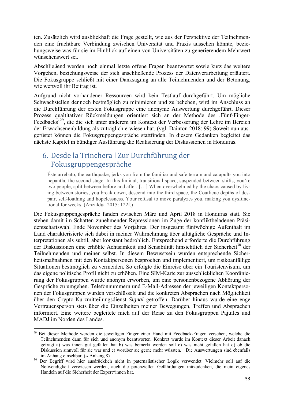ten. Zusätzlich wird ausblickhaft die Frage gestellt, wie aus der Perspektive der Teilnehmenden eine fruchtbare Verbindung zwischen Universität und Praxis aussehen könnte, beziehungsweise was für sie im Hinblick auf einen von Universitäten zu generierendem Mehrwert wünschenswert sei.

Abschließend werden noch einmal letzte offene Fragen beantwortet sowie kurz das weitere Vorgehen, beziehungsweise der sich anschließende Prozess der Datenverarbeitung erläutert. Die Fokusgruppe schließt mit einer Danksagung an alle Teilnehmenden und der Betonung, wie wertvoll ihr Beitrag ist.

Aufgrund nicht vorhandener Ressourcen wird kein Testlauf durchgeführt. Um mögliche Schwachstellen dennoch bestmöglich zu minimieren und zu beheben, wird im Anschluss an die Durchführung der ersten Fokusgruppe eine anonyme Auswertung durchgeführt. Dieser Prozess qualtitativer Rückmeldungen orientiert sich an der Methode des ,Fünf-Finger-Feedbacks'29, die die sich unter anderem im Kontext der Verbesserung der Lehre im Bereich der Erwachsenenbildung als zuträglich erwiesen hat. (vgl. Dainton 2018: 99) Soweit nun ausgerüstet können die Fokusgruppengespräche stattfinden. In diesem Gedanken begleitet das nächste Kapitel in bündiger Ausführung die Realisierung der Diskussionen in Honduras.

## 6. Desde la Trinchera ǀ Zur Durchführung der Fokusgruppengespräche

Éste arrebato, the earthquake, jerks you from the familiar and safe terrain and catapults you into nepantla, the second stage. In this liminal, transitional space, suspended between shifts, you're two people, split between before and after. […] When overwhelmed by the chaos caused by living between stories, you break down, descend into the third space, the Coatlicue depths of despair, self-loathing and hopelessness. Your refusal to move paralyzes you, making you dysfunctional for weeks. (Anzaldùa 2015: 122f.)

Die Fokusgruppengespräche fanden zwischen März und April 2018 in Honduras statt. Sie stehen damit im Schatten zunehmender Repressionen im Zuge der konfliktbeladenen Präsidentschaftswahl Ende November des Vorjahres. Der insgesamt fünfwöchige Aufenthalt im Land charakterisierte sich dabei in meiner Wahrnehmung über alltägliche Gespräche und Interpretationen als subtil, aber konstant bedrohlich. Entsprechend erforderte die Durchführung der Diskussionen eine erhöhte Achtsamkeit und Sensibilität hinsichtlich der Sicherheit<sup>30</sup> der Teilnehmenden und meiner selbst. In diesem Bewusstsein wurden entsprechende Sicherheitsmaßnahmen mit den Kontaktpersonen besprochen und implementiert, um risikoanfällige Situationen bestmöglich zu vermeiden. So erfolgte die Einreise über ein Touristenvisum, um das eigene politische Profil nicht zu erhöhen. Eine SIM-Karte zur ausschließlichen Koordinierung der Fokusgruppen wurde anonym erworben, um eine personenbezogene Abhörung der Gespräche zu umgehen. Telefonnummern und E-Mail-Adressen der jeweiligen Kontaktpersonen der Fokusgruppen wurden verschlüsselt und die konkreten Absprachen nach Möglichkeit über den Crypto-Kurzmitteilungsdienst *Signal* getroffen. Darüber hinaus wurde eine enge Vertrauensperson stets über die Einzelheiten meiner Bewegungen, Treffen und Absprachen informiert. Eine weitere begleitete mich auf der Reise zu den Fokusgruppen Pajuiles und MADJ im Norden des Landes.

 29 Bei dieser Methode werden die jeweiligen Finger einer Hand mit Feedback-Fragen versehen, welche die Teilnehmenden dann für sich und anonym beantworten. Konkret wurde im Kontext dieser Arbeit danach gefragt a) was ihnen gut gefallen hat b) was bemerkt werden soll c) was nicht gefallen hat d) ob die Diskussion sinnvoll für sie war und e) worüber sie gerne mehr wüssten. Die Auswertungen sind ebenfalls im Anhang einsehbar.  $( \rightarrow \text{Anhang } 8)$ 

<sup>30</sup> Der Begriff wird hier ausdrücklich nicht in paternalistischer Logik verwendet. Vielmehr soll auf die Notwendigkeit verwiesen werden, auch die potenziellen Gefährdungen mitzudenken, die mein eigenes Handeln auf die Sicherheit der Expert\*innen hat.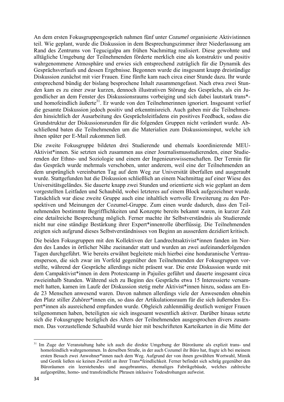An dem ersten Fokusgruppengespräch nahmen fünf unter *Cozumel* organisierte Aktivistinnen teil. Wie geplant, wurde die Diskussion in dem Besprechungszimmer ihrer Niederlassung am Rand des Zentrums von Tegucigalpa am frühen Nachmittag realisiert. Diese gewohnte und alltägliche Umgebung der Teilnehmenden förderte merklich eine als konstruktiv und positiv wahrgenommene Atmosphäre und erwies sich entsprechend zuträglich für die Dynamik des Gesprächsverlaufs und dessen Ergebnisse. Begonnen wurde die insgesamt knapp dreistündige Diskussion zunächst mit vier Frauen. Eine fünfte kam nach circa einer Stunde dazu. Ihr wurde entsprechend bündig der bislang besprochene Inhalt zusammengefasst. Nach etwa zwei Stunden kam es zu einer zwar kurzen, dennoch illustrativen Störung des Gesprächs, als ein Jugendlicher an dem Fenster des Diskussionsraums vorbeiging und sich dabei lautstark trans\* und homofeindlich äußerte<sup>31</sup>. Er wurde von den Teilnehmerinnen ignoriert. Insgesamt verlief die gesamte Diskussion jedoch positiv und erkenntnisreich. Auch gaben mir die Teilnehmenden hinsichtlich der Ausarbeitung des Gesprächsleitfadens ein positives Feedback, sodass die Grundstruktur der Diskussionsrunden für die folgenden Gruppen nicht verändert wurde. Abschließend baten die Teilnehmenden um die Materialien zum Diskussionsinput, welche ich ihnen später per E-Mail zukommen ließ.

Die zweite Fokusgruppe bildeten drei Studierende und ehemals koordinierende MEU-Aktivist\*innen. Sie setzten sich zusammen aus einer Journalismusstudierenden, einer Studierenden der Ethno- und Soziologie und einem der Ingenieurswissenschaften. Der Termin für das Gespräch wurde mehrmals verschoben, unter anderem, weil eine der Teilnehmenden an dem ursprünglich vereinbarten Tag auf dem Weg zur Universität überfallen und ausgeraubt wurde. Stattgefunden hat die Diskussion schließlich an einem Nachmittag auf einer Wiese des Universitätsgeländes. Sie dauerte knapp zwei Stunden und orientierte sich wie geplant an dem vorgestellten Leitfaden und Schaubild, wobei letzteres auf einem Block aufgezeichnet wurde. Tatsächlich war diese zweite Gruppe auch eine inhaltlich wertvolle Erweiterung zu den Perspektiven und Meinungen der Cozumel-Gruppe. Zum einen wurde dadurch, dass den Teilnehmenden bestimmte Begrifflichkeiten und Konzepte bereits bekannt waren, in kurzer Zeit eine detailreiche Besprechung möglich. Ferner machte ihr Selbstverständnis als Studierende nicht nur eine ständige Bestärkung ihrer Expert\*innenrolle überflüssig. Die Teilnehmenden zeigten sich aufgrund dieses Selbstverständnisses von Beginn an ausserdem dezidiert kritisch.

Die beiden Fokusgruppen mit den Kollektiven der Landrechtsaktivist\*innen fanden im Norden des Landes in örtlicher Nähe zueinander statt und wurden an zwei aufeinanderfolgenden Tagen durchgeführt. Wie bereits erwähnt begleitete mich hierbei eine honduranische Vertrauensperson, die sich zwar im Vorfeld gegenüber den Teilnehmenden der Fokusgruppen vorstellte, während der Gespräche allerdings nicht präsent war. Die erste Diskussion wurde mit dem Campaktivist\*innen in dem Protestcamp in Pajuiles geführt und dauerte insgesamt circa zweieinhalb Stunden. Während sich zu Beginn des Gesprächs etwa 15 Interessierte versammelt hatten, kamen im Laufe der Diskussion stetig mehr Aktivist\*innen hinzu, sodass am Ende 23 Menschen anwesend waren. Davon nahmen allerdings viele der Anwesenden ohnehin den Platz stiller Zuhörer\*innen ein, so dass der Artikulationsraum für die sich äußernden Expert\*innen als ausreichend empfunden wurde. Obgleich zahlenmäßig deutlich weniger Frauen teilgenommen haben, beteiligten sie sich insgesamt wesentlich aktiver. Darüber hinaus setzte sich die Fokusgruppe bezüglich des Alters der Teilnehmenden ausgesprochen divers zusammen. Das vorzustellende Schaubild wurde hier mit beschrifteten Karteikarten in die Mitte der

 <sup>31</sup> Im Zuge der Veranstaltung habe ich auch die direkte Umgebung der Büroräume als explizit trans- und homofeindlich wahrgenommen. In derselben Straße, in der auch Cozumel ihr Büro hat, fragte ich bei meinem ersten Besuch zwei Anwohner\*innen nach dem Weg. Aufgrund der von ihnen gewählten Wortwahl, Mimik und Gestik ließen sie keinen Zweifel an ihrer Trans\*feindlichkeit. Ferner befindet sich schräg gegenüber den Büroräumen ein leerstehendes und ausgebranntes, ehemaliges Fabrikgebäude, welches zahlreiche aufgesprühte, homo- und transfeindliche Phrasen inklusive Todesdrohungen aufweist.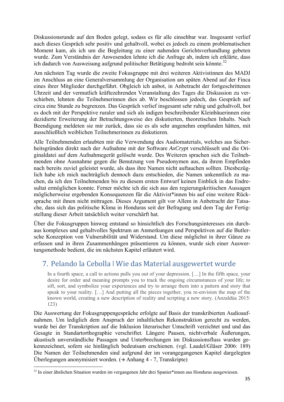Diskussionsrunde auf den Boden gelegt, sodass es für alle einsehbar war. Insgesamt verlief auch dieses Gespräch sehr positiv und gehaltvoll, wobei es jedoch zu einem problematischen Moment kam, als ich um die Begleitung zu einer nahenden Gerichtsverhandlung gebeten wurde. Zum Verständnis der Anwesenden lehnte ich die Anfrage ab, indem ich erklärte, dass ich dadurch von Ausweisung aufgrund politischer Betätigung bedroht sein könnte.<sup>32</sup>

Am nächsten Tag wurde die zweite Fokusgruppe mit drei weiteren Aktivistinnen des MADJ im Anschluss an eine Generalversammlung der Organisation am späten Abend auf der Finca eines ihrer Mitglieder durchgeführt. Obgleich ich anbot, in Anbetracht der fortgeschrittenen Uhrzeit und der vermutlich kräftezehrenden Veranstaltung des Tages die Diskussion zu verschieben, lehnten die Teilnehmerinnen dies ab. Wir beschlossen jedoch, das Gespräch auf circa eine Stunde zu begrenzen. Das Gespräch verlief insgesamt sehr ruhig und gehaltvoll, bot es doch mit der Perspektive ruraler und sich als indigen beschreibender Kleinbäuerinnen eine dezidierte Erweiterung der Betrachtungsweise des diskutierten, theoretischen Inhalts. Nach Beendigung meldeten sie mir zurück, dass sie es als sehr angenehm empfunden hätten, mit ausschließlich weiblichen Teilnehmerinnen zu diskutieren.

Alle Teilnehmenden erlaubten mir die Verwendung des Audiomaterials, welches aus Sicherheitsgründen direkt nach der Aufnahme mit der Software *AxCrypt* verschlüsselt und die Originaldatei auf dem Aufnahmegerät gelöscht wurde. Des Weiteren sprachen sich die Teilnehmenden ohne Ausnahme gegen die Benutzung von Pseudonymen aus, da ihrem Empfinden nach bereits zuviel geleistet wurde, als dass ihre Namen nicht auftauchen sollten. Diesbezüglich habe ich mich nachträglich dennoch dazu entschieden, die Namen unkenntlich zu machen, da ich den Teilnehmenden bis zu diesem ersten Entwurf keinen Einblick in das Endresultat ermöglichen konnte. Ferner möchte ich die sich aus den regierungskritischen Aussagen möglicherweise ergebenden Konsequenzen für die Aktivist\*innen bis auf eine weitere Rücksprache mit ihnen nicht mittragen. Dieses Argument gilt vor Allem in Anbetracht der Tatsache, dass sich das politische Klima in Honduras seit der Befragung und dem Tag der Fertigstellung dieser Arbeit tatsächlich weiter verschärft hat.

Über die Fokusgruppen hinweg entstand so hinsichtlich des Forschungsinteresses ein durchaus komplexes und gehaltvolles Spektrum an Anmerkungen und Perspektiven auf die Butlersche Konzeption von Vulnerabilität und Widerstand. Um diese möglichst in ihrer Gänze zu erfassen und in ihren Zusammenhängen präsentieren zu können, wurde sich einer Auswertungsmethode bedient, die im nächsten Kapitel erläutert wird.

## 7. Pelando la Cebolla ǀ Wie das Material ausgewertet wurde

In a fourth space, a call to actions pulls you out of your depression. […] In the fifth space, your desire for order and meaning prompts you to track the ongoing circumstances of your life; to sift, sort, and symbolize your experiences and try to arrange them into a pattern and story that speak to your reality. […] And putting all the pieces together, you re-envision the map of the known world, creating a new description of reality and scripting a new story. (Anzaldúa 2015: 123)

Die Auswertung der Fokusgruppengespräche erfolgte auf Basis der transkribierten Audioaufnahmen. Um lediglich dem Anspruch der inhaltlichen Rekonstruktion gerecht zu werden, wurde bei der Transkription auf die Inklusion literarischer Umschrift verzichtet und und das Gesagte in Standartorthographie verschriftet. Längere Pausen, nichtverbale Äußerungen, akustisch unverständliche Passagen und Unterbrechungen im Diskussionsfluss wurden gekennzeichnet, sofern sie hinlänglich bedeutsam erschienen. (vgl. Laudel/Gläser 2006: 189) Die Namen der Teilnehmenden sind aufgrund der im vorangegangenen Kapitel dargelegten Überlegungen anonymisiert worden.  $(\rightarrow)$  Anhang 4 - 7, Transkripte)

 <sup>32</sup> In einer ähnlichen Situation wurden im vergangenen Jahr drei Spanier\*innen aus Honduras ausgewiesen.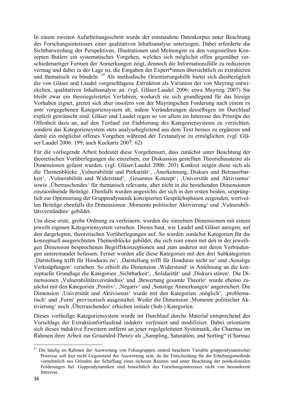In einem zweiten Aufarbeitungsschritt wurde der entstandene Datenkorpus unter Beachtung des Forschungsinteresses einer qualitativen Inhaltsanalyse unterzogen. Dabei erforderte die Sichtbarwerdung der Perspektiven, Illustrationen und Meinungen zu den vorgestellten Konzepten Butlers ein systematisches Vorgehen, welches sich möglichst offen gegenüber verschiedenartiger Formen der Anmerkungen zeigt, dennoch die Informationsfülle zu reduzieren vermag und dabei in der Lage ist, die Eingaben der Expert\*innen übersichtlich zu extrahieren und thematisch zu bündeln. 33 Als methodische Orientierungshilfe bietet sich diesbezüglich die von Gläser und Laudel vorgeschlagene *Extraktion* als Variation der von Mayring entwickelten, qualitativen Inhaltsanalyse an. (vgl. Gläser/Laudel 2006; etwa Mayring 2007) Sie bleibt zwar ein theoriegeleitetes Verfahren, wodurch sie sich grundlegend für das hiesige Vorhaben eignet, grenzt sich aber insofern von der Mayringschen Forderung nach einem *ex ante* vorgegebenen Kategoriensystem ab, indem Veränderungen desselbigen im Durchlauf explizit gewünscht sind. Gläser und Laudel regen so vor allem im Interesse des Prinzips der Offenheit dazu an, auf den Testlauf zur Etablierung des Kategoriensystems zu verzichten, sondern das Kategoriensystem stets analysebegleitend aus dem Text heraus zu ergänzen und damit ein möglichst offenes Vorgehen während der Textanalyse zu ermöglichen. (vgl. Gläser/Laudel 2006: 199; auch Kuckartz 2007: 62)

Für die vorliegende Arbeit bedeutet diese Vorgehensart, dass zunächst unter Beachtung der theoretischen Vorüberlegungen die einzelnen, zur Diskussion gestellten Theoriebausteine als Dimensionen gefasst wurden. (vgl. Gläser/Laudel 2006: 203) Konkret zeigen diese sich als die Themenblöcke , Vulnerabilität und Prekarität', , Anerkennung, Diskurs und Betrauerbarkeit', ,Vulnerabilität und Widerstand', ,Gesamtes Konzept', ,Universität und Aktivismus' sowie 'Überraschendes' für thematisch relevante, aber nicht in die bestehenden Dimensionen einzuordnende Beiträge. Ebenfalls wurden angesichts der sich in den ersten beiden, ursprünglich zur Optimierung der Gruppendynamik konzipierten Gesprächsphasen zeigenden, wertvollen Beiträge ebenfalls die Dimensionen ,Momente politischer Aktivierung' und ,Vulnerabilitätsverständnis' gebildet.

Um diese erste, grobe Ordnung zu verfeinern, wurden die einzelnen Dimensionen mit einem jeweils eigenen Kategoriensystem versehen. Dieses baut, wie Laudel und Gläser anregen, auf den dargelegten, theoretischen Vorüberlegungen auf. So wurden zunächst Kategorien für die konzeptuell ausgerichteten Themenblöcke gebildet, die sich zum einen mit den in der jeweiligen Dimension besprochenen Begriffskonzeptionen und zum anderen mit deren Verbindungen untereinander befassen. Ferner wurden alle diese Kategorien mit den drei Subkategorien , Darstellung trifft für Honduras zu', "Darstellung trifft für Honduras nicht zu' und "Sonstige Verknüpfungen' versehen. So erhielt die Dimension , Widerstand' in Anlehnung an die konzeptuelle Grundlage die Kategorien , Sichtbarkeit', , Solidarität' und , Diskurs stören'. Die Dimensionen , Vulnerabilitätsverständnis' und , Bewertung gesamte Theorie' wurde ebenso zunächst mit den Kategorien ,Positiv', ,Negativ' und ,Sonstige Anmerkungen' angereichert. Die Dimension ,Universität und Aktivismus' wurde mit den Kategorien ,möglich', ,problematisch' und ,Form' provisorisch ausgestaltet. Weder die Dimension ,Momente politischer Aktivierung' noch , Überraschendes' erhielten initiale (Sub-) Kategorien.

Dieses vorläufige Kategoriensystem wurde im Durchlauf durchs Material entsprechend des Vorschlags der Extraktionfortlaufend induktiv verfeinert und modifiziert. Dabei orientierte sich dieses induktive Erweitern entfernt an jener regelgeleiteten Systematik, die Charmaz im Rahmen ihrer Arbeit zur *Grounded-Theory* als "Sampling, Saturation, and Sorting" (Charmaz

 <sup>33</sup> Die häufig im Rahmen der Auswertung von Fokusgruppen zentral beachtete Variable gruppendynamischer Prozesse soll hier nicht Gegenstand der Auswertung sein, da die Entscheidung für die Erhebungsmethode vornehmlich aus Gründen der Schaffung eines sicheren Raumes und unter Beachtung der postkolonialen Forderungen fiel. Guppendynamiken sind hinsichtlich des Forschungsinteresses nicht von besonderem Interesse.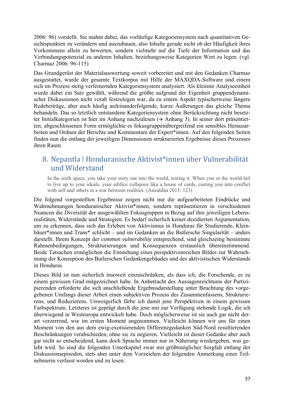2006: 96) vorstellt. Sie mahnt dabei, das vorläufige Kategoriensystem nach quantitativen Gesichtspunkten zu verändern und auszubauen, also Inhalte gerade nicht ob der Häufigkeit ihres Vorkommens allein zu bewerten, sondern vielmehr auf die Tiefe der Information und das Verbindungspotenzial zu anderen Inhalten, beziehungsweise Kategorien Wert zu legen. (vgl. Charmaz 2006: 96-115)

Das Grundgerüst der Materialauswertung soweit vorbereitet und mit den Gedanken Charmaz ausgestattet, wurde der gesamte Textkorpus mit Hilfe der MAXQDA-Software und einem sich im Prozess stetig verfeinernden Kategoriensystem analysiert. Als kleinste Analyseeinheit wurde dabei ein Satz gewählt, während die größte aufgrund der Eigenheit gruppendynamischer Diskussionen nicht vorab festzulegen war, da zu einem Aspekt typischerweise längere Redebeiträge, aber auch häufig aufeinanderfolgende, kurze Äußerungen das gleiche Thema behandeln. Das so letztlich entstandene Kategoriensystem ohne Berücksichtung nicht besetzter Initialkategorien ist hier im Anhang nachzulesen  $( \rightarrow \text{Anhang } 3)$ . In seiner dort präsentierten, abgeschlossenen Form ermöglichte es fokusgruppenübergreifend ein sensibles Herausarbeiten und Ordnen der Berichte und Kommentare der Expert\*innen. Auf den folgenden Seiten finden nun die entlang der jeweiligen Dimensionen strukturierten Ergebnisse dieses Prozesses ihren Raum.

## 8. Nepantla ǀ Honduranische Aktivist\*innen über Vulnerabilität und Widerstand

In the sixth space, you take your story out into the world, testing it. When you or the world fail to live up to your ideals, your edifice collapses lika a house of cards, casting you into conflict with self and others in a war between realities. (Anzaldúa 2015: 123)

Die folgend vorgestellten Ergebnisse zeigen nicht nur die aufgearbeiteten Eindrücke und Wahrnehmungen honduranischer Aktivist\*innen, sondern repräsentieren in verschiedenen Nuancen die Diversität der ausgewählten Fokusgruppen in Bezug auf ihre jeweiligen Lebensrealitäten, Widerstände und Strategien. Es bedarf sicherlich keiner dezidierten Argumentation, um zu erkennen, dass sich das Erleben von Aktivismus in Honduras für Studierende, Kleinbäuer\*innen und Trans\* schlicht – und im Gedanken an die Butlersche Singularität – anders darstellt. Ihrem Konzept der *common vulnerability* entsprechend, sind gleichzeitig bestimmte Rahmenbedingungen, Strukturierungen und Konsequenzen erstaunlich übereinstimmend. Beide Tatsachen ermöglichen die Entstehung eines perspektivenreichen Bildes zur Wahrnehmung der Konzeption des Butlerschen Gedankengebäudes und des aktivistischen Widerstands in Honduras.

Dieses Bild ist nun sicherlich insoweit einzuschränken, als dass ich, die Forschende, es zu einem gewissen Grad mitgezeichnet habe. In Anbetracht des Aussagenreichtums der Partizipierenden erforderte die sich anschließende Ergebnisdarstellung unter Beachtung des vorgegebenen Umfangs dieser Arbeit einen subjektiven Prozess des Zusammenfassens, Strukturierens, und Reduzierens. Unweigerlich färbe ich damit jene Perspektiven in einem gewissen Farbspektrum. Letzteres ist geprägt durch die jene mir zur Verfügung stehende Logik, die ich überwiegend in Westeuropa entwickelt habe. Doch möglicherweise ist sie auch gar nicht derart verzerrend, wie im ersten Moment angenommen. Vielleicht können wir uns für einen Moment von den aus dem ewig-exotisierenden Differenzgedanken Süd-Nord resultierenden Beschränkungen verabschieden, ohne sie zu negieren. Vielleicht ist dieser Gedanke aber auch gar nicht so entscheidend, kann doch Sprache immer nur in Näherung wiedergeben, was gelebt wird. So sind die folgenden Unterkapitel zwar mit größtmöglicher Sorgfalt entlang der Diskussionsepisoden, stets aber unter dem Vorzeichen der folgenden Anmerkung einer Teilnehmerin verfasst worden und zu lesen: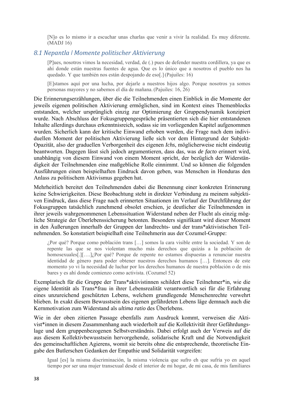[N]o es lo mismo ir a escuchar unas charlas que venir a vivir la realidad. Es muy diferente. (MADJ 16)

#### *8.1 Nepantla ǀ Momente politischer Aktivierung*

[P]ues, nosotros vimos la necesidad, verdad, de (.) pues de defender nuestra cordillera, ya que es ahí donde están nuestras fuentes de agua. Que es lo único que a nosotros el pueblo nos ha quedado. Y que también nos están despojando de eso[.](Pajuiles: 16)

[E]stamos aquí por una lucha, por dejarle a nuestros hijos algo. Porque nosotros ya somos personas mayores y no sabemos el día de mañana.(Pajuiles: 16, 26)

Die Erinnerungserzählungen, über die die Teilnehmenden einen Einblick in die Momente der jeweils eigenen politischen Aktivierung ermöglichen, sind im Kontext eines Themenblocks entstanden, welcher ursprünglich einzig zur Optimierung der Gruppendynamik konzipiert wurde. Nach Abschluss der Fokusgruppengespräche präsentierten sich die hier entstandenen Inhalte allerdings durchaus erkenntnisreich, sodass sie im vorliegenden Kapitel aufgenommen wurden. Sicherlich kann der kritische Einwand erhoben werden, die Frage nach dem individuellen Moment der politischen Aktivierung ließe sich vor dem Hintergrund der Subjekt-Opazität, also der graduellen Verborgenheit des eigenen *Ichs*, möglicherweise nicht eindeutig beantworten. Dagegen lässt sich jedoch argumentieren, dass das, was *de facto* erinnert wird, unabhängig von diesem Einwand von einem Moment spricht, der bezüglich der Widerständigkeit der Teilnehmenden eine maßgebliche Rolle einnimmt. Und so können die folgenden Ausführungen einen beispielhaften Eindruck davon geben, was Menschen in Honduras den Anlass zu politischem Aktivismus gegeben hat.

Mehrheitlich bereitet den Teilnehmenden dabei die Benennung einer konkreten Erinnerung keine Schwierigkeiten. Diese Beobachtung steht in direkter Verbindung zu meinem subjektiven Eindruck, dass diese Frage nach erinnerten Situationen im Verlauf der Durchführung der Fokusgruppen tatsächlich zunehmend obsolet erschien, je deutlicher die Teilnehmenden in ihrer jeweils wahrgenommenen Lebenssituation Widerstand neben der Flucht als einzig mögliche Strategie der Überlebenssicherung betonten. Besonders signifikant wird dieser Moment in den Äußerungen innerhalb der Gruppen der landrechts- und der trans\*aktivistischen Teilnehmenden. So konstatiert beispielhaft eine Teilnehmerin aus der Cozumel-Gruppe:

¿Por qué? Porque como población trans […] somos la cara visible entre la sociedad. Y son de repente las que se nos violentan mucho más derechos que quizás a la población de homosexuales[.][….]¿Por qué? Porque de repente no estamos dispuestas a renunciar nuestra identidad de género para poder obtener nuestros derechos humanos […]. Entonces de este momento yo vi la necesidad de luchar por los derechos humanos de nuestra población o de mis bares y es ahí donde comienzo como activista. (Cozumel 52)

Exemplarisch für die Gruppe der Trans\*aktivistinnen schildert diese Teilnehmer\*in, wie die eigene Identität als Trans\*frau in ihrer Lebensrealität verantwortlich sei für die Erfahrung eines unzureichend geschützten Lebens, welchem grundlegende Menschenrechte verwehrt blieben. In exakt diesem Bewusstsein des eigenen gefährdeten Lebens läge demnach auch die Kernmotivation zum Widerstand als *ultima ratio* des Überlebens.

Wie in der oben zitierten Passage ebenfalls zum Ausdruck kommt, verweisen die Aktivist\*innen in diesem Zusammenhang auch wiederholt auf die Kollektivität ihrer Gefährdungslage und dem gruppenbezogenen Selbstverständnis. Dabei erfolgt auch der Verweis auf die aus diesem Kollektivbewusstsein hervorgehende, solidarische Kraft und die Notwendigkeit des gemeinschaftlichen Agierens, womit sie bereits ohne die entsprechende, theoretische Eingabe den Butlerschen Gedanken der Empathie und Solidarität vorgreifen:

Igual [es] la misma discriminación, la misma violencia que sufro eh que sufría yo en aquel tiempo por ser una mujer transexual desde el interior de mi hogar, de mi casa, de mis familiares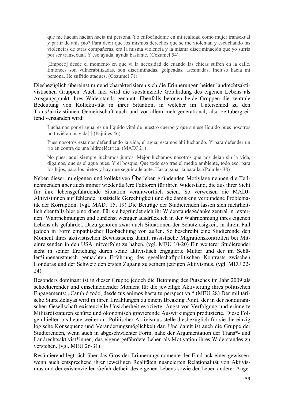que me hacían hacían hacia mi persona. Yo enfocándome en mi realidad como mujer transexual y partir de ahí, ¿no? Para decir que los mismos derechos que se me violentan y escuchando las violencias de otras compañeras, era la misma violencia y la misma discriminación que yo sufría por ser transexual. Y eso ayuda, ayuda bastante. (Cozumel 54)

[Empecé] desde el momento en que vi la necesidad de cuando las chicas sufren en la calle. Entonces son vulnerabilizadas, son discriminadas, golpeadas, asesinadas. Incluso hacia mi persona. He sufrido ataques. (Cozumel 71)

Diesbezüglich übereinstimmend charakterisieren sich die Erinnerungen beider landrechtsaktivistischen Gruppen. Auch hier wird die substanzielle Gefährdung des eigenen Lebens als Ausgangspunkt ihres Widerstands genannt. Ebenfalls betonen beide Gruppen die zentrale Bedeutung von Kollektivität in ihrer Situation, in welcher im Unterschied zu den Trans\*aktivistinnen Gemeinschaft auch und vor allem mehrgenerational, also zeitübergreifend verstanden wird:

Luchamos por el agua, es un líquido vital de nuestro cuerpo y que sin ese líquido pues nosotros no tuviéramos vida[.] (Pajuiles 46)

Pues nosotros estamos defendiendo la vida, el agua, estamos ahí luchando. Y para defender un río en contra de una hidroeléctrica. (MADJ 21)

No pues, aquí siempre luchamos juntos. Mejor luchamos nosotros que nos dejan sin la vida, digamos, que es el agua pues. Y el bosque. Que todo eso trae el medio ambiente, todo eso, para los hijos, para los nietos y hay que seguir adelante. Hasta ganar la batalla. (Pajuiles 38)

Neben dieser im eigenen und kollektiven Überleben gründenden Motivlage nennen die Teilnehmenden aber auch immer wieder äußere Faktoren für ihren Widerstand, die aus ihrer Sicht für ihre lebensgefährdende Situation verantwortlich seien. So verweisen die MADJ-Aktivistinnen auf fehlende, justizielle Gerechtigkeit und die damit eng verbundene Problematik der Korruption. (vgl. MADJ 15, 19) Die Beiträge der Studierenden lassen sich mehrheitlich ebenfalls hier einordnen. Für sie begründet sich ihr Widerstandsgedanke zentral in , externen' Wahrnehmungen und zunächst weniger ausdrücklich in der Wahrnehmung ihres eigenen Lebens als gefährdet. Dazu gehören zwar auch Situationen der Schutzlosigkeit, in ihrem Fall jedoch in Form empathischer Beobachtung von außen. So beschreibt eine Studierende den Moment ihres aktivistischen Bewusstseins damit, rassistische Migrationskontrollen bei Miteinreisenden in den USA mitverfolgt zu haben. (vgl. MEU 10-20) Ein weiterer Studierender sieht in seiner Erziehung durch seine aktivistisch engagierte Mutter und der im Schüler\*innenaustausch gemachten Erfahrung des gesellschaftpolitischen Kontrasts zwischen Honduras und der Schweiz den ersten Zugang zu seinem jetzigen Aktivismus. (vgl. MEU 22- 24)

Besonders dominant ist in dieser Gruppe jedoch die Betonung des Putsches im Jahr 2009 als schockierender und einschneidender Moment für die jeweilige Aktivierung ihres politischen Engagements: "Cambió todo, desde tus animos hasta tu perspectiva." (MEU 28) Der militärische Sturz Zelayas wird in ihren Erzählungen zu einem Breaking Point, der in der honduranischen Gesellschaft existenzielle Unsicherheit evozierte, Angst vor Verfolgung und erinnerte Militärdiktaturen schürte und ökonomisch gravierende Auswirkungen produzierte. Diese Folgen hielten bis heute weiter an. Politischer Aktivismus stelle diesbezüglich für sie die einzig logische Konsequenz und Veränderungsmöglichkeit dar. Und damit ist auch die Gruppe der Studierenden, wenn auch in abgeschwächter Form, nahe der Argumentation der Trans\*- und Landrechtsaktivist\*innen, das eigene gefährdete Leben als Motivation ihres Widerstandes zu verstehen. (vgl. MEU 26-31)

Resümierend legt sich über das Gros der Erinnerungsmomente der Eindruck einer gewissen, wenn auch entsprechend ihrer jeweiligen Realitäten nuancierten Relationalität von Aktivismus und der existenziellen Gefährdetheit des eigenen Lebens sowie der Leben anderer Ange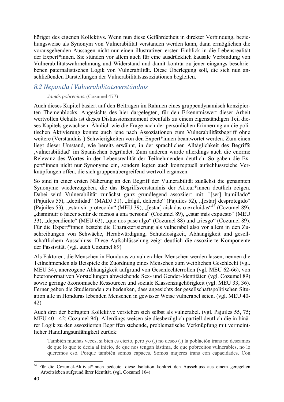höriger des eigenen Kollektivs. Wenn nun diese Gefährdetheit in direkter Verbindung, beziehungsweise als Synonym von Vulnerabilität verstanden werden kann, dann ermöglichen die vorausgehenden Aussagen nicht nur einen illustrativen ersten Einblick in die Lebensrealität der Expert\*innen. Sie stünden vor allem auch für eine ausdrücklich kausale Verbindung von Vulnerabilitätswahrnehmung und Widerstand und damit konträr zu jener eingangs beschriebenen paternalistischen Logik von Vulnerabilität. Diese Überlegung soll, die sich nun anschließenden Darstellungen der Vulnerabilitätsassoziationen begleiten.

### *8.2 Nepantla ǀ Vulnerabilitätsverständnis*

#### *Jamás pobrecitas.*(Cozumel 477)

Auch dieses Kapitel basiert auf den Beiträgen im Rahmen eines gruppendynamisch konzipierten Themenblocks. Angesichts des hier dargelegten, für den Erkenntniswert dieser Arbeit wertvollen Gehalts ist dieses Diskussionsmoment ebenfalls zu einem eigenständigen Teil dieses Kapitels gewachsen. Ähnlich wie die Frage nach der persönlichen Erinnerung an die politischen Aktivierung konnte auch jene nach Assoziationen zum Vulnerabilitätsbegriff ohne weitere (Verständnis-) Schwierigkeiten von den Expert\*innen beantwortet werden. Zum einen liegt dieser Umstand, wie bereits erwähnt, in der sprachlichen Alltäglichkeit des Begriffs 'vulnerabilidad' im Spanischen begründet. Zum anderen wurde allerdings auch die enorme Relevanz des Wortes in der Lebensrealität der Teilnehmenden deutlich. So gaben die Expert\*innen nicht nur Synonyme ein, sondern legten auch konzeptuell aufschlussreiche Verknüpfungen offen, die sich gruppenübergreifend wertvoll ergänzen.

So sind in einer ersten Näherung an den Begriff der Vulnerabilität zunächst die genannten Synonyme wiederzugeben, die das Begriffsverständnis der Akteur\*innen deutlich zeigen. Dabei wird Vulnerabilität zunächst ganz grundlegend assoziiert mit: "[ser] humillado" (Pajuiles 55), "debilidad" (MADJ 31), "frágil, delicado" (Pajuiles 52), "[estar] desprotegido" (Pajuiles 53), "estar sin protección" (MEU 39), "[estar] aisladas o excluidas"<sup>34</sup> (Cozumel 89). "disminuir o hacer sentir de menos a una persona" (Cozumel 89), "estar más expuesto" (MEU 33), "dependiente" (MEU 63), "que nos pase algo" (Cozumel 88) und "riesgo" (Cozumel 89). Für die Expert\*innen besteht die Charakterisierung als vulnerabel also vor allem in den Zuschreibungen von Schwäche, Herabwürdigung, Schutzlosigkeit, Abhängigkeit und gesellschaftlichem Ausschluss. Diese Aufschlüsselung zeigt deutlich die assoziierte Komponente der Passivität. (vgl. auch Cozumel 89)

Als Faktoren, die Menschen in Honduras zu vulnerablen Menschen werden lassen, nennen die Teilnehmenden als Beispiele die Zuordnung eines Menschen zum weiblichen Geschlecht (vgl. MEU 34), anerzogene Abhängigkeit aufgrund von Geschlechterrollen (vgl. MEU 62-66), von heteronormativen Vorstellungen abweichende Sex- und Gender-Identitäten (vgl. Cozumel 89) sowie geringe ökonomische Ressourcen und soziale Klassenzugehörigkeit (vgl. MEU 33, 36). Ferner geben die Studierenden zu bedenken, dass angesichts der gesellschaftspolitischen Situation alle in Honduras lebenden Menschen in gewisser Weise vulnerabel seien. (vgl. MEU 40- 42)

Auch drei der befragten Kollektive verstehen sich selbst als vulnerabel. (vgl. Pajuiles 55, 75; MEU 40 - 42; Cozumel 94). Allerdings weisen sie diesbezüglich partiell deutlich die in binärer Logik zu den assoziierten Begriffen stehende, problematische Verknüpfung mit vermeintlicher Handlungsunfähigkeit zurück:

También muchas veces, si bien es cierto, pero yo (.) no deseo (.) la población trans no deseamos de que lo que te decía al inicio, de que nos tengan lástima, de que pobrecitos vulnerables, no lo queremos eso. Porque también somos capaces. Somos mujeres trans con capacidades. Con

 <sup>34</sup> Für die Cozumel-Aktivist\*innen bedeutet diese Isolation konkret den Ausschluss aus einem geregelten Arbeitsleben aufgrund ihrer Identität. (vgl. Cozumel 104)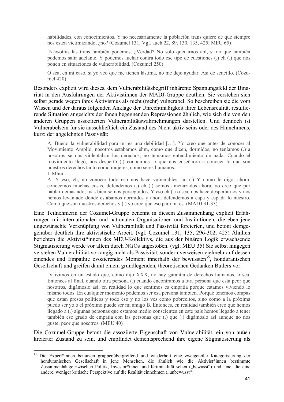habilidades, con conocimientos. Y no necesariamente la población trans quiere de que siempre nos estén victimizando, ¿no? (Cozumel 131, Vgl. auch 22, 89, 130, 135, 425; MEU 65)

[N]osotras las trans también podemos. ¿Verdad? No solo quedarnos ahí, si no que también podemos salir adelante. Y podemos luchar contra todo ese tipo de cuestiones (.) eh (.) que nos ponen en situaciones de vulnerabilidad. (Cozumel 250)

O sea, en mi caso, si yo veo que me tienen lástima, no me dejo ayudar. Asi de sencillo. (Cozumel 420)

Besonders explizit wird dieses, dem Vulnerabilitätsbegriff inhärente Spannungsfeld der Binarität in den Ausführungen der Aktivistinnen der MADJ-Gruppe deutlich. Sie verstehen sich selbst gerade wegen ihres Aktivismus als nicht (mehr) vulnerabel. So beschreiben sie die vom Wissen und der daraus folgenden Anklage der Unrechtmäßigkeit ihrer Lebensrealität resultierende Situation angesichts der ihnen begegnenden Repressionen ähnlich, wie sich die von den anderen Gruppen assoziierten Vulnerabilitätswahrnehmungen darstellen. Und dennoch ist Vulnerabelsein für sie ausschließlich ein Zustand des Nicht-aktiv-seins oder des Hinnehmens, kurz: der abgelehnten Passivität:

A: Bueno la vulnerabilidad para mi es una debilidad […]. Yo creo que antes de conocer al Movimiento Amplio, nosotros estábamos ehm, como que dicen, dormidos, no teníamos (.) a nosotros se nos violentaban los derechos, no teníamos entendimiento de nada. Cuando el movimiento llegó, nos despertó (.) conocimos lo que nos enseñaron a conocer lo que son nuestros derechos tanto como mujeres, como seres humanos. I: Mhm.

A: Y eso, eh, no conocer todo eso nos hace vulnerables, no (.) Y como le digo, ahora, conocemos muchas cosas, defendemos (.) eh (.) somos amenazados ahora, yo creo que por hablar demasiado, mas bien somos perseguidos. Y eso eh (.) o sea, nos hace despertarnos y nos hemos levantado donde estábamos dormidos y ahora defendemos a capa y espada lo nuestro. Como que son nuestros derechos y (.) yo creo que eso para mi es. (MADJ 31-33)

Eine Teilnehmerin der Cozumel-Gruppe benennt in diesem Zusammenhang explizit Erfahrungen mit internationalen und nationalen Organisationen und Institutionen, die eben jene ungewünschte Verknüpfung von Vulnerabilität und Passivität forcierten, und betont demgegenüber deutlich ihre aktivistische Arbeit. (vgl. Cozumel 131, 135, 296-302, 425) Ähnlich berichten die Aktivist\*innen des MEU-Kollektivs, die aus der binären Logik erwachsende Stigmatisierung werde vor allem durch NGOs angestoßen. (vgl. MEU 35) Sie selbst hingegen verstehen Vulnerabilität vorrangig nicht als Passivität, sondern verweisen vielmehr auf dessen einendes und Empathie evozierendes Moment innerhalb der bewussten<sup>35</sup>, honduranischen Gesellschaft und greifen damit einem grundlegenden, theoretischen Gedanken Butlers vor:

[V]ivimos en un estado que, como dijo XXX, no hay garantía de derechos humanos, o sea. Entonces al final, cuando otra persona (.) cuando encontramos a otra persona que está peor que nosotros, digámoslo así, en realidad lo que sentimos es empatía porque estamos viviendo lo mismo todos. En cualquier momento podemos ser esa persona también. Porque tenemos compas que están presos políticos y todo eso y no los ves como pobrecitos, sino como a la próxima puedo ser yo o el próximo puede ser mi amigo B. Entonces, en realidad también creo que hemos llegado a (.) algunas personas que estamos medio conscientes en este país hemos llegado a tener también ese grado de empatía con las personas que (.) que (.) digámoslo así aunque no nos guste, peor que nosotros. (MEU 40)

Die Cozumel-Gruppe betont die assoziierte Eigenschaft von Vulnerabilität, ein von außen kreierter Zustand zu sein, und empfindet dementsprechend ihre eigene Stigmatisierung als

 <sup>35</sup> Die Expert\*innen benutzen gruppenübergreifend und wiederholt eine zweigeteilte Kategorisierung der honduranischen Gesellschaft in jene Menschen, die ähnlich wie die Aktivist\*innen bestimmte Zusammenhänge zwischen Politik, Investor\*innen und Kriminalität sehen ("bewusst") und jene, die eine andere, weniger kritische Perspektive auf die Realität einnehmen ("unbewusst").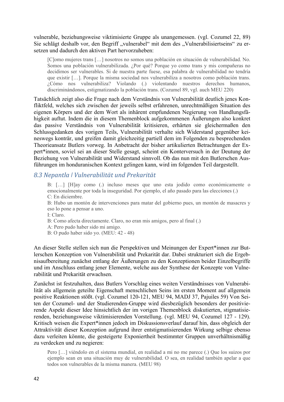vulnerable, beziehungsweise viktimisierte Gruppe als unangemessen. (vgl. Cozumel 22, 89) Sie schlägt deshalb vor, den Begriff "vulnerabel" mit dem des "Vulnerabilisiertseins" zu ersetzen und dadurch den aktiven Part hervorzuheben:

[C]omo mujeres trans […] nosotros no somos una población en situación de vulnerabilidad. No. Somos una población vulnerabilizada. ¿Por qué? Porque yo como trans y mis compañeras no decidimos ser vulnerables. Si de nuestra parte fuese, esa palabra de vulnerabilidad no tendría que existir […]. Porque la misma sociedad nos vulnerabiliza a nosotros como población trans. ¿Cómo nos vulnerabiliza? Violando (.) violentando nuestros derechos humanos, discriminándonos, estigmatizando la población trans. (Cozumel 89, vgl. auch MEU 220)

Tatsächlich zeigt also die Frage nach dem Verständnis von Vulnerabilität deutlich jenes Konfliktfeld, welches sich zwischen der jeweils selbst erfahrenen, unrechtmäßigen Situation des eigenen Körpers und der dem Wort als inhärent empfundenen Negierung von Handlungsfähigkeit auftut. Indem die in diesem Themenblock aufgekommenen Äußerungen also konkret das passive Verständnis von Vulnerabilität kritisieren, erhärten sie gleichermaßen den Schlussgedanken des vorigen Teils, Vulnerabilität verhalte sich Widerstand gegenüber keineswegs konträr, und greifen damit gleichzeitig partiell dem im Folgenden zu besprechenden Theorieansatz Butlers vorweg. In Anbetracht der bisher artikulierten Betrachtungen der Expert\*innen, soviel sei an dieser Stelle gesagt, scheint ein Konterversuch in der Deutung der Beziehung von Vulnerabilität und Widerstand sinnvoll. Ob das nun mit den Butlerschen Ausführungen im honduranischen Kontext gelingen kann, wird im folgenden Teil dargestellt.

### *8.3 Nepantla ǀ Vulnerabilität und Prekarität*

B: […] [H]ay como (.) incluso meses que uno esta jodido como económicamente o emocionalmente por toda la inseguridad. Por ejemplo, el año pasado para las elecciones (.) C: En diciembre.

B: Hubo un montón de intervenciones para matar del gobierno pues, un montón de masacres y eso lo pone a pensar a uno.

I: Claro.

B: Como afecta directamente. Claro, no eran mis amigos, pero al final (.)

A: Pero pudo haber sido mi amigo.

B: O pudo haber sido yo. (MEU: 42 - 48)

An dieser Stelle stellen sich nun die Perspektiven und Meinungen der Expert\*innen zur Butlerschen Konzeption von Vulnerabilität und Prekarität dar. Dabei strukturiert sich die Ergebnisaufbereitung zunächst entlang der Äußerungen zu den Konzeptionen beider Einzelbegriffe und im Anschluss entlang jener Elemente, welche aus der Synthese der Konzepte von Vulnerabilität und Prekarität erwachsen.

Zunächst ist festzuhalten, dass Butlers Vorschlag eines weiten Verständnisses von Vulnerabilität als allgemein geteilte Eigenschaft menschlichen Seins im ersten Moment auf allgemein positive Reaktionen stößt. (vgl. Cozumel 120-121, MEU 94, MADJ 37, Pajuiles 59) Von Seiten der Cozumel- und der Studierenden-Gruppe wird diesbezüglich besonders der positivierende Aspekt dieser Idee hinsichtlich der im vorigen Themenblock diskutierten, stigmatisierenden, beziehungsweise viktimisierenden Vorstellung. (vgl. MEU 94, Cozumel 127 - 129). Kritisch weisen die Expert\*innen jedoch im Diskussionsverlauf darauf hin, dass obgleich der Attraktivität dieser Konzeption aufgrund ihrer entstigmatisierenden Wirkung selbige ebenso dazu verleiten könnte, die gesteigerte Exponiertheit bestimmter Gruppen unverhältnismäßig zu verdecken und zu negieren:

Pero […] viéndolo en el sistema mundíal, en realidad a mi no me parece (.) Que los suizos por ejemplo sean en una situación muy de vulnerabilidad. O sea, en realidad también apelar a que todos son vulnerables de la misma manera. (MEU 98)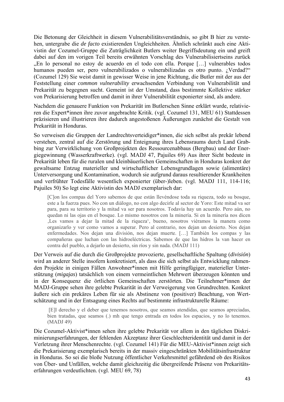Die Betonung der Gleichheit in diesem Vulnerabilitätsverständnis, so gibt B hier zu verstehen, untergrabe die *de facto* existierenden Ungleichheiten. Ähnlich schränkt auch eine Aktivistin der Cozumel-Gruppe die Zuträglichkeit Butlers weiter Begriffsdeutung ein und greift dabei auf den im vorigen Teil bereits erwähnten Vorschlag des Vulnerabilisiertseins zurück "En lo personal no estoy de acuerdo en el todo con ella. Porque [...] vulnerables todos humanos pueden ser, pero vulnerabilizados o vulnerabilizadas es otro punto. ¿Verdad?" (Cozumel 129) Sie weist damit in gewisser Weise in jene Richtung, die Butler mit der aus der Feststellung einer *common vulnerability* erwachsenden Verbindung von Vulnerabilität und Prekarität zu begegnen sucht. Gemeint ist der Umstand, dass bestimmte Kollektive stärker von Prekarisierung betroffen und damit in ihrer Vulnerabilität exponierter sind, als andere.

Nachdem die genauere Funktion von Prekarität im Butlerschen Sinne erklärt wurde, relativieren die Expert\*innen ihre zuvor angebrachte Kritik. (vgl. Cozumel 131, MEU 61) Stattdessen präzisieren und illustrieren ihre dadurch angestoßenen Äußerungen zunächst die Gestalt von Prekarität in Honduras.

So verweisen die Gruppen der Landrechtsverteidiger\*innen, die sich selbst als prekär lebend verstehen, zentral auf die Zerstörung und Enteignung ihres Lebensraums durch Land Grabbing zur Verwirklichung von Großprojekten des Ressourcenabbaus (Bergbau) und der Energiegewinnung (Wasserkraftwerke). (vgl. MADJ 47, Pajuiles 69) Aus ihrer Sicht bedeute in Prekarität leben für die ruralen und kleinbäuerlichen Gemeinschaften in Honduras konkret der gewaltsame Entzug materieller und wirtschaftlicher Lebensgrundlagen sowie (alimentäre) Unterversorgung und Kontamination, wodurch sie aufgrund daraus resultierender Krankheiten und verfrühter Todesfälle wesentlich exponierter (über-)leben. (vgl. MADJ 111, 114-116; Pajuiles 50) So legt eine Aktivistin des MADJ exemplarisch dar:

[C]on los compas del Yoro sabemos de que están llevéndose toda su riqueza, todo su bosque, este a la fuerza pues. No con un diálogo, no con algo decirle al sector de Yoro: Este mitad va ser para, para su territorio y la mitad va ser para nosotros. Todavía hay un acuerdo. Pero aún, no quedan ni las ojas en el bosque. Lo mismo nosotros con la minería. Si en la minería nos dicen 'Les vamos a dejar la mitad de la riqueza', bueno, nosotros viéramos la manera como organizarlo y ver como vamos a superar. Pero al contrario, nos dejan un desierto. Nos dejan enfermedades. Nos dejan una división, nos dejan muerte. […] También los compas y las compañeras que luchan con las hidroeléctricas. Sabemos de que las hidros la van hacer en contra del pueblo, a dejarlo un desierto, sin ríos y sin nada. (MADJ 111)

Der Verweis auf die durch die Großprojekte provozierte, gesellschaftliche Spaltung (*división*) wird an anderer Stelle insofern konkretisiert, als dass die sich selbst als Entwicklung rahmenden Projekte in einigen Fällen Anwohner\*innen mit Hilfe geringfügiger, materieller Unterstützung (*migajas*) tatsächlich von einem vermeintlichen Mehrwert überzeugen könnten und in der Konsequenz die örtlichen Gemeinschaften zerstörten. Die Teilnehmer\*innen der MADJ-Gruppe sehen ihre gelebte Prekarität in der Verweigerung von Grundrechten. Konkret äußere sich ein prekäres Leben für sie als Abstinenz von (positiver) Beachtung, von Wertschätzung und in der Entsagung eines Rechts auf bestimmte infrastrukturelle Räume:

 [E]l derecho y el deber que tenemos nosotros, que seamos atendidas, que seamos apreciadas, bien tratadas, que seamos (.) mh que tengo entrada en todos los espacios, y no lo tenemos. (MADJ 49)

Die Cozumel-Aktivist\*innen sehen ihre gelebte Prekarität vor allem in den täglichen Diskriminierungserfahrungen, der fehlenden Akzeptanz ihrer Geschlechteridentität und damit in der Verletzung ihrer Menschenrechte. (vgl. Cozumel 141) Für die MEU-Aktivist\*innen zeigt sich die Prekarisierung exemplarisch bereits in der massiv eingeschränkten Mobilitätsinfrastruktur in Honduras. So sei die bloße Nutzung öffentlicher Verkehrsmittel gefährdend ob des Risikos von Über- und Unfällen, welche damit gleichzeitig die übergreifende Präsenz von Prekaritätserfahrungen verdeutlichten. (vgl. MEU 69, 78)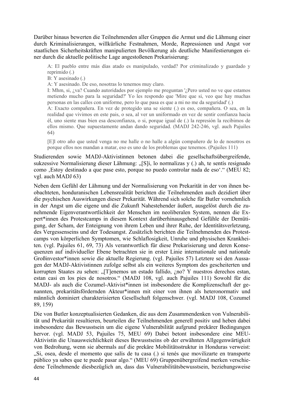Darüber hinaus bewerten die Teilnehmenden aller Gruppen die Armut und die Lähmung einer durch Kriminalisierungen, willkürliche Festnahmen, Morde, Repressionen und Angst vor staatlichen Sicherheitskräften manipulierten Bevölkerung als deutliche Manifestierungen einer durch die aktuelle politische Lage angestoßenen Prekarisierung:

A: El pueblo entre más días atado es manipulado, verdad? Por criminalizado y guardado y reprimido (.)

B: Y asesinado (.)

A: Y asesinado. De eso, nosotras lo tenemos muy claro.

I: Mhm, si, ¿va? Cuando autoridades por ejemplo me preguntan '¿Pero usted no ve que estamos metiendo mucho para la seguridad?' Yo les respondo que 'Mire que si, veo que hay muchas personas en las calles con uniforme, pero lo que pasa es que a mi no me da seguridad' (.)

A: Exacto compañera. En vez de protegido una se siente (.) es eso, compañera. O sea, en la realidad que vivimos en este pais, o sea, al ver un uniformado en vez de sentir confianza hacia él, uno siente mas bien esa desconfianza, o si, porque igual de (.) la represión la recibimos de ellos mismo. Que supuestamente andan dando seguridad. (MADJ 242-246, vgl. auch Pajuiles 64)

[E]l otro año que usted venga no me halle o no halle a algún compañero de lo de nosotros es porque ellos nos mandan a matar, eso es uno de los problemas que tenemos. (Pajuiles 111)

Studierenden sowie MADJ-Aktivistinnen betonen dabei die gesellschaftsübergreifende, sukzessive Normalisierung dieser Lähmung: "[S]i, lo normalizas y (.) ah, te sentís resignado como 'Estoy destinado a que pase esto, porque no puedo controlar nada de eso'." (MEU 82; vgl. auch MADJ 63)

Neben dem Gefühl der Lähmung und der Normalisierung von Prekarität in der von ihnen beobachteten, honduranischen Lebensrealität berichten die Teilnehmenden auch dezidiert über die psychischen Auswirkungen dieser Prekarität. Während sich solche für Butler vornehmlich in der Angst um die eigene und die Zukunft Nahestehender äußert, ausgelöst durch die zunehmende Eigenverantwortlichkeit der Menschen im neoliberalen System, nennen die Expert\*innen des Protestcamps in diesem Kontext darüberhinausgehend Gefühle der Demütigung, der Scham, der Enteignung von ihrem Leben und ihrer Ruhe, der Identitätsverletzung, des Vergessenseins und der Todesangst. Zusätzlich berichten die Teilnehmenden des Protestcamps von körperlichen Symptomen, wie Schlaflosigkeit, Unruhe und physischen Krankheiten. (vgl. Pajuiles 61, 69, 73) Als verantwortlich für diese Prekarisierung und deren Konsequenzen auf individueller Ebene betrachten sie in erster Linie internationale und nationale Großinvestor\*innen sowie die aktuelle Regierung. (vgl. Pajuiles 57) Letztere sei den Aussagen der MADJ-Aktivistinnen zufolge selbst als ein weiteres Symptom des gescheiterten und korrupten Staates zu sehen: "[T]enemos un estado fallido, ¿no? Y nuestros derechos estan, estan casi en los pies de nosotros." (MADJ 108, vgl. auch Pajuiles 111) Sowohl für die MADJ- als auch die Cozumel-Aktivist\*innen ist insbesondere die Komplizenschaft der genannten, prekaritätsfördernden Akteur\*innen mit einer von ihnen als heteronormativ und männlich dominiert charakterisierten Gesellschaft folgenschwer. (vgl. MADJ 108, Cozumel 89, 159)

Die von Butler konzeptualisierten Gedanken, die aus dem Zusammendenken von Vulnerabilität und Prekarität resultieren, beurteilen die Teilnehmenden generell positiv und heben dabei insbesondere das Bewusstsein um die eigene Vulnerabilität aufgrund prekärer Bedingungen hervor. (vgl. MADJ 53, Pajuiles 75, MEU 69) Dabei betont insbesondere eine MEU-Aktivistin die Unausweichlichkeit dieses Bewusstseins ob der erwähnten Allgegenwärtigkeit von Bedrohung, wenn sie abermals auf die prekäre Mobilitätsstruktur in Honduras verweist: "Si, osea, desde el momento que salís de tu casa (.) si tenés que movilizarte en transporte público ya sabes que te puede pasar algo." (MEU 69) Gruppenübergreifend merken verschiedene Teilnehmende diesbezüglich an, dass das Vulnerabilitätsbewusstsein, beziehungsweise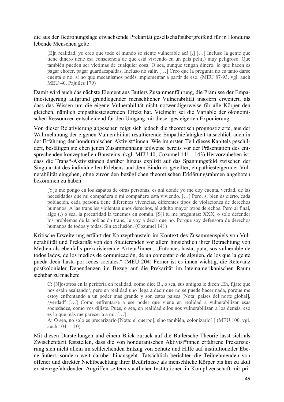#### die aus der Bedrohungslage erwachsende Prekarität gesellschaftsübergreifend für in Honduras lebende Menschen gelte:

[E]n realidad, yo creo que todo el mundo se siente vulnerable acá [.] […] Incluso la gente que tiene dinero tiene esa consciencia de que está viviendo en un país peli(.) muy peligroso. Que también pueden ser víctimas de cualquier cosa. O sea, aunque tengan dinero, lo que hacen es pagar chofer, pagar guardaespaldas. Incluso no salir. […] Creo que la pregunta no es tanto darse cuenta o no, si no que mecanismos podés implementar a partir de eso. (MEU 87-93, vgl. auch MEU 40, Pajuiles 179)

Damit wird auch das nächste Element aus Butlers Zusammenführung, die Prämisse der Empathiesteigerung aufgrund grundlegender menschlicher Vulnerabilität insofern erweitert, als dass das Wissen um die eigene Vulnerabilität nicht notwendigerweise für alle Körper den gleichen, nämlich empathiesteigernden Effekt hat. Vielmehr sei die Variable der ökonomischen Ressourcen entscheidend für den Umgang mit dieser gesteigerten Exponierung.

Von dieser Relativierung abgesehen zeigt sich jedoch die theoretisch prognostizierte, aus der Wahrnehmung der eigenen Vulnerabilität resultierende Empathiefähigkeit tatsächlich auch in der Erfahrung der honduranischen Aktivist\*innen. Wie im ersten Teil dieses Kapitels geschildert, bestätigen sie eben jenen Zusammenhang teilweise bereits vor der Präsentation des entsprechenden konzeptuellen Bausteins. (vgl. MEU 40, Cozumel 141 - 143) Hervorzuheben ist, dass die Trans\*-Aktivistinnen darüber hinaus explizit auf das Spannungsfeld zwischen der Singularität des individuellen Erlebens und dem Eindruck geteilter, empathiesteigernder Vulnerabilität eingehen, ohne zuvor den bezüglichen theoretischen Erklärungsrahmen angeboten bekommen zu haben:

[Y]o me pongo en los zapatos de otras personas, es ahí donde yo me doy cuenta, verdad, de las necesidades que mi compañera o mi compañero está viviendo. […] Pero, si bien es cierto, cada población, cada persona tiene diferentes vivencias, diferentes tipos de violaciones de derechos humanos. A las trans les violentan unos derechos, al adulto mayor otros derechos. Pero al final, algo (.) o sea, la precaridad la tenemos en común. [S]i tu me preguntas: XXX, o solo defender los problemas de la población trans, le voy a decir que no. Porque soy defensora de derechos humanos de todos y todas. Sin exclusión. (Cozumel 141)

Kritische Erweiterung erfährt der Konzeptbaustein im Kontext des Zusammenspiels von Vulnerabilität und Prekarität von den Studierenden vor allem hinsichtlich ihrer Betrachtung von Medien als ebenfalls prekarisierende Akteur\*innen: "Entonces hasta, puta, sos vulnerable de todos lados, de los medios de comunicación, de un comentario de alguien, de los que la gente pueda decir hasta por redes sociales." (MEU 204) Ferner ist es ihnen wichtig, die Relevanz postkolonialer Dependenzen im Bezug auf die Prekarität im lateinamerikanischen Raum sichtbar zu machen:

C: [N]osotros en la periferia en realidad, como dice B., o sea, sus amigos le dicen , Eh, fíjate que nos están asaltando', pero en realidad uno llega a decir que no se puede hacer nada, porque me estoy enfrentando a un poder más grande y son estos países [Nota: países del norte global], ¿verdad? […] Como enfrentarse a ese poder que viene en realidad a vulnerabilizar esas sociedades, como vos dijiste. Pues, o sea, en realidad ellos nos vulnerabilizan a los demás, eso es lo que más me parecería a mi. […]

A: O sea, no solo es precarizarlo [Nota: el cuerpo], sino también, colonizarlo[.] (MEU 100, vgl. auch 104 - 110)

Mit diesen Darstellungen und einem Blick zurück auf die Butlersche Theorie lässt sich als Zwischenfazit feststellen, dass die von honduranischen Aktivist\*innen erfahrene Prekarisierung sich nicht allein im schleichenden Entzug von Schutz und Hilfe auf institutioneller Ebene äußert, sondern weit darüber hinausgeht. Tatsächlich berichten die Teilnehmenden von offener und direkter Nichtbeachtung ihrer Bedürfnisse als menschliche Körper bis hin zu akut existenzgefährdenden Angriffen seitens staatlicher Institutionen in Komplizenschaft mit pri-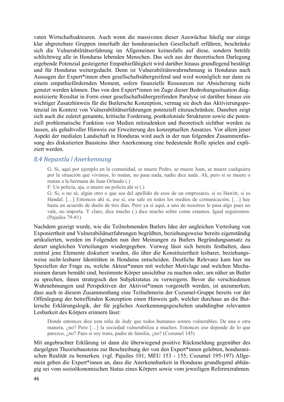vaten Wirtschaftsakteuren. Auch wenn die massivsten dieser Auswüchse häufig nur einige klar abgrenzbare Gruppen innerhalb der honduranischen Gesellschaft erführen, beschränke sich die Vulnerabilitätserfahrung im Allgemeinen keinesfalls auf diese, sondern beträfe schlichtweg alle in Honduras lebenden Menschen. Das sich aus der theoretischen Darlegung ergebende Potenzial gesteigerter Empathiefähigkeit wird darüber hinaus grundlegend bestätigt und für Honduras weitergedacht. Denn ist Vulnerabilitätswahrnehmung in Honduras nach Aussagen der Expert\*innen eben gesellschaftsübergreifend und wird womöglich nur dann zu einem empathiefördernden Moment, sofern finanzielle Ressourcen zur Absicherung nicht genutzt werden können. Das von den Expert\*innen im Zuge dieser Bedrohungssituation diagnostizierte Resultat in Form einer gesellschaftsübergreifenden Paralyse ist darüber hinaus ein wichtiger Zusatzhinweis für die Butlersche Konzeption, vermag sie doch das Aktivierungspotenzial im Kontext von Vulnerabilitätserfahrungen potenziell einzuschränken. Daneben zeigt sich auch die zuletzt genannte, kritische Forderung, postkoloniale Strukturen sowie die potenziell problematische Funktion von Medien mitzudenken und theoretisch sichtbar werden zu lassen, als gehaltvoller Hinweis zur Erweiterung des konzeptuellen Ansatzes. Vor allem jener Aspekt der medialen Landschaft in Honduras wird auch in der nun folgenden Zusammenfassung des diskutierten Bausteins über Anerkennung eine bedeutende Rolle spielen und expliziert werden.

#### *8.4 Nepantla ǀ Anerkennung*

G: Si, aquí por ejemplo en la comunidad, se muere Pedro, se muere Juan, se muere cualquiera por la situación que vivimos, lo matan, no pasa nada, nadie dice nada. Ah, pero si se muere o matan a la hermana de Juan Orlando (.)

F: Un policía, aja, o muere un policía ahí si (.)

G: Si, o no sé, algún otro o que sea del apellido de esos de un empresario, si es Hawitt, si es Handal. […] Entonces ahí si, ese si, ese sale en todos los medios de comunicación, […] hay hasta un acuerdo de duelo de tres días. Pero ya si aquí, a uno de nosotros le pasa algo pues no vale, no importa. Y claro, dice mucho (.) dice mucho sobre como estamos. Igual seguiremos. (Pajuiles 79-81)

Nachdem gezeigt wurde, wie die Teilnehmenden Butlers Idee der ungleichen Verteilung von Exponiertheit und Vulnerabiliätserfahrungen begrüßten, beziehungsweise bereits eigenständig artikulierten, werden im Folgenden nun ihre Meinungen zu Butlers Begründungsansatz zu derart ungleichen Verteilungen wiedergegeben. Vorweg lässt sich bereits festhalten, dass zentral jene Elemente diskutiert wurden, die über die Konstituiertheit lesbarer, beziehungsweise nicht-lesbarer Identitäten in Honduras entscheiden. Deutliche Relevanz kam hier im Speziellen der Frage zu, welche Akteur\*innen mit welcher Motivlage und welchen Mechanismen darum bemüht sind, bestimmte Körper unsichtbar zu machen oder, um näher an Butler zu sprechen, ihnen strategisch den Subjektstatus zu verweigern. Bevor die verschiedenen Wahrnehmungen und Perspektiven der Aktivist\*innen vorgestellt werden, ist anzumerken, dass auch in diesem Zusammenhang eine Teilnehmerin der Cozumel-Gruppe bereits vor der Offenlegung der betreffenden Konzeption einen Hinweis gab, welcher durchaus an die Butlersche Erklärungslogik, der für jegliches Anerkennungsgeschehen unabdingbar relevanten Lesbarkeit des Körpers erinnern lässt:

Donde entonces dice esta niña de Judy que todos humanos somos vulnerables. De una o otra manera, ¿no? Pero […] la sociedad vulnerabiliza a muchos. Entonces eso depende de lo que parezco, ¿no? Pues si soy trans, padre de familia, ¿no? (Cozumel 145)

Mit angebrachter Erklärung ist dann die überwiegend positive Rückmeldung gegenüber des dargelgten Theoriebausteins zur Beschreibung der von den Expert\*innen gelebten, honduranischen Realität zu bemerken. (vgl. Pajuiles 101; MEU 153 - 155; Cozumel 195-197) Allgemein geben die Expert\*innen an, dass die Anerkennbarkeit in Honduras grundlegend abhängig sei vom sozioökonomischen Status eines Körpers sowie vom jeweiligen Referenzrahmen.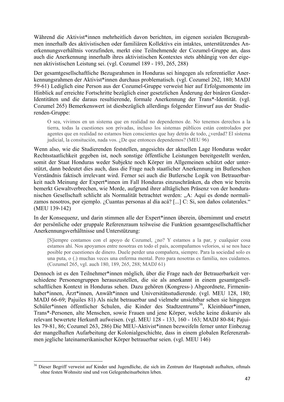Während die Aktivist\*innen mehrheitlich davon berichten, im eigenen sozialen Bezugsrahmen innerhalb des aktivistischen oder familiären Kollektivs ein intaktes, unterstützendes Anerkennungsverhältnis vorzufinden, merkt eine Teilnehmende der Cozumel-Gruppe an, dass auch die Anerkennung innerhalb ihres aktivistischen Kontextes stets abhängig von der eigenen aktivistischen Leistung sei. (vgl. Cozumel 189 - 193, 265, 288)

Der gesamtgesellschaftliche Bezugsrahmen in Honduras sei hingegen als referentieller Anerkennungsrahmen der Aktivist\*innen durchaus problematisch. (vgl. Cozumel 262, 180; MADJ 59-61) Lediglich eine Person aus der Cozumel-Gruppe verweist hier auf Erfolgsmomente im Hinblick auf erreichte Fortschritte bezüglich einer gesetzlichen Änderung der binären Gender-Identitäten und die daraus resultierende, formale Anerkennung der Trans\*-Identität. (vgl. Cozumel 265) Bemerkenswert ist diesbezüglich allerdings folgender Einwurf aus der Studierenden-Gruppe:

O sea, vivimos en un sistema que en realidad no dependemos de. No tenemos derechos a la tierra, todas la cuestiones son privadas, incluso los sistemas públicos están controlados por agentes que en realidad no estamos bien conscientes que hay detrás de todo, ¿verdad? El sistema judicial, la consitución, nada vos. ¿De que entonces dependemos? (MEU 96)

Wenn also, wie die Studierenden feststellen, angesichts der aktuellen Lage Honduras weder Rechtsstaatlichkeit gegeben ist, noch sonstige öffentliche Leistungen bereitgestellt werden, somit der Staat Honduras weder Subjekte noch Körper im Allgemeinen schützt oder unterstützt, dann bedeutet dies auch, dass die Frage nach staatlicher Anerkennung im Butlerschen Verständnis faktisch irrelevant wird. Ferner sei auch die Butlersche Logik von Betrauerbarkeit nach Meinung der Expert\*innen im Fall Honduras einzuschränken, da eben wie bereits bemerkt Gewaltverbrechen, wie Morde, aufgrund ihrer alltäglichen Präsenz von der honduranischen Gesellschaft schlicht als Normalität betrachtet werden: "A: Aquí es donde normalizamos nosotros, por ejemplo. ¿Cuantas personas al día acá? [...] C: Si, son daños colaterales." (MEU 139-142)

In der Konsequenz, und darin stimmen alle der Expert\*innen überein, übernimmt und ersetzt der persönliche oder gruppale Referenzraum teilweise die Funktion gesamtgesellschaftlicher Anerkennungsverhältnisse und Unterstützung:

[S]iempre contamos con el apoyo de Cozumel, ¿no? Y estamos a la par, y cualquier cosa estamos ahí. Nos apoyamos entre nosotras en todo el país, acompañamos velorios, si se nos hace posible por cuestiones de dinero. Duele perder una compañera, siempre. Para la sociedad solo es una puta, o (.) muchas veces una enferma mental. Pero para nosotras es familia, nos cuidamos. (Cozumel 265, vgl. auch 180, 189, 265, 288; MADJ 61)

Dennoch ist es den Teilnehmer\*innen möglich, über die Frage nach der Betrauerbarkeit verschiedene Personengruppen herauszustellen, die sie als anerkannt in einem gesamtgesellschaftlichen Kontext in Honduras sehen. Dazu gehören (Kongress-) Abgeordnete, Firmeninhaber\*innen, Ärzt\*innen, Anwält\*innen und Universitätsstudierende. (vgl. MEU 128, 180; MADJ 66-69; Pajuiles 81) Als nicht betrauerbar und vielmehr unsichtbar sehen sie hingegen Schüler\*innen öffentlicher Schulen, die Kinder des Stadtzentrums 36, Kleinbäuer\*innen, Trans\*-Personen, alte Menschen, sowie Frauen und jene Körper, welche keine diskursiv als relevant bewertete Herkunft aufweisen. (vgl. MEU 128 - 133, 160 - 163; MADJ 80-84; Pajuiles 79-81, 86; Cozumel 263, 286) Die MEU-Aktivist\*innen bezweifeln ferner unter Einbezug der mangelhaften Aufarbeitung der Kolonialgeschichte, dass in einem globalen Referenzrahmen jegliche lateinamerikanischer Körper betrauerbar seien. (vgl. MEU 146)

<sup>&</sup>lt;sup>36</sup> Dieser Begriff verweist auf Kinder und Jugendliche, die sich im Zentrum der Hauptstadt aufhalten, oftmals ohne festen Wohnsitz sind und von Gelegenheitsarbeiten leben.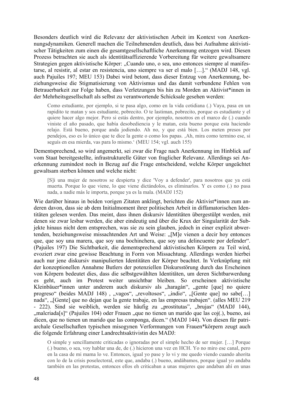Besonders deutlich wird die Relevanz der aktivistischen Arbeit im Kontext von Anerkennungsdynamiken. Generell machen die Teilnehmenden deutlich, dass bei Aufnahme aktivistischer Tätigkeiten zum einen die gesamtgesellschaftliche Anerkennung entzogen wird. Diesen Prozess betrachten sie auch als identitätsaffizierende Vorbereitung für weitere gewaltsamere Strategien gegen aktivistische Körper: "Cuando uno, o sea, uno entonces siempre al manifestarse, al resistir, al estar en resistencia, uno siempre va ser el malo […]." (MADJ 148, vgl. auch Pajuiles 197; MEU 153) Dabei wird betont, dass dieser Entzug von Anerkennung, beziehungsweise die Stigmatisierung von Aktivismus und das damit verbundene Fehlen von Betrauerbarkeit zur Folge haben, dass Verletzungen bis hin zu Morden an Aktivist\*innen in der Mehrheitsgesellschaft als selbst zu verantwortende Schicksale gesehen werden:

Como estudiante, por ejemplo, si te pasa algo, como en la vida cotidiana (.) Vaya, pasa en un rapidito te matan y sos estudiante, pobrecito. O te lastiman, pobrecito, porque es estudiante y el quiere hacer algo mejor. Pero si estás dentro, por ejemplo, nosotros en el marco de (.) cuando viniste el año pasado, que había desobediencia y le matan, esta bueno porque esta haciendo relajo. Está bueno, porque anda jodiendo. Ah no, y que está bien. Los meten presos por pendejos, eso es lo único que te dice la gente o como los papas. ,Ah, mira como termino ese, si seguís en esa mierda, vas para lo mismo.' (MEU 154; vgl. auch 155)

Dementsprechend, so wird angemerkt, sei zwar die Frage nach Anerkennung im Hinblick auf vom Staat bereitgestellte, infrastrukturelle Güter von fraglicher Relevanz. Allerdings sei Anerkennung zumindest noch in Bezug auf die Frage entscheidend, welche Körper ungeächtet gewaltsam sterben können und welche nicht:

[S]i una mujer de nosotros se despierta y dice 'Voy a defender', para nosotros que ya está muerta. Porque lo que viene, lo que viene dictándolos, es eliminarlos. Y es como (.) no pasa nada, a nadie más le importa, porque ya es la mala. (MADJ 152)

Wie darüber hinaus in beiden vorigen Zitaten anklingt, berichten die Aktivist\*innen zum anderen davon, dass sie ab dem Initialmoment ihrer politischen Arbeit in diffamatorischen Identitäten gelesen werden. Das meint, dass ihnen diskursiv Identitäten übergestülpt werden, mit denen sie zwar lesbar werden, die aber eindeutig und über die Krux der Singularität der Subjekte hinaus nicht dem entsprechen, was sie zu sein glauben, jedoch in einer explizit abwertenden, beziehungsweise missachtenden Art und Weise: "[M]e vienen a decir hoy entonces que, que soy una marera, que soy una bochinchera, que soy una delincuente por defender". (Pajuiles 197) Die Sichtbarkeit, die dementsprechend aktivistischen Körpern zu Teil wird, evoziert zwar eine gewisse Beachtung in Form von Missachtung. Allerdings werden hierbei auch nur jene diskursiv manipulierten Identitäten der Körper beachtet. In Verknüpfung mit der konzeptionellen Annahme Butlers der potenziellen Diskursstörung durch das Erscheinen von Körpern bedeutet dies, dass die selbstgewählten Identitäten, um deren Sichtbarwerdung es geht, auch im Protest weiter unsichtbar bleiben. So erscheinen aktivistische Kleinbäuer\*innen unter anderem auch diskursiv als "haragán", "gente [que] no quiere progreso" (beides MADJ 148), "vagos", "revoltosos", "indio", "[Gente que] no sabe[...] nada", "[Gente] que no dejan que la gente trabaje, en las empresas trabajen". (alles MEU 219 - 222). Sind sie weiblich, werden sie häufig zu "prostitutas", "brujas" (MADJ 144), "malcriada[s]" (Pajuiles 104) oder Frauen "que no tienen un marido que las coj(.), bueno, asi dicen, que no tienen un marido que las componga, dicen." (MADJ 144). Von diesen für patriarchale Gesellschaften typischen misogynen Verformungen von Frauen\*körpern zeugt auch die folgende Erfahrung einer Landrechtsaktivistin des MADJ:

O simple y sencillamente criticadas o ignoradas por el simple hecho de ser mujer. […] Porque (.) bueno, o sea, voy hablar una de, de (.) hicieron una vez en HCH. Yo no miro ese canal, pero en la casa de mi mama lo ve. Entonces, igual yo pase y lo vi y me quedo viendo cuando ahorita con lo de la crisis poselectoral, este que, andaba (.) bueno, andábamos, porque igual yo andaba también en las protestas, entonces ellos eh criticaban a unas mujeres que andaban ahí en unas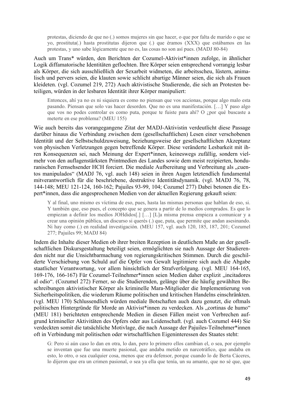protestas, diciendo de que no (.) somos mujeres sin que hacer, o que por falta de marido o que se yo, prostituta(.) hasta prostitutas dijeron que (.) que éramos (XXX) que estábamos en las protestas, y uno sabe lógicamente que no es, las cosas no son así pues. (MADJ 80-84)

Auch um Trans\* würden, den Berichten der Cozumel-Aktivist\*innen zufolge, in ähnlicher Logik diffamatorische Identitäten geflochten. Ihre Körper seien entsprechend vorrangig lesbar als Körper, die sich ausschließlich der Sexarbeit widmeten, die arbeitsscheu, lüstern, animalisch und pervers seien, die klauten sowie schlicht abartige Männer seien, die sich als Frauen kleideten. (vgl. Cozumel 219, 272) Auch aktivistische Studierende, die sich an Protesten beteiligen, würden in der lesbaren Identität ihrer Körper manipuliert:

Entonces, ahí ya no es ni siquiera es como no piensan que vos accionas, porque algo malo esta pasando. Piensan que solo vas hacer desorden. Que no es una manifestación. […] Y paso algo que vos no podes controlar es como puta, porque te fuiste para ahí? O ¿por qué buscaste a meterte en ese problema? (MEU 155)

Wie auch bereits das vorangegangene Zitat der MADJ-Aktivistin verdeutlicht diese Passage darüber hinaus die Verbindung zwischen dem (gesellschaftlichen) Lesen einer verschobenen Identität und der Selbstschuldzuweisung, beziehungsweise der gesellschaftlichen Akzeptanz von physischen Verletzungen gegen betreffende Körper. Diese veränderte Lesbarkeit mit ihren Konsequenzen sei, nach Meinung der Expert\*innen, keineswegs zufällig, sondern vielmehr von den auflagenstärksten Printmedien des Landes sowie dem meist rezipierten, honduranischen Fernsehsender HCH forciert. Die mediale Aufbereitung und Verbreitung als "cuentos manipulados" (MADJ 76, vgl. auch 148) seien in ihren Augen letztendlich fundamental mitverantwortlich für die beschriebene, destruktive Identitätsdynamik. (vgl. MADJ 76, 78, 144-148; MEU 121-124, 160-162; Pajuiles 93-99, 104; Cozumel 277) Dabei betonen die Expert\*innen, dass die angesprochenen Medien von der aktuellen Regierung gekauft seien:

Y al final, uno mismo es víctima de eso, pues, hasta las mismas personas que hablan de eso, si. Y también que, eso pues, el concepto que se genera a partir de lo medios comprados. Es que lo empiezan a definir los medios JOHdidos[.] […] [L]a misma prensa empieza a comunicar y a crear una opinión pública, un discurso si querés (.) que, puta, que permite que andan asesinando. Ni hay como (.) en realidad investigación. (MEU 157, vgl. auch 120, 185, 187, 201; Cozumel 277; Pajuiles 99; MADJ 84)

Indem die Inhalte dieser Medien ob ihrer breiten Rezeption in deutlichem Maße an der gesellschaftlichen Diskursgestaltung beteiligt seien, ermöglichten sie nach Aussage der Studierenden nicht nur die Unsichtbarmachung von regierungskritischen Stimmen. Durch die geschilderte Verschiebung von Schuld auf die Opfer von Gewalt legitimiere sich auch die Abgabe staatlicher Verantwortung, vor allem hinsichtlich der Strafverfolgung. (vgl. MEU 164-165, 169-176, 166-167) Für Cozumel-Teilnehmer\*innen seien Medien daher explizit "incitadores al odio". (Cozumel 272) Ferner, so die Studierenden, gelänge über die häufig gewählten Beschreibungen aktivistischer Körper als kriminelle Mara-Mitglieder die Implementierung von Sicherheitspolitiken, die wiederum Räume politischen und kritischen Handelns einschränkten. (vgl. MEU 170) Schlussendlich würden mediale Botschaften auch dazu genutzt, die oftmals politischen Hintergründe für Morde an Aktivist\*innen zu verdecken. Als "cortinas de humo" (MEU 181) berichteten entsprechende Medien in diesen Fällen meist von Verbrechen aufgrund krimineller Aktivitäten des Opfers oder aus Leidenschaft. (vgl. auch Cozumel 444) Sie verdeckten somit die tatsächliche Motivlage, die nach Aussage der Pajuiles-Teilnehmer\*innen oft in Verbindung mit politischen oder wirtschaftlichen Eigeninteressen des Staates steht:

G: Pero si aún caso lo dan en otra, lo dan, pero lo primero ellos cambian el, o sea, por ejemplo se inventan que fue una muerte pasional, que andaba metido en narcotráfico, que andaba en esto, lo otro, o sea cualquier cosa, menos que era defensor, porque cuando lo de Berta Cáceres, lo dijeron que era un crimen pasional, o sea ya ella que tenía, un su amante, que no sé que, que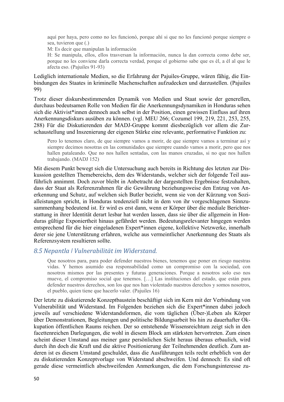aquí por haya, pero como no les funcionó, porque ahí si que no les funcionó porque siempre o sea, tuvieron que (.)

M: Es decir que manipulan la información

H: Se manipula, ellos, ellos trasversan la información, nunca la dan correcta como debe ser, porque no les conviene darla correcta verdad, porque el gobierno sabe que es él, a él al que le afecta eso. (Pajuiles 91-93)

Lediglich internationale Medien, so die Erfahrung der Pajuiles-Gruppe, wären fähig, die Einbindungen des Staates in kriminelle Machenschaften aufzudecken und darzustellen. (Pajuiles 99)

Trotz dieser diskursbestimmenden Dynamik von Medien und Staat sowie der generellen, durchaus bedeutsamen Rolle von Medien für die Anerkennungsdynamiken in Honduras sehen sich die Aktivist\*innen dennoch auch selbst in der Position, einen gewissen Einfluss auf ihren Anerkennungsdiskurs ausüben zu können. (vgl. MEU 266; Cozumel 199, 219, 221, 253, 255, 288) Für die Diskutierenden der MADJ-Gruppe kommt diesbezüglich vor allem die Zurschaustellung und Inszenierung der eigenen Stärke eine relevante, performative Funktion zu:

Pero lo tenemos claro, de que siempre vamos a morir, de que siempre vamos a terminar así y siempre decimos nosotras en las comunidades que siempre cuando vamos a morir, pero que nos hallen pataleando. Que no nos hallen sentadas, con las manos cruzadas, si no que nos hallen trabajando. (MADJ 152)

Mit diesem Punkt bewegt sich die Untersuchung auch bereits in Richtung des letzten zur Diskussion gestellten Themebereichs, dem des Widerstands, welcher sich der folgende Teil ausführlich annimmt. Doch zuvor bleibt in Anbetracht der dargestellten Ergebnisse festzuhalten, dass der Staat als Referenzrahmen für die Gewährung beziehungsweise den Entzug von Anerkennung und Schutz, auf welchen sich Butler bezieht, wenn sie von der Kürzung von Sozialleistungen spricht, in Honduras tendenziell nicht in dem von ihr vorgeschlagenen Sinnzusammenhang bedeutend ist. Er wird es erst dann, wenn er Körper über die mediale Berichterstattung in ihrer Identität derart lesbar hat werden lassen, dass sie über die allgemein in Honduras gültige Exponiertheit hinaus gefährdet werden. Bedeutungsrelevanter hingegen werden entsprechend für die hier eingeladenen Expert\*innen eigene, kollektive Netzwerke, innerhalb derer sie jene Unterstützung erfahren, welche aus vermeintlicher Anerkennung des Staats als Referenzsystem resultieren sollte.

### *8.5 Nepantla ǀ Vulnerabilität im Widerstand.*

Que nosotros para, para poder defender nuestros bienes, tenemos que poner en riesgo nuestras vidas. Y hemos asumido esa responsabilidad como un compromiso con la sociedad, con nosotros mismos por las presentes y futuras generaciones. Porque a nosotros solo eso nos mueve, el compromiso social que tenemos. […] Las instituciones del estado, que están para defender nuestros derechos, son los que nos han violentado nuestros derechos y somos nosotros, el pueblo, quien tiene que hacerlo valer. (Pajuiles 16)

Der letzte zu diskutierende Konzeptbaustein beschäftigt sich im Kern mit der Verbindung von Vulnerabilität und Widerstand. Im Folgenden beziehen sich die Expert\*innen dabei jedoch jeweils auf verschiedene Widerstandsformen, die vom täglichen (Über-)Leben als Körper über Demonstrationen, Begleitungen und politische Bildungsarbeit bis hin zu dauerhafter Okkupation öffentlichen Raums reichen. Der so entstehende Wissensreichtum zeigt sich in den facettenreichen Darlegungen, die wohl in diesem Block am stärksten hervortreten. Zum einen scheint dieser Umstand aus meiner ganz persönlichen Sicht heraus überaus erbaulich, wird durch ihn doch die Kraft und die aktive Positionierung der Teilnehmenden deutlich. Zum anderen ist es diesem Umstand geschuldet, dass die Ausführungen teils recht erheblich von der zu diskutierenden Konzeptvorlage von Widerstand abschweifen. Und dennoch: Es sind oft gerade diese vermeintlich abschweifenden Anmerkungen, die dem Forschungsinteresse zu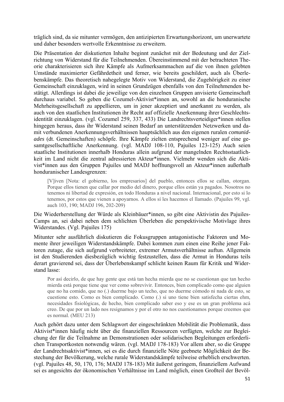träglich sind, da sie mitunter vermögen, den antizipierten Erwartungshorizont, um unerwartete und daher besonders wertvolle Erkenntnisse zu erweitern.

Die Präsentation der diskutierten Inhalte beginnt zunächst mit der Bedeutung und der Zielrichtung von Widerstand für die Teilnehmenden. Übereinstimmend mit der betrachteten Theorie charakterisieren sich ihre Kämpfe als Aufmerksammachen auf die von ihnen gelebten Umstände maximierter Gefährdetheit und ferner, wie bereits geschildert, auch als Überlebenskämpfe. Das theoretisch nahegelegte Motiv von Widerstand, die Zugehörigkeit zu einer Gemeinschaft einzuklagen, wird in seinen Grundzügen ebenfalls von den Teilnehmenden bestätigt. Allerdings ist dabei die jeweilige von den einzelnen Gruppen anvisierte Gemeinschaft durchaus variabel. So geben die Cozumel-Aktivist\*innen an, sowohl an die honduranische Mehrheitsgesellschaft zu appellieren, um in jener akzeptiert und anerkannt zu werden, als auch von den staatlichen Institutionen ihr Recht auf offizielle Anerkennung ihrer Geschlechtsidentität einzuklagen. (vgl. Cozumel 259, 337, 433) Die Landrechtsverteidiger\*innen stellen hingegen heraus, dass ihr Widerstand seinen Bedarf an unterstützenden Netzwerken und damit verbundenen Anerkennungsverhältnissen hauptsächlich aus den eigenen ruralen *comunidades* (dt. Gemeinschaften) schöpfe. Ihre Kämpfe zielten entsprechend weniger auf eine gesamtgesellschaftliche Anerkennung. (vgl. MADJ 108-110, Pajuiles 123-125) Auch seien staatliche Institutionen innerhalb Honduras allein aufgrund der mangelnden Rechtsstaatlichkeit im Land nicht die zentral adressierten Akteur\*innen. Vielmehr wenden sich die Aktivist\*innen aus den Gruppen Pajuiles und MADJ hoffnungsvoll an Akteur\*innen außerhalb honduranischer Landesgrenzen:

[V]iven [Nota: el gobierno, los empresarios] del pueblo, entonces ellos se callan, otorgan. Porque ellos tienen que callar por medio del dinero, porque ellos están ya pagados. Nosotros no tenemos ni libertad de expresión, en todo Honduras a nivel nacional. Internacional, por esto si lo tenemos, por estos que vienen a apoyarnos. A ellos sí les hacemos el llamado. (Pajuiles 99, vgl. auch 103, 190; MADJ 196, 202-209)

Die Wiederherstellung der Würde als Kleinbäuer\*innen, so gibt eine Aktivistin des Pajuiles-Camps an, sei dabei neben dem schlichten Überleben die perspektivische Motivlage ihres Widerstandes. (Vgl. Pajuiles 175)

Mitunter sehr ausführlich diskutieren die Fokusgruppen antagonistische Faktoren und Momente ihrer jeweiligen Widerstandskämpfe. Dabei kommen zum einen eine Reihe jener Faktoren zutage, die sich aufgrund verbreiteter, extremer Armutsverhältnisse auftun. Allgemein ist den Studierenden diesbezüglich wichtig festzustellen, dass die Armut in Honduras teils derart gravierend sei, dass der Überlebenskampf schlicht keinen Raum für Kritik und Widerstand lasse:

Por así decirlo, de que hay gente que está tan hecha mierda que no se cuestionan que tan hecho mierda está porque tiene que ver como sobrevivir. Entonces, bien complicado como que alguien que no ha comido, que no (.) duerme bajo un techo, que no duerme cómodo ni nada de esto, se cuestione esto. Como es bien complicado. Como (.) si uno tiene bien satisfecha ciertas ehm, necesidades fisiológicas, de hecho, bien complicado saber eso y ese es un gran problema acá creo. De que por un lado nos resignamos y por el otro no nos cuestionamos porque creemos que es normal. (MEU 213)

Auch gehört dazu unter dem Schlagwort der eingeschränkten Mobilität die Problematik, dass Aktivist\*innen häufig nicht über die finanziellen Ressourcen verfügten, welche zur Begleichung der für die Teilnahme an Demonstrationen oder solidarischen Begleitungen erforderlichen Transportkosten notwendig wären. (vgl. MADJ 178-183) Vor allem aber, so die Gruppe der Landrechtsaktivist\*innen, sei es die durch finanzielle Nöte geebnete Möglichkeit der Bestechung der Bevölkerung, welche rurale Widerstandskämpfe teilweise erheblich erschwerten. (vgl. Pajuiles 48, 50, 170, 176; MADJ 178-183) Mit äußerst geringem, finanziellem Aufwand sei es angesichts der ökonomischen Verhältnisse im Land möglich, einen Großteil der Bevöl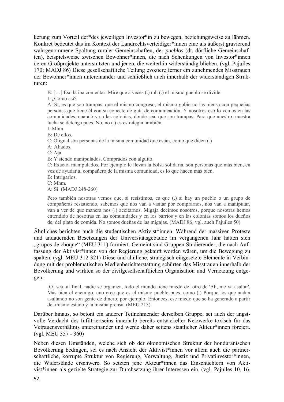kerung zum Vorteil der\*des jeweiligen Investor\*in zu bewegen, beziehungsweise zu lähmen. Konkret bedeutet das im Kontext der Landrechtsverteidiger\*innen eine als äußerst gravierend wahrgenommene Spaltung ruraler Gemeinschaften, der *pueblos* (dt. dörfliche Gemeinschaften), beispielsweise zwischen Bewohner\*innen, die nach Schenkungen von Investor\*innen deren Großprojekte unterstützten und jenen, die weiterhin widerständig blieben. (vgl. Pajuiles 170; MADJ 86) Diese gesellschaftliche Teilung evoziere ferner ein zunehmendes Misstrauen der Bewohner\*innen untereinander und schließlich auch innerhalb der widerständigen Strukturen:

B: […] Eso la iba comentar. Mire que a veces (.) mh (.) el mismo pueblo se divide.

I: ¿Como así?

A: Sí, es que son trampas, que el mismo congreso, el mismo gobierno las piensa con pequeñas personas que tiene él con su conecte de guía de comunicación. Y nosotros eso lo vemos en las comunidades, cuando va a las colonias, donde sea, que son trampas. Para que nuestro, nuestra lucha se detenga pues. No, no (.) es estrategia también.

I: Mhm.

B: De ellos.

C: O igual son personas de la misma comunidad que están, como que dicen (.)

A: Aliados.

C: Aja.

B: Y siendo manipulados. Comprados con alguito.

C: Exacto, manipulados. Por ejemplo le llevan la bolsa solidaria, son personas que más bien, en vez de ayudar al compañero de la misma comunidad, es lo que hacen más bien. B: Intrigarlos.

C: Mhm.

A: Sí. (MADJ 248-260)

Pero también nosotras vemos que, si resistimos, es que (.) si hay un pueblo o un grupo de compañeras resistiendo, sabemos que nos van a visitar por comprarnos, nos van a manipular, van a ver de que manera nos (.) aceitarnos. Migaja decimos nosotros, porque nosotras hemos entendido de nosotras en las comunidades y en los barrios y en las colonias somos los dueños de, del plato de comida. No somos dueñas de las migajas. (MADJ 86; vgl. auch Pajuiles 50)

Ähnliches berichten auch die studentischen Aktivist\*innen. Während der massiven Proteste und andauernden Besetzungen der Universitätsgebäude im vergangenen Jahr hätten sich "grupos de choque" (MEU 311) formiert. Gemeint sind Gruppen Studierender, die nach Auffassung der Aktivist\*innen von der Regierung gekauft worden wären, um die Bewegung zu spalten. (vgl. MEU 312-321) Diese und ähnliche, strategisch eingesetzte Elemente in Verbindung mit der problematischen Medienberichterstattung schürten das Misstrauen innerhalb der Bevölkerung und wirkten so der zivilgesellschaftlichen Organisation und Vernetzung entgegen:

[O] sea, al final, nadie se organiza, todo el mundo tiene miedo del otro de 'Ah, me va asaltar'. Más bien el enemigo, uno cree que es el mismo pueblo pues, como (.) Porque los que andan asaltando no son gente de dinero, por ejemplo. Entonces, ese miedo que se ha generado a partir del mismo estado y la misma prensa. (MEU 213)

Darüber hinaus, so betont ein anderer Teilnehmender derselben Gruppe, sei auch der angstvolle Verdacht des Infiltriertseins innerhalb bereits entwickelter Netzwerke toxisch für das Vetrauensverhältnis untereinander und werde daher seitens staatlicher Akteur\*innen forciert. (vgl. MEU 357 - 360)

Neben diesen Umständen, welche sich ob der ökonomischen Struktur der honduranischen Bevölkerung bedingen, sei es nach Ansicht der Aktivist\*innen vor allem auch die partnerschaftliche, korrupte Struktur von Regierung, Verwaltung, Justiz und Privatinvestor\*innen, die Widerstände erschwere. So setzten jene Akteur\*innen das Einschüchtern von Aktivist\*innen als gezielte Strategie zur Durchsetzung ihrer Interessen ein. (vgl. Pajuiles 10, 16,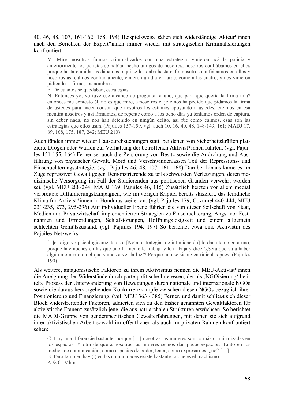#### 40, 46, 48, 107, 161-162, 168, 194) Beispielsweise sähen sich widerständige Akteur\*innen nach den Berichten der Expert\*innen immer wieder mit strategischen Kriminalisierungen konfrontiert:

M: Mire, nosotros fuimos criminalizados con una estrategia, vinieron acá la policía y anteriormente los policías se habían hecho amigos de nosotros, nosotros confiábamos en ellos porque hasta comida les dábamos, aquí se les daba hasta café, nosotros confiábamos en ellos y nosotros así caímos confiadamente, vinieron un día ya tarde, como a las cuatro, y nos vinieron pidiendo la firma, los nombres

F: De cuantos se quedaban, estrategias.

N: Entonces yo, yo tuve ese alcance de preguntar a uno, que para qué quería la firma mía? entonces me contesto él, no es que mire, a nosotros el jefe nos ha pedido que pidamos la firma de ustedes para hacer constar que nosotros los estamos apoyando a ustedes, creímos en esa mentira nosotros y así firmamos, de repente como a los ocho días ya teníamos orden de captura, sin deber nada, no nos han detenido en ningún delito, así fue como caímos, esas son las estrategias que ellos usan. (Pajuiles 157-159, vgl. auch 10, 16, 40, 48, 148-149, 161; MADJ 17, 89, 168, 175, 187, 242; MEU 210)

Auch fänden immer wieder Hausdurchsuchungen statt, bei denen von Sicherheitskräften platzierte Drogen oder Waffen zur Verhaftung der betroffenen Aktivist\*innen führten. (vgl. Pajuiles 151-155, 164) Ferner sei auch die Zerstörung von Besitz sowie die Androhung und Ausführung von physischer Gewalt, Mord und Verschwindenlassen Teil der Repressions- und Einschüchterungsstrategie. (vgl. Pajuiles 46, 48, 107, 161, 168) Darüber hinaus käme es im Zuge repressiver Gewalt gegen Demonstrierende zu teils schwersten Verletzungen, deren medizinische Versorgung im Fall der Studierenden aus politischen Gründen verwehrt worden sei. (vgl. MEU 288-294; MADJ 169; Pajuiles 46, 115) Zusätzlich heizten vor allem medial verbreitete Diffamierungskampagnen, wie im vorigen Kapitel bereits skizziert, das feindliche Klima für Aktivist\*innen in Honduras weiter an. (vgl. Pajuiles 179; Cozumel 440-444; MEU 231-235, 273, 295-296) Auf individueller Ebene führten die von dieser Seilschaft von Staat, Medien und Privatwirtschaft implementierten Strategien zu Einschüchterung, Angst vor Festnahmen und Ermordungen, Schlafstörungen, Hoffnungslosigkeit und einem allgemein schlechten Gemütszustand. (vgl. Pajuiles 194, 197) So berichtet etwa eine Aktivistin des Pajuiles-Netzwerks:

[L]es digo yo psicológicamente esto [Nota: estrategías de intimidación] lo daña también a uno, porque hay noches en las que uno la mente le trabaja y le trabaja y dice '¿Será que va a haber algún momento en el que vamos a ver la luz'? Porque uno se siente en tinieblas pues. (Pajuiles 190)

Als weitere, antagonistische Faktoren zu ihrem Aktivismus nennen die MEU-Aktivist\*innen die Aneignung der Widerstände durch parteipolitische Interessen, der als 'NGOisierung' betitelte Prozess der Unterwanderung von Bewegungen durch nationale und internationale NGOs sowie die daraus hervorgehenden Konkurrenzkämpfe zwischen diesen NGOs bezüglich ihrer Positionierung und Finanzierung. (vgl. MEU 363 - 385) Ferner, und damit schließt sich dieser Block widerstreitender Faktoren, addierten sich zu den bisher genannten Gewaltfaktoren für aktivistische Frauen\* zusätzlich jene, die aus patriarchalen Strukturen erwüchsen. So berichtet die MADJ-Gruppe von genderspezifischen Gewalterfahrungen, mit denen sie sich aufgrund ihrer aktivistischen Arbeit sowohl im öffentlichen als auch im privaten Rahmen konfrontiert sehen:

C: Hay una diferencie bastante, porque […] nosotras las mujeres somos más criminalizadas en los espacios. Y otra de que a nosotras las mujeres se nos dan pocos espacios. Tanto en los medios de comunicación, como espacios de poder, tener, como expresarnos, ¿no? […] B: Pero también hay (.) en las comunidades existe bastante lo que es el machismo. A & C: Mhm.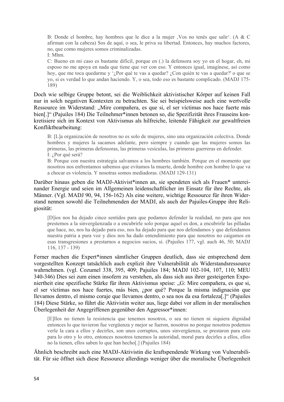B: Donde el hombre, hay hombres que le dice a la mujer , Vos no tenés que salir<sup>e</sup>. (A & C afirman con la cabeza) Sos de aquí, o sea, le priva su libertad. Entonces, hay muchos factores, no, que como mujeres somos criminalizadas.

I: Mhm.

C: Bueno en mi caso es bastante difícil, porque en (.) la defensora soy yo en el hogar, eh, mi esposo no me apoya en nada que tiene que ver con eso. Y entonces igual, imagínese, así como hoy, que me toca quedarme y '*i* Por qué te vas a quedar? *i* Con quién te vas a quedar?' o que se yo, si es verdad lo que andan haciendo. Y, o sea, todo eso es bastante complicado. (MADJ 175- 189)

Doch wie selbige Gruppe betont, sei die Weiblichkeit aktivistischer Körper auf keinen Fall nur in solch negativen Kontexten zu betrachten. Sie sei beispielsweise auch eine wertvolle Ressource im Widerstand: "Mire compañera, es que si, el ser víctimas nos hace fuerte más bien[.]" (Pajuiles 184) Die Teilnehmer\*innen betonen so, die Spezifizität ihres Frauseins konkretisiere sich im Kontext von Aktivismus als hilfreiche, leitende Fähigkeit zur gewaltfreien Konfliktbearbeitung:

B: [L]a organización de nosotros no es solo de mujeres, sino una organización colectiva. Donde hombres y mujeres la sacamos adelante, pero siempre y cuando que las mujeres somos las primeras, las primeras defensoras, las primeras vesículas, las primeras guerreras en defender. I: ¿Por qué será?

B: Porque con nuestra estrategia salvamos a los hombres también. Porque en el momento que nosotros nos enfrentamos sabemos que evitamos la muerte, donde hombre con hombre lo que va a chocar es violencia. Y nosotras somos mediadoras. (MADJ 129-131)

Darüber hinaus geben die MADJ-Aktivist\*innen an, sie spendeten sich als Frauen\* untereinander Energie und seien im Allgemeinen leidenschaftlicher im Einsatz für ihre Rechte, als Männer. (Vgl. MADJ 90, 94, 156-162) Als eine weitere, wichtige Ressource für ihren Widerstand nennen sowohl die Teilnehmenden der MADJ, als auch der Pajuiles-Gruppe ihre Religiosität:

[D]ios nos ha dejado cinco sentidos para que podamos defender la realidad, no para que nos prestemos a la sinvergüenzada o a encubrirle solo porque aquel es don, a encubrirle las pilladas que hace, no, nos ha dejado para eso, nos ha dejado para que nos defendamos y que defendamos nuestra patria a pura voz y dios nos ha dado entendimiento para que nosotros no caigamos en esas transgresiones a prestarnos a negocios sucios, sí. (Pajuiles 177, vgl. auch 46, 50; MADJ 116, 137 - 139)

Ferner machen die Expert\*innen sämtlicher Gruppen deutlich, dass sie entsprechend dem vorgestellten Konzept tatsächlich auch explizit ihre Vulnerabilität als Widerstandsressource wahrnehmen. (vgl. Cozumel 338, 395, 409; Pajuiles 184; MADJ 102-104, 107, 110; MEU 340-346) Dies sei zum einen insofern zu verstehen, als dass sich aus ihrer gesteigerten Exponiertheit eine spezifische Stärke für ihren Aktivismus speise: "G: Mire compañera, es que si, el ser víctimas nos hace fuertes, más bien, ¿por qué? Porque la misma indignación que llevamos dentro, el mismo coraje que llevamos dentro, o sea nos da esa fortaleza[.]" (Pajuiles 184) Diese Stärke, so führt die Aktivistin weiter aus, liege dabei vor allem in der moralischen Überlegenheit der Angegriffenen gegenüber den Aggressor\*innen:

[E]llos no tienen la resistencia que tenemos nosotros, o sea no tienen ni siquiera dignidad entonces lo que tuvieron fue vergüenza y mejor se fueron, nosotros no porque nosotros podemos verle la cara a ellos y decirles, son unos corruptos, unos sinvergüenza, se prestaron para esto para lo otro y lo otro, entonces nosotros tenemos la autoridad, moral para decirles a ellos, ellos no la tienen, ellos saben lo que han hecho[.] (Pajuiles 184)

Ähnlich beschreibt auch eine MADJ-Aktivistin die kraftspendende Wirkung von Vulnerabilität. Für sie öffnet sich diese Ressource allerdings weniger über die moralische Überlegenheit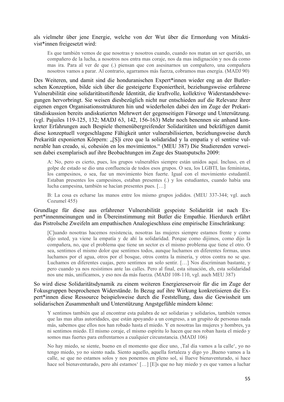als vielmehr über jene Energie, welche von der Wut über die Ermordung von Mitaktivist\*innen freigesetzt wird:

Es que también vemos de que nosotras y nosotros cuando, cuando nos matan un ser querido, un compañero de la lucha, a nosotros nos entra mas coraje, nos da mas indignación y nos da como mas ira. Para al ver de que (.) piensan que con asesinarnos un compañero, una compañera nosotros vamos a parar. Al contrario, agarramos más fuerza, cobramos mas energía. (MADJ 90)

Des Weiteren, und damit sind die honduranischen Expert\*innen wieder eng an der Butlerschen Konzeption, bilde sich über die gesteigerte Exponiertheit, beziehungsweise erfahrene Vulnerabilität eine solidaritätsstiftende Identität, die kraftvolle, kollektive Widerstandsbewegungen hervorbringt. Sie weisen diesbezüglich nicht nur entschieden auf die Relevanz ihrer eigenen engen Organisationsstrukturen hin und wiederholen dabei den im Zuge der Prekaritätsdiskussion bereits andiskutierten Mehrwert der gegenseitigen Fürsorge und Untersützung. (vgl. Pajuiles 119-125, 132; MADJ 63, 142, 156-163) Mehr noch benennen sie anhand konkreter Erfahrungen auch Bespiele themenübergreifender Solidaritäten und bekräftigen damit diese konzeptuell vorgeschlagene Fähigkeit unter vulnerabilisierten, beziehungsweise durch Prekarität exponierten Körpern: "[S]i creo que la solidaridad y la empatía y el sentirse vulnerable han creado, si, cohesión en los movimientos." (MEU 387) Die Studierenden verweisen dabei exemplarisch auf ihre Beobachtungen im Zuge des Staatsputschs 2009:

A: No, pero es cierto, pues, los grupos vulnerables siempre están unidos aquí. Incluso, en el golpe de estado se dio una confluencia de todos esos grupos. O sea, los LGBTI, las feministas, los campesinos, o sea, fue un movimiento bien fuerte. Igual con el movimiento estudantil. Estaban presentes los campesinos, estaban presentes (.) y los estudiantes, cuando había una lucha campesina, también se hacían presentes pues. […]

B: La cosa es echarse las manos entre los mismo grupos jodidos. (MEU 337-344; vgl. auch Cozumel 455)

#### Grundlage für diese aus erfahrener Vulnerabilität gespeiste Solidarität ist nach Expert\*innenmeinungen und in Übereinstimmung mit Butler die Empathie. Hierdurch erfährt das Pistrolsche Zweifeln am empathischen Analogieschluss eine empirische Einschränkung:

[C]uando nosotras hacemos resistencia, nosotras las mujeres siempre estamos frente y como dijo usted, ya viene la empatía y de ahí la solidaridad. Porque como dijimos, como dijo la compañera, no, que el problema que tiene un sector es el mismo problema que tiene el otro. O sea, sentimos el mismo dolor que sentimos todos, aunque luchamos en diferentes formas, unos luchamos por el agua, otros por el bosque, otros contra la minería, y otros contra no se que. Luchamos en diferentes cuajas, pero sentimos un solo sentir. […] Nos discriminan bastante, y pero cuando ya nos resistimos ante las calles. Pero al final, esta situación, eh, esta solidaridad nos une más, unificamos, y eso nos da más fuerza. (MADJ 108-110, vgl. auch MEU 387)

So wird diese Solidaritätsdynamik zu einem weiteren Energiereservoir für die im Zuge der Fokusgruppen besprochenen Widerstände. In Bezug auf ihre Wirkung konkretisieren die Expert\*innen diese Ressource beispielsweise durch die Feststellung, dass die Gewissheit um solidarischen Zusammenhalt und Unterstützung Angstgefühle mindern könne:

Y sentimos también que al encontrar esta palabra de ser solidarias y solidarios, también vemos que las mas altas autoridades, que están apoyando a un congreso, a un grupito de personas nada más, sabemos que ellos nos han robado hasta el miedo. Y en nosotras las mujeres y hombres, ya ni sentimos miedo. El mismo coraje, el mismo espíritu lo hacen que nos roban hasta el miedo y somos mas fuertes para enfrentarnos a cualquier circunstancia. (MADJ 106)

No hay miedo, se siente, bueno en el momento que dice uno, , Tal día vamos a la calle<sup>4</sup>, yo no tengo miedo, yo no siento nada. Siento aquello, aquella fortaleza y digo yo ,Bueno vamos a la calle, se que no estamos solos y nos ponemos en pleno sol, si llueve bienaventurado, si hace hace sol bienaventurado, pero ahí estamos' [...] [E]s que no hay miedo y es que vamos a luchar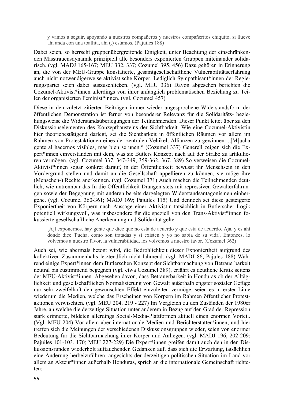y vamos a seguir, apoyando a nuestros compañeros y nuestros compañeritos chiquito, si llueve ahí anda con una toallita, ahí (.) estamos. (Pajuiles 188)

Dabei seien, so herrscht gruppenübergreifende Einigkeit, unter Beachtung der einschränkenden Misstrauensdynamik prinzipiell alle besonders exponierten Gruppen miteinander solidarisch. (vgl. MADJ 165-167; MEU 332, 337; Cozumel 395, 456) Dazu gehören in Erinnerung an, die von der MEU-Gruppe konstatierte, gesamtgesellschaftliche Vulnerabilitätserfahrung auch nicht notwendigerweise aktivistische Körper. Lediglich Sympathisant\*innen der Regierungspartei seien dabei auszuschließen. (vgl. MEU 336) Davon abgesehen berichten die Cozumel-Aktivist\*innen allerdings von ihrer anfänglich problematischen Beziehung zu Teilen der organisierten Feminist\*innen. (vgl. Cozumel 457)

Diese in den zuletzt zitierten Beiträgen immer wieder angesprochene Widerstandsform der öffentlichen Demonstration ist ferner von besonderer Relevanz für die Solidaritäts- beziehungsweise die Widerstandsüberlegungen der Teilnehmenden. Dieser Punkt leitet über zu den Diskussionselementen des Konzeptbausteins der Sichtbarkeit. Wie eine Cozumel-Aktivistin hier theoriebestätigend darlegt, sei die Sichtbarkeit in öffentlichen Räumen vor allem im Rahmen von Protestaktionen eines der zentralen Vehikel, Allianzen zu gewinnen: "[M]ucha gente al hacernos visibles, más bien se unen." (Cozumel 337) Generell zeigen sich die Expert\*innen einverstanden mit dem, was sie Butlers Konzept nach auf der Straße zu artikulieren vermögen. (vgl. Cozumel 337, 347-349, 359-362, 367, 389) So verweisen die Cozumel-Aktivist\*innen sogar konkret darauf, in der Öffentlichkeit bewusst ihr Menschsein in den Vordergrund stellen und damit an die Gesellschaft appellieren zu können, sie möge ihre (Menschen-) Rechte anerkennen. (vgl. Cozumel 371) Auch machen die Teilnehmenden deutlich, wie untrennbar das In-die-Öffentlichkeit-Drängen stets mit repressiven Gewalterfahrungen sowie der Begegnung mit anderen bereits dargelegten Widerstandsantagonismen einhergehe. (vgl. Cozumel 360-361; MADJ 169; Pajuiles 115) Und dennoch sei diese gesteigerte Exponiertheit von Körpern nach Aussage einer Aktivistin tatsächlich in Butlerscher Logik potentiell wirkungsvoll, was insbesondere für die speziell von den Trans-Aktivist\*innen fokussierte gesellschaftliche Anerkennung und Solidarität gelte:

[A]l exponernos, hay gente que dice que no esta de acuerdo y que esta de acuerdo. Aja, y es ahí donde dice 'Pucha, como son tratadas y si existen y yo no sabia de su vida'. Entonces, lo volvemos a nuestro favor, la vulnerabilidad, los volvemos a nuestro favor. (Cozumel 362)

Auch sei, wie abermals betont wird, die Bedrohlichkeit dieser Exponiertheit aufgrund des kollektiven Zusammenhalts letztendlich nicht lähmend. (vgl. MADJ 86, Pajules 188) Während einige Expert\*innen dem Butlerschen Konzept der Sichtbarmachung von Betrauerbarkeit neutral bis zustimmend begegnen (vgl. etwa Cozumel 389), erfährt es deutliche Kritik seitens der MEU-Aktivist\*innen. Abgesehen davon, dass Betrauerbarkeit in Honduras ob der Alltäglichkeit und gesellschaftlichen Normalisierung von Gewalt außerhalb engster sozialer Gefüge nur sehr zweifelhaft den gewünschten Effekt einzuleiten vermöge, seien es in erster Linie wiederum die Medien, welche das Erscheinen von Körpern im Rahmen öffentlicher Protestaktionen verwischten. (vgl. MEU 204, 219 - 227) Im Vergleich zu den Zuständen der 1980er Jahre, an welche die derzeitige Situation unter anderem in Bezug auf den Grad der Repression stark erinnerte, bildeten allerdings Social-Media-Plattformen aktuell einen enormen Vorteil. (Vgl. MEU 204) Vor allem aber internationale Medien und Berichterstatter\*innen, und hier treffen sich die Meinungen der verschiedenen Diskussionsgruppen wieder, seien von enormer Bedeutung für die Sichtbarmachung ihrer Körper und Anliegen. (vgl. MADJ 196, 202-209; Pajuiles 101-103, 170; MEU 227-229) Die Expert\*innen greifen damit auch den in den Diskussionsrunden wiederholt auftauchenden Gedanken auf, dass sich die Erwartung, tatsächlich eine Änderung herbeizuführen, angesichts der derzeitigen politischen Situation im Land vor allem an Akteur\*innen außerhalb Honduras, sprich an die internationale Gemeinschaft richteten: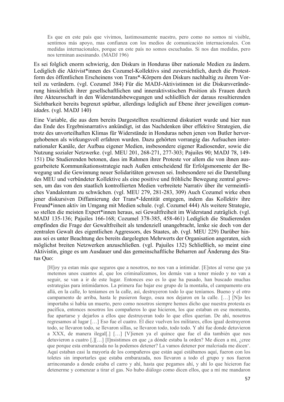Es que en este país que vivimos, lastimosamente nuestro, pero como no somos ni visible, sentimos más apoyo, mas confianza con los medios de comunicación internacionales. Con medidas internacionales, porque en este país no somos escuchadas. Si nos dan medidas, pero nos terminan asesinando. (MADJ 196)

Es sei folglich enorm schwierig, den Diskurs in Honduras über nationale Medien zu ändern. Lediglich die Aktivist\*innen des Cozumel-Kollektivs sind zuversichtlich, durch die Protestform des öffentlichen Erscheinens von Trans\*-Körpern den Diskurs nachhaltig zu ihrem Vorteil zu verändern. (vgl. Cozumel 384) Für die MADJ-Aktivistinnen ist die Diskursveränderung hinsichtlich ihrer gesellschaftlichen und inneraktivstischen Position als Frauen durch ihre Akteursschaft in den Widerstandsbewegungen und schließlich der daraus resultierenden Sichtbarkeit bereits begrenzt spürbar, allerdings lediglich auf Ebene ihrer jeweiligen *comunidades*. (vgl. MADJ 140)

Eine Variable, die aus dem bereits Dargestellten resultierend diskutiert wurde und hier nun das Ende des Ergebnisnarrativs ankündigt, ist das Nachdenken über effektive Strategien, die trotz des unvorteilhaften Klimas für Widerstände in Honduras neben jenen von Butler hervorgehobenen als wirkungsvoll erfahren wurden. Dazu gehörten vorrangig das Aufsuchen internationaler Kanäle, der Aufbau eigener Medien, insbesondere eigener Radiosender, sowie die Nutzung sozialer Netzwerke. (vgl. MEU 201, 268-271, 277-303; Pajuiles 90; MADJ 78, 149- 151) Die Studierenden betonen, dass im Rahmen ihrer Proteste vor allem die von ihnen ausgearbeitete Kommunikationsstrategie nach Außen entscheidend für Erfolgsmomente der Bewegung und die Gewinnung neuer Solidaritäten gewesen sei. Insbesondere sei die Darstellung des MEU und verbündeter Kollektive als eine positive und fröhliche Bewegung zentral gewesen, um das von den staatlich kontrollierten Medien verbreitete Narrativ über ihr vermeintliches Vandalentum zu schwächen. (vgl. MEU 279, 281-283, 309) Auch Cozumel wirke eben jener diskursiven Diffamierung der Trans\*-Identität entgegen, indem das Kollektiv ihre Freund\*innen aktiv im Umgang mit Medien schule. (vgl. Cozumel 444) Als weitere Strategie, so stellen die meisten Expert\*innen heraus, sei Gewaltfreiheit im Widerstand zuträglich. (vgl. MADJ 135-136; Pajuiles 166-168; Cozumel 378-385, 458-461) Lediglich die Studierenden empfinden die Frage der Gewaltfreiheit als tendenziell unangebracht, lenke sie doch von der zentralen Gewalt des eigentlichen Aggressors, des Staates, ab. (vgl. MEU 229) Darüber hinaus sei es unter Beachtung des bereits dargelegten Mehrwerts der Organisation angeraten, sich möglichst breiten Netzwerken anzuschließen. (vgl. Pajuiles 132) Schließlich, so meint eine Aktivistin, ginge es um Ausdauer und das gemeinschaftliche Beharren auf Änderung des Status Quo:

[H]oy ya estan más que seguros que a nosotros, no nos van a intimidar. [E]stos al verse que ya metemos unos cuantos al, que los criminalizamos, los demás van a tener miedo y no van a seguir, se van a ir de este lugar. Entonces eso es lo que ha pasado, han buscado muchas estrategias para intimidarnos. La primera fue bajar ese grupo de la montaña, el campamento era allá, en la calle, lo teníamos en la calle, así, destruyeron todo lo que teníamos. Bueno y el otro campamento de arriba, hasta le pusieron fuego, osea nos dejaron en la calle. […] [N]o les importaba si había un muerto, pero como nosotros siempre hemos dicho que nuestra protesta es pacífica, entonces nosotros los compañeros lo que hicieron, los que estaban en ese momento, fue apartarse y dejarlos a ellos que destruyeran todo lo que ellos querían. De ahí, nosotros regresamos al lugar […] Eso fue el cuatro. El diez vuelven los militares, ellos igual destruyeron todo, se llevaron todo, se llevaron sillas, se llevaron todo, todo todo. Y ahí fue donde detuvieron a XXX, de manera ilegal[.] […] [V]ienen ya el quince que fue el día también que nos detuvieron a cuatro [.][…] [I]nsistimos en que ¿a dónde estaba la orden? Me dicen a mi, ¿cree que porque esta embarazada no la podemos detener? La vamos detener por malcriada me dicen'. Aquí estaban casi la mayoría de los compañeros que están aquí estábamos aquí, fueron con los toletes sin importarles que estaba embarazada, nos llevaron a todo el grupo y nos fueron arrinconando a donde estaba el carro y ahí, hasta que pegamos ahí, y ahí lo que hicieron fue detenerme y comenzar a tirar el gas. No hubo diálogo como dicen ellos, que a mí me mandaron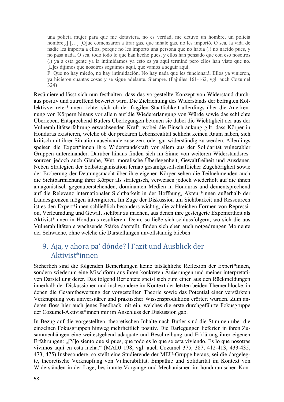una policia mujer para que me detuviera, no es verdad, me detuvo un hombre, un policia hombre[.] [...] [Q]ue comenzaron a tirar gas, que inhale gas, no les importó. O sea, la vida de nadie les importa a ellos, porque no les importó una persona que no había (.) no nacido pues, y no pasa nada. O sea, todo todo lo que han hecho pues, y ellos han pensado que con eso nosotros (.) ya a esta gente ya la intimidamos ya esto es ya aquí terminó pero ellos han visto que no. [L]es dijimos que nosotros seguimos aquí, que vamos a seguir aquí.

F: Que no hay miedo, no hay intimidación. No hay nada que les funcionará. Ellos ya vinieron, ya hicieron cuantas cosas y se sigue adelante. Siempre. (Pajuiles 161-162, vgl. auch Cozumel 324)

Resümierend lässt sich nun festhalten, dass das vorgestellte Konzept von Widerstand durchaus positiv und zutreffend bewertet wird. Die Zielrichtung des Widerstands der befragten Kollektivvertreter\*innen richtet sich ob der fragilen Staatlichkeit allerdings über die Anerkennung von Körpern hinaus vor allem auf die Wiedererlangung von Würde sowie das schlichte Überleben. Entsprechend Butlers Überlegungen betonen sie dabei die Wichtigkeit der aus der Vulnerabilitätserfahrung erwachsenden Kraft, wobei die Einschränkung gilt, dass Körper in Honduras existieren, welche ob der prekären Lebensrealität schlicht keinen Raum haben, sich kritisch mit ihrer Situation auseinanderzusetzen, oder gar widerständig zu werden. Allerdings speisen die Expert\*innen ihre Widerstandskraft vor allem aus der Solidarität vulnerabler Gruppen untereinander. Darüber hinaus finden sich im Sinne von weiteren Widerstandsressourcen jedoch auch Glaube, Wut, moralische Überlegenheit, Gewaltfreiheit und Ausdauer. Neben Strategien der Selbstorganisation fernab gesamtgesellschaftlicher Zugehörigkeit sowie der Eroberung der Deutungsmacht über ihre eigenen Körper sehen die Teilnehmenden auch die Sichtbarmachung ihrer Körper als strategisch, verweisen jedoch wiederholt auf die ihnen antagonistisch gegenüberstehenden, dominanten Medien in Honduras und dementsprechend auf die Relevanz internationaler Sichtbarkeit in der Hoffnung, Akteur\*innen außerhalb der Landesgrenzen mögen interagieren. Im Zuge der Diskussion um Sichtbarkeit und Ressourcen ist es den Expert\*innen schließlich besonders wichtig, die zahlreichen Formen von Repression, Verleumdung und Gewalt sichtbar zu machen, aus denen ihre gesteigerte Exponiertheit als Aktivist\*innen in Honduras resultieren. Denn, so ließe sich schlussfolgern, wo sich die aus Vulnerabilitäten erwachsende Stärke darstellt, finden sich eben auch notgedrungen Momente der Schwäche, ohne welche die Darstellungen unvollständig blieben.

## 9. Aja, y ahora pa' dónde? ǀ Fazit und Ausblick der Aktivist\*innen

Sicherlich sind die folgenden Bemerkungen keine tatsächliche Reflexion der Expert\*innen, sondern wiederum eine Mischform aus ihren konkreten Äußerungen und meiner interpretativen Darstellung derer. Das folgend Berichtete speist sich zum einen aus den Rückmeldungen innerhalb der Diskussionen und insbesondere im Kontext der letzten beiden Themenblöcke, in denen die Gesamtbewertung der vorgestellten Theorie sowie das Potential einer verstärkten Verknüpfung von universitärer und praktischer Wissensproduktion erörtert wurden. Zum anderen floss hier auch jenes Feedback mit ein, welches die erste durchgeführte Fokusgruppe der Cozumel-Aktivist\*innen mir im Anschluss der Diskussion gab.

In Bezug auf die vorgestellten, theoretischen Inhalte nach Butler sind die Stimmen über die einzelnen Fokusgruppen hinweg mehrheitlich positiv. Die Darlegungen lieferten in ihren Zusammenhängen eine weitestgehend adäquate und Beschreibung und Erklärung ihrer eigenen Erfahrungen: "[Y]o siento que si pues, que todo es lo que se esta viviendo. Es lo que nosotras vivimos aquí en esta lucha." (MADJ 198; vgl. auch Cozumel 375, 387, 412-413, 433-435, 473, 475) Insbesondere, so stellt eine Studierende der MEU-Gruppe heraus, sei die dargelegte, theoretische Verknüpfung von Vulnerabilität, Empathie und Solidarität im Kontext von Widerständen in der Lage, bestimmte Vorgänge und Mechanismen im honduranischen Kon-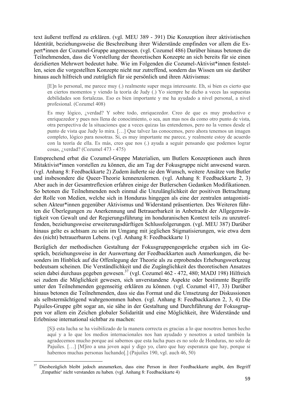text äußerst treffend zu erklären. (vgl. MEU 389 - 391) Die Konzeption ihrer aktivistischen Identität, beziehungsweise die Beschreibung ihrer Widerstände empfinden vor allem die Expert\*innen der Cozumel-Gruppe angemessen. (vgl. Cozumel 486) Darüber hinaus betonen die Teilnehmenden, dass die Vorstellung der theoretischen Konzepte an sich bereits für sie einen dezidierten Mehrwert bedeutet habe. Wie im Folgenden die Cozumel-Aktivist\*innen feststellen, seien die vorgestellten Konzepte nicht nur zutreffend, sondern das Wissen um sie darüber hinaus auch hilfreich und zuträglich für sie persönlich und ihren Aktivismus:

[E]n lo personal, me parece muy (.) realmente super mega interesante. Eh, si bien es cierto que en ciertos momentos y viendo la teoría de Judy (.) Yo siempre he dicho a veces las supuestas debilidades son fortalezas. Eso es bien importante y me ha ayudado a nivel personal, a nivel profesional. (Cozumel 408)

Es muy lógico, ¿verdad? Y sobre todo, enriquezedor. Creo de que es muy productivo e enriquezedor y pues nos llena de conocimiento, o sea, aun mas nos da como otro punto de vista, otra perspectiva de la situaciones que a veces quizas las entendemos, pero no la vemos desde el punto de vista que Judy lo mira. […] Que talvez las conocemos, pero ahora tenemos un imagen completo, lógico para nosotras. Si, es muy importante me parece, y realmente estoy de acuerdo con la teoría de ella. Es más, creo que nos (.) ayuda a seguir pensando que podemos lograr cosas, ¿verdad? (Cozumel 473 - 475)

Entsprechend erbat die Cozumel-Gruppe Materialien, um Butlers Konzeptionen auch ihren Mitaktivist\*innen vorstellen zu können, die am Tag der Fokusgruppe nicht anwesend waren. (vgl. Anhang 8: Feedbackkarte 2) Zudem äußerte sie den Wunsch, weitere Ansätze von Butler und insbesondere die Queer-Theorie kennenzulernen. (vgl. Anhang 8: Feedbackkarte 2, 3) Aber auch in der Gesamtreflexion erfahren einige der Butlerschen Gedanken Modifikationen. So betonen die Teilnehmenden noch einmal die Unzulänglichkeit der positiven Betrachtung der Rolle von Medien, welche sich in Honduras hingegen als eine der zentralen antagonistischen Akteur\*innen gegenüber Aktivismus und Widerstand präsentierten. Des Weiteren führten die Überlegungen zu Anerkennung und Betrauerbarkeit in Anbetracht der Allgegenwärtigkeit von Gewalt und der Regierungsführung im honduranischen Kontext teils zu unzutreffenden, beziehungsweise erweiterungsdürftigen Schlussfolgerungen. (vgl. MEU 387) Darüber hinaus gelte es achtsam zu sein im Umgang mit jeglichen Stigmatisierungen, wie etwa dem des (nicht) betrauerbaren Lebens. (vgl. Anhang 8: Feedbackkarte 1)

Bezüglich der methodischen Gestaltung der Fokusgruppengespräche ergaben sich im Gespräch, beziehungsweise in der Auswertung der Feedbackkarten auch Anmerkungen, die besonders im Hinblick auf die Offenlegung der Theorie als zu erprobendes Erhebungswerkzeug bedeutsam scheinen. Die Verständlichkeit und die Zugänglichkeit des theoretischen Ansatzes seien dabei durchaus gegeben gewesen.<sup>37</sup> (vgl. Cozumel 462 - 472, 480; MADJ 198) Hilfreich sei zudem die Möglichkeit gewesen, sich unverstandene Aspekte oder bestimmte Begriffe unter den Teilnehmenden gegenseitig erklären zu können. (vgl. Cozumel 417, 33) Darüber hinaus betonen die Teilnehmenden, dass sie das Format und die Umsetzung der Diskussionen als selbstermächtigend wahrgenommen haben. (vgl. Anhang 8: Feedbackkarten 2, 3, 4) Die Pajuiles-Gruppe gibt sogar an, sie sähe in der Gestaltung und Durchführung der Fokusgruppen vor allem ein Zeichen globaler Solidarität und eine Möglichkeit, ihre Widerstände und Erlebnisse international sichtbar zu machen:

[S]i esta lucha se ha visibilizado de la manera correcta es gracias a lo que nosotros hemos hecho aquí y a lo que los medios internacionales nos han ayudado y nosotros a usted también la agradecemos mucho porque así sabemos que esta lucha pues es no solo de Honduras, no solo de Pajuiles. […] [M]iro a una joven aquí y digo yo, claro que hay esperanza que hay, porque si habemos muchas personas luchando[.] (Pajuiles 190, vgl. auch 46, 50)

<sup>37</sup> Diesbezüglich bleibt jedoch anzumerken, dass eine Person in ihrer Feedbackkarte angibt, den Begriff 'Empathie' nicht verstanden zu haben. (vgl. Anhang 8: Feedbackkarte 4)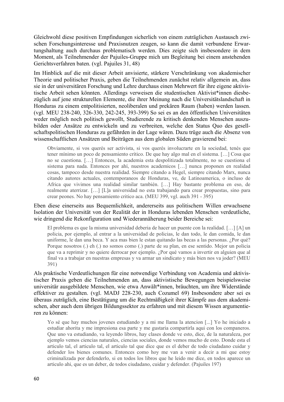Gleichwohl diese positiven Empfindungen sicherlich von einem zuträglichen Austausch zwischen Forschungsinteresse und Praxisnutzen zeugen, so kann die damit verbundene Erwartungshaltung auch durchaus problematisch werden. Dies zeigte sich insbesondere in dem Moment, als Teilnehmender der Pajuiles-Gruppe mich um Begleitung bei einem anstehenden Gerichtsverfahren baten. (vgl. Pajuiles 31, 48)

Im Hinblick auf die mit dieser Arbeit anvisierte, stärkere Verschränkung von akademischer Theorie und politischer Praxis, geben die Teilnehmenden zunächst relativ allgemein an, dass sie in der universitären Forschung und Lehre durchaus einen Mehrwert für ihre eigene aktivistische Arbeit sehen könnten. Allerdings verweisen die studentischen Aktivist\*innen diesbezüglich auf jene strukturellen Elemente, die ihrer Meinung nach die Universitätslandschaft in Honduras zu einem entpolitisierten, neoliberalen und prekären Raum (haben) werden lassen. (vgl. MEU 238-240, 326-330, 242-245, 393-399) So sei es an den öffentlichen Universitäten weder möglich noch politisch gewollt, Studierende zu kritisch denkenden Menschen auszubilden oder Ansätze zu entwickeln und zu verbreiten, welche den Status Quo des gesellschaftspolitischen Honduras zu gefährden in der Lage wären. Dazu trüge auch die Absenz von wissenschaftlichen Ansätzen und Beiträgen aus dem globalen Süden gravierend bei:

Obviamente, si vos querés ser activista, si vos querés involucrarte en la sociedad, tenés que tener mínimo un poco de pensamiento crítico. De que hay algo mal en el sistema. […] Cosa que no se cuestiona. […] Entonces, la academia esta despolitizada totalmente, no se cuestiona el sistema para nada. Entonces por ahí, nuestros academicos […] nunca proponen en realidad cosas, tampoco desde nuestra realidad. Siempre citando a Hegel, siempre citando Marx, nunca citando autores actuales, contemporaneos de Honduras, ve, de Latinoamerica, o incluso de Africa que vivimos una realidad similar también. […] Hay bastante problema en eso, de realmente aterrizar. […] [L]a universidad no esta trabajando para crear propuestas, sino para crear peones. No hay pensamiento critico aca. (MEU 399, vgl. auch 391 - 395)

Eben diese einerseits aus Bequemlichkeit, andererseits aus politischem Willen erwachsene Isolation der Universität von der Realität der in Honduras lebenden Menschen verdeutliche, wie dringend die Rekonfiguration und Wiederannäherung beider Bereiche sei:

El problema es que la misma universidad deberia de hacer un puente con la realidad. […] [A] un policia, por ejemplo, al entrar a la universidad de policias, le dan todo, le dan comida, le dan uniforme, le dan una beca. Y aca mas bien le estan quitando las becas a las personas. ¿Por qué? Porque nosotros (.) eh (.) no somos como (.) parte de su plan, en ese sentido. Mejor un policia que va a reprimir y no quiere derrocar por ejemplo. ¿Por qué vamos a invertir en alguien que al final va a trabajar en nuestras empresas y va armar un sindicato y más bien nos va joder? (MEU 391)

Als praktische Verdeutlichungen für eine notwendige Verbindung von Academia und aktivistischer Praxis geben die Teilnehmenden an, dass aktivistische Bewegungen beispielsweise universitär ausgebildete Menschen, wie etwa Anwält\*innen, bräuchten, um ihre Widerstände effektiver zu gestalten. (vgl. MADJ 228-230, auch Cozumel 69) Insbesondere aber sei es überaus zuträglich, eine Bestätigung um die Rechtmäßigkeit ihrer Kämpfe aus dem akademischen, aber auch dem übrigen Bildungssektor zu erfahren und mit diesem Wissen argumentieren zu können:

Yo sé que hay muchos jovenes estudiando y a mi me llama la atencion [...] Yo he iniciado a estudiar ahorita y me impresiona esa parte y me gustaria compartirla aqui con los companeros. Que uno va estudiando, va leyendo libros, hay clases donde ve esto, dice, de la naturaleza, por ejemplo vemos ciencias naturales, ciencias sociales, donde vemos mucho de esto. Donde esta el articulo tal, el articulo tal, el articulo tal que dice que es el deber de todo ciudadano cuidar y defender los bienes comunes. Entonces como hoy me van a venir a decir a mi que estoy criminalizada por defenderlo, si en todos los libros que he leido me dice, en todos aparece un articulo ahi, que es un deber, de todos ciudadano, cuidar y defender. (Pajuiles 197)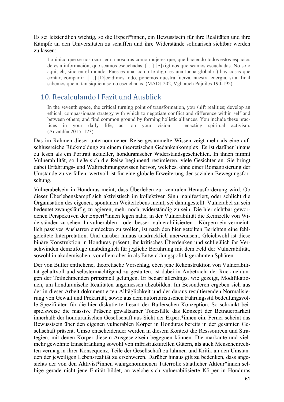#### Es sei letztendlich wichtig, so die Expert\*innen, ein Bewusstsein für ihre Realitäten und ihre Kämpfe an den Universitäten zu schaffen und ihre Widerstände solidarisch sichtbar werden zu lassen:

Lo único que se nos ocurriera a nosotras como mujeres que, que haciendo todos estos espacios de esta información, que seamos escuchadas. […] [E]xigímos que seamos escuchadas. No solo aqui, eh, sino en el mundo. Pues es una, como le digo, es una lucha global (.) hay cosas que contar, compartir. […] [D]ecidimos todo, ponemos nuestra fuerza, nuestra energia, si al final sabemos que ni tan siquiera somo escuchadas. (MADJ 202, Vgl. auch Pajuiles 190-192)

### 10. Recalculando ǀ Fazit und Ausblick

In the seventh space, the critical turning point of transformation, you shift realities; develop an ethical, compassionate strategy with which to negotiate conflict and difference within self and between others; and find common ground by forming holistic alliances. You include these practices in your daily life, act on your vision – enacting spiritual activism. (Anzaldúa 2015: 123)

Das im Rahmen dieser unternommenen Reise gesammelte Wissen zeigt mehr als eine aufschlussreiche Rückmeldung zu einem theoretischen Gedankenkomplex. Es ist darüber hinaus zu lesen als ein Portrait aktueller, honduranischer Widerstandsgeschichten. In ihnen nimmt Vulnerabilität, so ließe sich die Reise beginnend resümieren, viele Gesichter an. Sie bringt dabei Erfahrungs- und Wahrnehmungswissen hervor, welches, ohne einer Romantisierung der Umstände zu verfallen, wertvoll ist für eine globale Erweiterung der sozialen Bewegungsforschung.

Vulnerabelsein in Honduras meint, dass Überleben zur zentralen Herausforderung wird. Ob dieser Überlebenskampf sich aktivistisch im kollektiven Sinn manifestiert, oder schlicht die Organisation des eigenen, spontanen Weiterlebens meint, sei dahingestellt. Vulnerabel zu sein bedeutet zwangsläufig zu agieren, mehr noch, widerständig zu sein. Die hier sichtbar gewordenen Perspektiven der Expert\*innen legen nahe, in der Vulnerabilität die Keimzelle von Widerständen zu sehen. In vulnerablen – oder besser: vulnerabilisierten – Körpern ein vermeintlich passives Ausharren entdecken zu wollen, ist nach den hier geteilten Berichten eine fehlgeleitete Interpretation. Und darüber hinaus ausdrücklich unerwünscht. Gleichwohl ist diese binäre Konstruktion in Honduras präsent, ihr kritisches Überdenken und schließlich ihr Verschwinden demzufolge unabdinglich für jegliche Berührung mit dem Feld der Vulnerabilität, sowohl in akademischen, vor allem aber in als Entwicklungspolitik gerahmten Sphären.

Der von Butler entliehene, theoretische Vorschlag, eben jene Rekonstruktion von Vulnerabilität gehaltvoll und selbstermächtigend zu gestalten, ist dabei in Anbetracht der Rückmeldungen der Teilnehmenden prinzipiell gelungen. Er bedarf allerdings, wie gezeigt, Modifikationen, um honduranische Realitäten angemessen abzubilden. Im Besonderen ergeben sich aus der in dieser Arbeit dokumentierten Alltäglichkeit und der daraus resultierenden Normalisierung von Gewalt und Prekarität, sowie aus dem autoritaristischen Führungsstil bedeutungsvolle Spezifitäten für die hier diskutierte Lesart der Butlerschen Konzeption. So schränkt beispielsweise die massive Präsenz gewaltsamer Todesfälle das Konzept der Betrauerbarkeit innerhalb der honduranischen Gesellschaft aus Sicht der Expert\*innen ein. Ferner scheint das Bewusstsein über den eigenen vulnerablen Körper in Honduras bereits in der gesamten Gesellschaft präsent. Umso entscheidender werden in diesem Kontext die Resssourcen und Strategien, mit denen Körper diesem Ausgesetztsein begegnen können. Die markante und vielmehr gewohnte Einschränkung sowohl von infrastrukturellen Gütern, als auch Menschenrechten vermag in ihrer Konsequenz, Teile der Gesellschaft zu lähmen und Kritik an den Umständen der jeweiligen Lebensrealität zu erschweren. Darüber hinaus gilt zu bedenken, dass angesichts der von den Aktivist\*innen wahrgenommenen Täterrolle staatlicher Akteur\*innen selbige gerade nicht jene Entität bildet, an welche sich vulnerabilisierte Körper in Honduras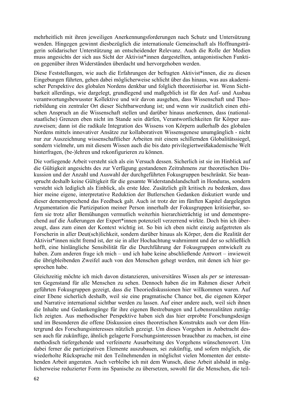mehrheitlich mit ihren jeweiligen Anerkennungsforderungen nach Schutz und Untersützung wenden. Hingegen gewinnt diesbezüglich die internationale Gemeinschaft als Hoffnungsträgerin solidarischer Unterstützung an entscheidender Relevanz. Auch die Rolle der Medien muss angesichts der sich aus Sicht der Aktivist\*innen dargestellten, antagonistischen Funktion gegenüber ihren Widerständen überdacht und hervorgehoben werden.

Diese Feststellungen, wie auch die Erfahrungen der befragten Aktivist\*innen, die zu diesen Eingebungen führten, gehen dabei möglicherweise schlicht über das hinaus, was aus akademischer Perspektive des globalen Nordens denkbar und folglich theoretisierbar ist. Wenn Sichtbarkeit allerdings, wie dargelegt, grundlegend und maßgeblich ist für den Auf- und Ausbau verantwortungsbewusster Kollektive und wir davon ausgehen, dass Wissenschaft und Theoriebildung ein zentraler Ort dieser Sichtbarwerdung ist; und wenn wir zusätzlich einen ethischen Anspruch an die Wissenschaft stellen und darüber hinaus anerkennen, dass (nationalstaatliche) Grenzen eben nicht im Stande sein dürfen, Verantwortlichkeiten für Körper auszuweisen; dann ist die radikale Integration des Wissens von Körpern außerhalb des globalen Nordens mittels innovativer Ansätze zur kollaborativen Wissensgenese unumgänglich - nicht nur zur Auszeichnung wissenschaftlicher Arbeiten mit einem schillernden Globalitätssiegel, sondern vielmehr, um mit diesem Wissen auch die bis dato privilegiert*weiß*akademische Welt hinterfragen, (be-)lehren und rekonfigurieren zu können.

Die vorliegende Arbeit versteht sich als ein Versuch dessen. Sicherlich ist sie im Hinblick auf die Gültigkeit angesichts des zur Verfügung gestandenen Zeitrahmens zur theoretischen Diskussion und der Anzahl und Auswahl der durchgeführten Fokusgruppen beschränkt. Sie beansprucht deshalb keine Gültigkeit für die gesamte Widerstandslandschaft in Honduras, sondern versteht sich lediglich als Einblick, als erste Idee. Zusätzlich gilt kritisch zu bedenken, dass hier meine eigene, interpretative Reduktion der Butlerschen Gedanken diskutiert wurde und dieser dementsprechend das Feedback galt. Auch ist trotz der im fünften Kapitel dargelegten Argumentation die Partizipation meiner Person innerhalb der Fokusgruppen kritisierbar, sofern sie trotz aller Bemühungen vermutlich weiterhin hierarchieträchtig ist und dementsprechend auf die Äußerungen der Expert\*innen potenziell verzerrend wirkte. Doch bin ich überzeugt, dass zum einen der Kontext wichtig ist. So bin ich eben nicht einzig aufgetreten als Forscherin in aller Deut(sch)lichkeit, sondern darüber hinaus als Körper, dem die Realität der Aktivist\*innen nicht fremd ist, der sie in aller Hochachtung wahrnimmt und der so schließlich hofft, eine hinlängliche Sensibilität für die Durchführung der Fokusgruppen entwickelt zu haben. Zum anderen frage ich mich – und ich habe keine abschließende Antwort – inwieweit die übrigbleibenden Zweifel auch von den Menschen gehegt werden, mit denen ich hier gesprochen habe.

Gleichzeitig möchte ich mich davon distanzieren, universitäres Wissen als *per se* interessanten Gegenstand für alle Menschen zu sehen. Dennoch haben die im Rahmen dieser Arbeit geführten Fokusgruppen gezeigt, dass die Theoriediskussionen hier willkommen waren. Auf einer Ebene sicherlich deshalb, weil sie eine pragmatische Chance bot, die eigenen Körper und Narrative international sichtbar werden zu lassen. Auf einer andere auch, weil sich ihnen die Inhalte und Gedankengänge für ihre eigenen Bestrebungen und Lebensrealitäten zuträglich zeigten. Aus methodischer Perspektive haben sich das hier erprobte Forschungsdesign und im Besonderen die offene Diskussion eines theoretischen Konstrukts auch vor dem Hintergrund des Forschungsinteresses nützlich gezeigt. Um dieses Vorgehen in Anbetracht dessen auch für zukünftige, ähnlich gelagerte Forschungsinteressen brauchbar zu machen, ist eine methodisch tiefergehende und verfeinerte Ausarbeitung des Vorgehens wünschenswert. Um dabei ferner die partizipativen Elemente auszubauen, sei zukünftig, und sofern möglich, die wiederholte Rücksprache mit den Teilnehmenden in möglichst vielen Momenten der entstehenden Arbeit angeraten. Auch verbleibe ich mit dem Wunsch, diese Arbeit alsbald in möglicherweise reduzierter Form ins Spanische zu übersetzen, sowohl für die Menschen, die teil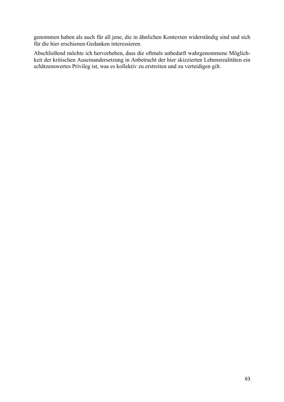genommen haben als auch für all jene, die in ähnlichen Kontexten widerständig sind und sich für die hier erschienen Gedanken interessieren.

Abschließend möchte ich hervorheben, dass die oftmals unbedarft wahrgenommene Möglichkeit der kritischen Auseinandersetzung in Anbetracht der hier skizzierten Lebensrealitäten ein schätzenswertes Privileg ist, was es kollektiv zu erstreiten und zu verteidigen gilt.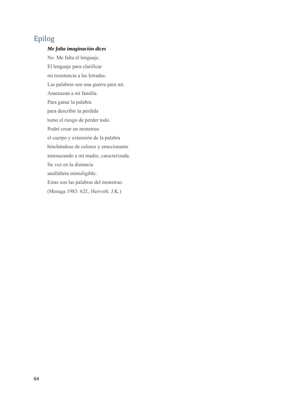## Epilog

#### *Me falta imaginación dices*

No. Me falta el lenguaje. El lenguaje para clarificar mi resistencia a las letradas. Las palabras son una guerra para mí. Amenazan a mi familia. Para ganar la palabra para describir la pérdida tomo el riesgo de perder todo. Podré crear un monstruo el cuerpo y extensión de la palabra hinchándose de colores y emocionante amenazando a mi madre, caracterizada. Su voz en la distancia analfabeta ininteligible. Estas son las palabras del monstruo. (Moraga 1983: 62f., Hervorh. J.K.)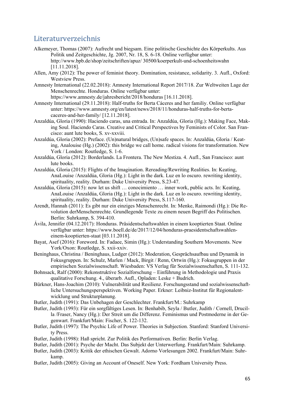### Literaturverzeichnis

- Alkemeyer, Thomas (2007): Aufrecht und biegsam. Eine politische Geschichte des Körperkults. Aus Politik und Zeitgeschichte, Jg. 2007, Nr. 18, S. 6-18. Online verfügbar unter: http://www.bpb.de/shop/zeitschriften/apuz/ 30500/koerperkult-und-schoenheitswahn [11.11.2018].
- Allen, Amy (2012): The power of feminist theory. Domination, resistance, solidarity. 3. Aufl., Oxford: Westview Press.
- Amnesty International (22.02.2018): Amnesty International Report 2017/18. Zur Weltweiten Lage der Menschenrechte. Honduras. Online verfügbar unter:

https://www.amnesty.de/jahresbericht/2018/honduras [16.11.2018].

- Amnesty International (29.11.2018): Half-truths for Berta Cáceres and her familiy. Online verfügbar unter: https://www.amnesty.org/en/latest/news/2018/11/honduras-half-truths-for-bertacaceres-and-her-family/ [12.11.2018].
- Anzaldúa, Gloria (1990): Haciendo caras, una entrada. In: Anzaldúa, Gloria (Hg.): Making Face, Making Soul. Haciendo Caras. Creative and Critical Perspectives by Feminists of Color. San Francisco: aunt lute books, S. xv-xxviii.
- Anzaldúa, Gloria (2002): Preface. (Un)natural bridges, (Un)safe spaces. In: Anzaldúa, Gloria / Keating, Analouise (Hg.) (2002): this bridge we call home. radical visions for transformation. New York / London: Routledge, S. 1-6.
- Anzaldúa, Gloria (2012): Borderlands. La Frontera. The New Mestiza. 4. Aufl., San Francisco: aunt lute books.
- Anzaldúa, Gloria (2015): Flights of the Imagination. Rereading/Rewriting Realities. In: Keating, AnaLouise /Anzaldúa, Gloria (Hg.): Light in the dark. Luz en lo oscuro. rewriting identity, spirituality, reality. Durham: Duke University Press, S.23-47.
- Anzaldúa, Gloria (2015): now let us shift … conocimiento … inner work, public acts. In: Keating, AnaLouise /Anzaldúa, Gloria (Hg.): Light in the dark. Luz en lo oscuro. rewriting identity, spirituality, reality. Durham: Duke University Press, S.117-160.
- Arendt, Hannah (2011): Es gibt nur ein einziges Menschenrecht. In: Menke, Raimondi (Hg.): Die Revolution derMenschenrechte. Grundlegende Texte zu einem neuen Begriff des Politischen. Berlin: Suhrkamp, S. 394-410.
- Ávila, Jennifer (04.12.2017): Honduras. Präsidentschaftswahlen in einem kooptierten Staat. Online verfügbar unter: https://www.boell.de/de/2017/12/04/honduras-praesidentschaftswahleneinem-kooptierten-staat [03.11.2018].
- Bayat, Asef (2016): Foreword. In: Fadaee, Simin (Hg.): Understanding Southern Movements. New York/Oxon: Routledge, S. xxii-xxiv.
- Beninghaus, Christina / Beninghaus, Ludger (2012): Moderation, Gesprächsaufbau und Dynamik in Fokusgruppen. In: Schulz, Marlen / Mack, Birgit / Renn, Ortwin (Hg.): Fokusgruppen in der empirischen Sozialwissenschaft. Wiesbaden: VS Verlag für Sozialwissenschaften, S. 111-132.
- Bohnsack, Ralf (2000): Rekonstruktive Sozialforschung Einführung in Methodologie und Praxis qualitative Forschung. 4., überarb. Aufl., Opladen: Leske + Budrich.
- Bürkner, Hans-Joachim (2010): Vulnerabilität und Resilienz. Forschungsstand und sozialwissenschaftliche Untersuchungsperspektiven. Working Paper. Erkner: Leibniz-Institut für Regionalentwicklung und Strukturplanung.
- Butler, Judith (1991): Das Unbehagen der Geschlechter. Frankfurt/M.: Suhrkamp
- Butler, Judith (1993): Für ein sorgfältiges Lesen. In: Benhabib, Seyla / Butler, Judith / Cornell, Drucilla /Fraser, Nancy (Hg.): Der Streit um die Differenz. Feminismus und Postmoderne in der Gegenwart. Frankfurt/Main: Fischer, S. 122-132.
- Butler, Judith (1997): The Psychic Life of Power. Theories in Subjection. Stanford: Stanford University Press.
- Butler, Judith (1998): Haß spricht. Zur Politik des Performativen. Berlin: Berlin Verlag.
- Butler, Judith (2001): Psyche der Macht. Das Subjekt der Unterwerfung. Frankfurt/Main: Suhrkamp.
- Butler, Judith (2003): Kritik der ethischen Gewalt. Adorno Vorlesungen 2002. Frankfurt/Main: Suhrkamp.
- Butler, Judith (2005): Giving an Account of Oneself. New York: Fordham University Press.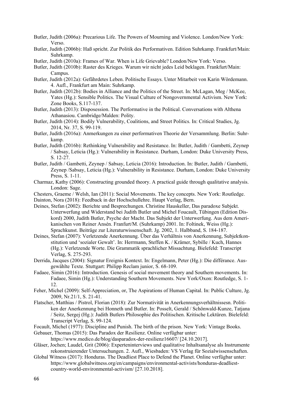- Butler, Judith (2006a): Precarious Life. The Powers of Mourning and Violence. London/New York: Verso.
- Butler, Judith (2006b): Haß spricht. Zur Politik des Performativen. Edition Suhrkamp. Frankfurt/Main: Suhrkamp.
- Butler, Judith (2010a): Frames of War. When is Life Grievable? London/New York: Verso.
- Butler, Judith (2010b): Raster des Krieges. Warum wir nicht jedes Leid beklagen. Frankfurt/Main: Campus.
- Butler, Judith (2012a): Gefährdetes Leben. Politische Essays. Unter Mitarbeit von Karin Wördemann. 4. Aufl., Frankfurt am Main: Suhrkamp.
- Butler, Judith (2012b): Bodies in Alliance and the Politics of the Street. In: McLagan, Meg / McKee, Yates (Hg.): Sensible Politics. The Visual Culture of Nongovernmental Activism. New York: Zone Books, S.117-137.
- Butler, Judith (2013): Disposession. The Performative in the Political. Conversations with Althena Athanasiou. Cambridge/Malden: Polity.
- Butler, Judith (2014): Bodily Vulnerability, Coalitions, and Street Politics. In: Critical Studies, Jg. 2014, Nr. 37, S. 99-119.
- Butler, Judith (2016a): Anmerkungen zu einer performativen Theorie der Versammlung. Berlin: Suhrkamp.
- Butler, Judith (2016b): Rethinking Vulnerability and Resistance. In: Butler, Judith / Gambetti, Zeynep / Sabsay, Leticia (Hg.): Vulnerability in Resistance. Durham, London: Duke University Press, S. 12-27.
- Butler, Judith / Gambetti, Zeynep / Sabsay, Leticia (2016): Introduction. In: Butler, Judith / Gambetti, Zeynep /Sabsay, Leticia (Hg.): Vulnerability in Resistance. Durham, London: Duke University Press, S. 1-11.
- Charmaz, Kathy (2006): Constructing grounded theory. A practical guide through qualitative analysis. London: Sage.
- Chesters, Graeme / Welsh, Ian (2011): Social Movements. The key concepts. New York: Routledge.
- Dainton, Nora (2018): Feedback in der Hochschullehre. Haupt Verlag, Bern.
- Deines, Stefan (2002): Berichte und Besprechungen. Christine Hauskeller, Das paradoxe Subjekt. Unterwerfung und Widerstand bei Judith Butler und Michel Foucault, Tübingen (Edition Diskord) 2000, Judith Butler, Psyche der Macht. Das Subjekt der Unterwerfung. Aus dem Amerikanischen von Reiner Ansén. Franfurt/M. (Suhrkamp) 2001. In: Foltinek, Weiss (Hg.): Sprachkunst. Beiträge zur Literaturwissenschaft. Jg. 2002, 1. Halbband, S. 184-187.
- Deines, Stefan (2007): Verletzende Anerkennung. Über das Verhältnis von Anerkennung, Subjektkonstitution und 'sozialer Gewalt'. In: Herrmann, Steffen K. / Krämer, Sybille / Kuch, Hannes (Hg.): Verletzende Worte. Die Grammatik sprachlicher Missachtung. Bielefeld: Transcript Verlag, S. 275-293.
- Derrida, Jacques (2004): Signatur Ereignis Kontext. In: Engelmann, Peter (Hg.): Die différance. Ausgewählte Texte. Stuttgart: Philipp Reclam junior, S. 68-109.
- Fadaee, Simin (2016): Introduction. Genesis of social movement theory and Southern movements. In: Fadaee, Simin (Hg.): Understanding Southern Movements. New York/Oxon: Routledge, S. 1- 12.
- Feher, Michel (2009): Self-Appreciation, or, The Aspirations of Human Capital. In: Public Culture, Jg. 2009, Nr.21/1, S. 21-41.
- Flatscher, Matthias / Pistrol, Florian (2018): Zur Normativität in Anerkennungsverhältnissesn. Politiken der Anerkennung bei Honneth und Butler. In: Posselt, Gerald / Schönwald-Kunze, Tatjana / Seitz, Sergej (Hg.): Judith Butlers Philosophie des Politischen. Kritische Lektüren. Bielefeld: Transcript Verlag, S. 99-124.
- Focault, Michel (1977): Discipline and Punish. The birth of the prison. New York: Vintage Books.
- Gebauer, Thomas (2015): Das Paradox der Resilienz. Online verfügbar unter:
- https://www.medico.de/blog/dasparadox-der-resilienz16607/ [24.10.2017].
- Gläser, Jochen; Laudel, Grit (2006): Experteninterviews und qualitative Inhaltsanalyse als Instrumente rekonstruierender Untersuchungen. 2. Aufl., Wiesbaden: VS Verlag für Sozialwissenschaften.
- Global Witness (2017): Honduras. The Deadliest Place to Defend the Planet. Online verfügbar unter: https://www.globalwitness.org/en/campaigns/environmental-activists/honduras-deadliestcountry-world-environmental-activism/ [27.10.2018].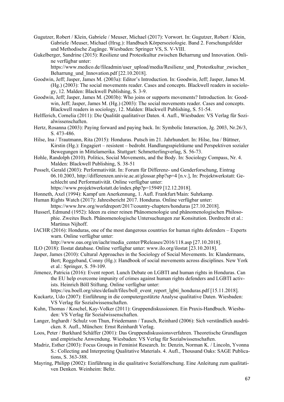- Gugutzer, Robert / Klein, Gabriele / Meuser, Michael (2017): Vorwort. In: Gugutzer, Robert / Klein, Gabriele /Meuser, Michael (Hrsg.): Handbuch Körpersoziologie. Band 2. Forschungsfelder und Methodische Zugänge. Wiesbaden: Springer VS, S. V-VIII.
- Gukelberger, Sandrine (2015): Resilienz und Protestkultur zwischen Beharrung und Innovation. Online verfügbar unter:

https://www.medico.de/fileadmin/user\_upload/media/Resilienz\_und\_Protestkultur\_zwischen Beharrung und Innovation.pdf [22.10.2018].

- Goodwin, Jeff; Jasper, James M. (2003a): Editor's Introduction. In: Goodwin, Jeff; Jasper, James M. (Hg.) (2003): The social movements reader. Cases and concepts. Blackwell readers in sociology, 12. Malden: Blackwell Publishing, S. 3-9.
- Goodwin, Jeff; Jasper, James M. (2003b): Who joins or supports movements? Introduction. In: Goodwin, Jeff; Jasper, James M. (Hg.) (2003): The social movements reader. Cases and concepts. Blackwell readers in sociology, 12. Malden: Blackwell Publishing, S. 51-54.
- Helfferich, Cornelia (2011): Die Qualität qualitativer Daten. 4. Aufl., Wiesbaden: VS Verlag für Sozialwissenschaften.
- Hertz, Rosanna (2003): Paying forward and paying back. In: Symbolic Interaction, Jg. 2003, Nr.26/3, S. 473-486.
- Hilse, Ina / Trautmann, Rita (2015): Honduras. Putsch im 21. Jahrhundert. In: Hilse, Ina / Büttner, Kirstin (Hg.): Engagiert – resistent – bedroht. Handlungsspielräume und Perspektiven sozialer Bewegungen in Mittelamerika. Stuttgart: Schmetterlingverlag, S. 56-73.
- Hohle, Randolph (2010). Politics, Social Movements, and the Body. In: Sociology Compass, Nr. 4. Malden: Blackwell Publishing, S. 38-51
- Posselt, Gerald (2003): Performativität. In: Forum für Differenz- und Genderforschung, Eintrag 06.10.2003, http://differenzen.univie.ac.at/glossar.php?sp=4 [n.v.], In: Projektwerkstatt: Geschlecht und Performativität. Online verfügbar unter:
	- https://www.projektwerkstatt.de/index.php?p=15949 [12.12.2018].
- Honneth, Axel (1994): Kampf um Anerkennung, 1. Aufl. Frankfurt/Main: Suhrkamp.
- Human Rights Watch (2017): Jahresbericht 2017. Honduras. Online verfügbar unter: https://www.hrw.org/worldreport/2017/country-chapters/honduras [27.10.2018].
- Husserl, Edmund (1952): Ideen zu einer reinen Phänomenologie und phänomenologischen Philosophie. Zweites Buch. Phänomenologische Untersuchungen zur Konsitution. Dordrecht et al.: Martinus Nijhoff.
- IACHR (2016): Honduras, one of the most dangerous countries for human rights defenders Experts warn. Online verfügbar unter:
	- http://www.oas.org/en/iachr/media\_center/PReleases/2016/118.asp [27.10.2018].
- ILO (2018): Ilostat database. Online verfügbar unter: www.ilo.org/ilostat [23.10.2018].
- Jasper, James (2010): Cultural Approaches in the Sociology of Social Movements. In: Klandermans, Bert; Roggeband, Conny (Hg.): Handbook of social movements across disciplines. New York et al.: Springer, S. 59-109.
- Jimenez, Patricia (2016): Event report. Lunch Debate on LGBTI and human rights in Honduras. Can the EU help overcome impunity of crimes against human rights defenders and LGBTI activists. Heinrich Böll Stiftung. Online verfügbar unter:

https://eu.boell.org/sites/default/files/boll\_event\_report\_lgbti\_honduras.pdf [15.11.2018].

- Kuckartz, Udo (2007): Einführung in die computergestützte Analyse qualitative Daten. Wiesbaden: VS Verlag für Sozialwissenschaften.
- Kuhn, Thomas / Koschel, Kay-Volker (2011): Gruppendiskussionen. Ein Praxis-Handbuch. Wiesbaden: VS Verlag für Sozialwissenschaften.
- Langer, Inghardt / Schulz von Thun, Friedemann / Tausch, Reinhard (2006): Sich verständlich ausdrücken. 8. Aufl., München: Ernst Reinhardt Verlag.
- Loos, Peter / Burkhard Schäffer (2001): Das Gruppendiskussionsverfahren. Theoretische Grundlagen und empirische Anwendung. Wiesbaden: VS Verlag für Sozialwissenschaften.
- Madriz, Esther (2003): Focus Groups in Feminist Research. In: Denzin, Norman K. / Lincoln, Yvonna S.: Collecting and Interpreting Qualitative Materials. 4. Aufl., Thousand Oaks: SAGE Publications, S. 363-388.
- Mayring, Philipp (2002): Einführung in die qualitative Sozialforschung. Eine Anleitung zum qualitativen Denken. Weinheim: Beltz.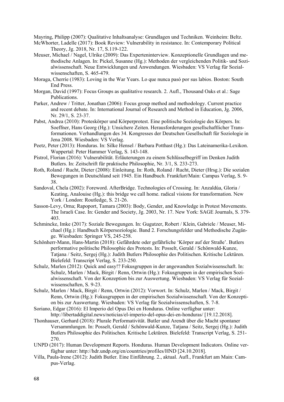Mayring, Philipp (2007): Qualitative Inhaltsanalyse: Grundlagen und Techniken. Weinheim: Beltz.

- McWhorter, Ladelle (2017): Book Review: Vulnerability in resistance. In: Contemporary Political Theory, Jg. 2018, Nr. 17, S.119-122.
- Meuser, Michael / Nagel, Ulrike (2009): Das Experteninterview. Konzeptionelle Grundlagen und methodische Anlagen. In: Pickel, Susanne (Hg.): Methoden der vergleichenden Politik- und Sozialwissenschaft. Neue Entwicklungen und Anwendungen. Wiesbaden: VS Verlag für Sozialwissenschaften, S. 465-479.
- Moraga, Cherríe (1983): Loving in the War Years. Lo que nunca pasó por sus labios. Boston: South End Press.
- Morgan, David (1997): Focus Groups as qualitative research. 2. Aufl., Thousand Oaks et al.: Sage Publications.
- Parker, Andrew / Tritter, Jonathan (2006): Focus group method and methodology. Current practice and recent debate. In: International Journal of Research and Method in Education, Jg. 2006, Nr. 29/1, S. 23-37.
- Pabst, Andrea (2010): Proteskörper und Körperprotest. Eine politische Soziologie des Körpers. In: Soeffner, Hans Georg (Hg.): Unsichere Zeiten. Herausforderungen gesellschaftlicher Transformationen. Verhandlungen des 34. Kongresses der Deutschen Gesellschaft für Soziologie in Jena 2008. Wiesbaden: VS Verlag.
- Peetz, Peter (2013): Honduras. In: Silke Hensel / Barbara Potthast (Hg.): Das Lateinamerika-Lexikon. Wuppertal: Peter Hammer Verlag, S. 143-148.
- Pistrol, Florian (2016): Vulnerabilität. Erläuterungen zu einem Schlüsselbegriff im Denken Judith Butlers. In: Zeitschrift für praktische Philosophie, Nr. 3/1, S. 233-273.
- Roth, Roland / Rucht, Dieter (2008): Einleitung. In: Roth, Roland / Rucht, Dieter (Hrsg.): Die sozialen Bewegungen in Deutschland seit 1945. Ein Handbuch. Frankfurt/Main: Campus Verlag, S. 9- 38.
- Sandoval, Chela (2002): Foreword. AfterBridge. Technologies of Crossing. In: Anzaldúa, Gloria / Keating, Analouise (Hg.): this bridge we call home. radical visions for transformation. New York / London: Routledge, S. 21-26.
- Sasson-Levy, Orna; Rapoport, Tamara (2003): Body, Gender, and Knowledge in Protest Movements. The Israeli Case. In: Gender and Society, Jg. 2003, Nr. 17. New York: SAGE Journals, S. 379- 403.
- Schmincke, Imke (2017): Soziale Bewegungen. In: Gugutzer, Robert / Klein, Gabriele / Meuser, Michael (Hg.): Handbuch Körpersoziologie. Band 2. Forschungsfelder und Methodische Zugänge. Wiesbaden: Springer VS, 245-258.
- Schönherr-Mann, Hans-Martin (2018): Gefährdete oder gefährliche 'Körper auf der Straße'. Butlers performative politische Philosophie des Protests. In: Posselt, Gerald / Schönwald-Kunze, Tatjana / Seitz, Sergej (Hg.): Judith Butlers Philosophie des Politischen. Kritische Lektüren. Bielefeld: Transcript Verlag, S. 233-250.
- Schulz, Marlen (2012): Quick and easy!? Fokusgruppen in der angewandten Sozialwissenschaft. In: Schulz, Marlen / Mack, Birgit / Renn, Ortwin (Hg.): Fokusgruppen in der empirischen Sozialwissenschaft. Von der Konzeption bis zur Auswertung. Wiesbaden: VS Verlag für Sozialwissenschaften, S. 9-23.
- Schulz, Marlen / Mack, Birgit / Renn, Ortwin (2012): Vorwort. In: Schulz, Marlen / Mack, Birgit / Renn, Ortwin (Hg.): Fokusgruppen in der empirischen Sozialwissenschaft. Von der Konzeption bis zur Auswertung. Wiesbaden: VS Verlag für Sozialwissenschaften, S. 7-8.
- Soriano, Edgar (2016): El Imperio del Opus Dei en Honduras. Online verfügbar unter: http://libertaddigital.news/noticias/el-imperio-del-opus-dei-en-honduras/ [19.12.2018].
- Thonhauser, Gerhard (2018): Plurale Performativität. Butler und Arendt über die Macht spontaner Versammlungen. In: Posselt, Gerald / Schönwald-Kunze, Tatjana / Seitz, Sergej (Hg.): Judith Butlers Philosophie des Politischen. Kritische Lektüren. Bielefeld: Transcript Verlag, S. 251- 270.
- UNPD (2017): Human Development Reports. Honduras. Human Development Indicators. Online verfügbar unter: http://hdr.undp.org/en/countries/profiles/HND [24.10.2018].
- Villa, Paula-Irene (2012): Judith Butler. Eine Einführung. 2., aktual. Aufl., Frankfurt am Main: Campus-Verlag.